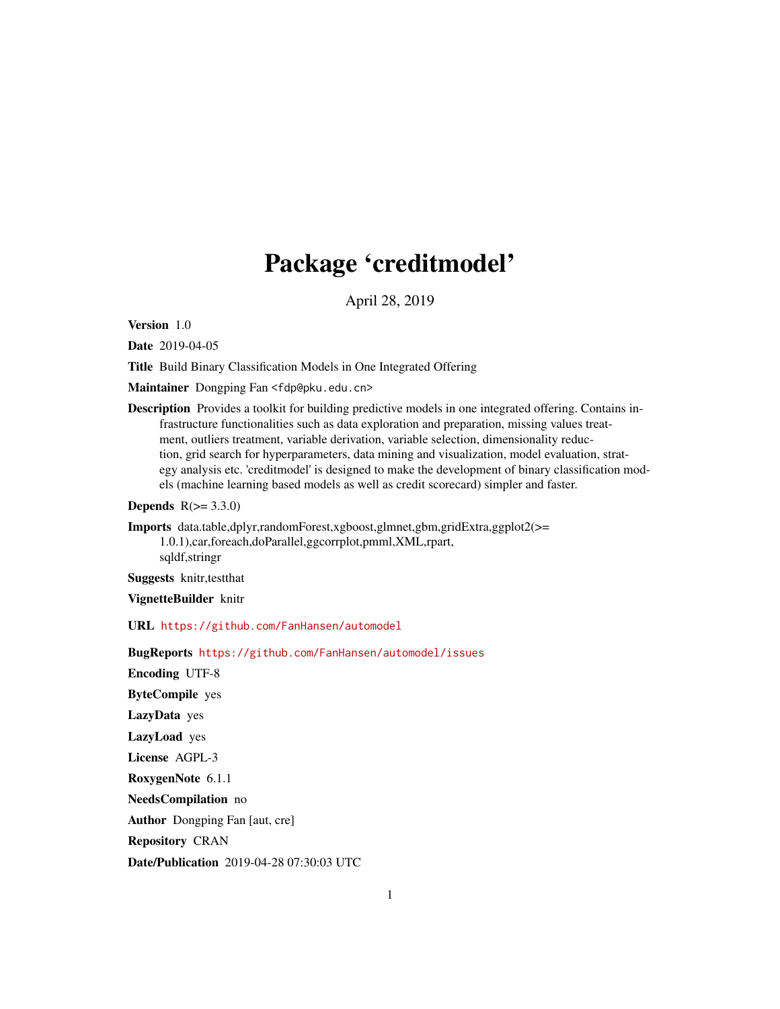# Package 'creditmodel'

April 28, 2019

<span id="page-0-0"></span>Version 1.0

Date 2019-04-05

Title Build Binary Classification Models in One Integrated Offering

Maintainer Dongping Fan <fdp@pku.edu.cn>

Description Provides a toolkit for building predictive models in one integrated offering. Contains infrastructure functionalities such as data exploration and preparation, missing values treatment, outliers treatment, variable derivation, variable selection, dimensionality reduction, grid search for hyperparameters, data mining and visualization, model evaluation, strategy analysis etc. 'creditmodel' is designed to make the development of binary classification models (machine learning based models as well as credit scorecard) simpler and faster.

**Depends**  $R(>= 3.3.0)$ 

Imports data.table,dplyr,randomForest,xgboost,glmnet,gbm,gridExtra,ggplot2(>= 1.0.1),car,foreach,doParallel,ggcorrplot,pmml,XML,rpart, sqldf,stringr

Suggests knitr,testthat

VignetteBuilder knitr

URL <https://github.com/FanHansen/automodel>

BugReports <https://github.com/FanHansen/automodel/issues> Encoding UTF-8 ByteCompile yes LazyData yes LazyLoad yes License AGPL-3 RoxygenNote 6.1.1 NeedsCompilation no Author Dongping Fan [aut, cre] Repository CRAN Date/Publication 2019-04-28 07:30:03 UTC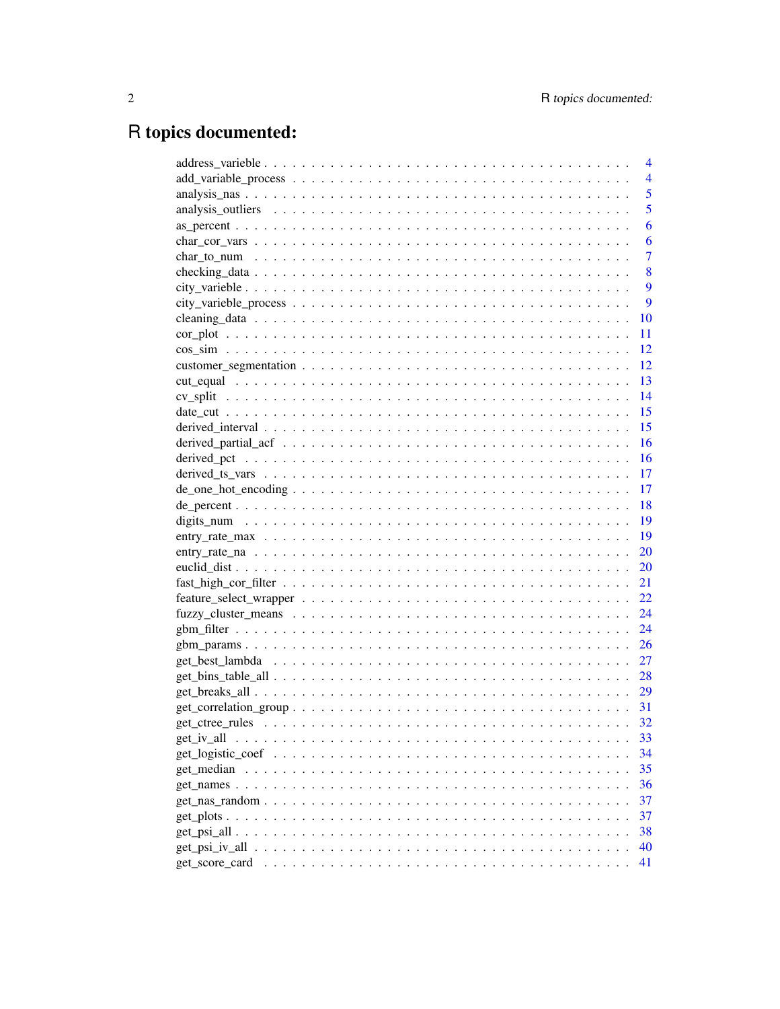# R topics documented:

|                                                                                                       | $\overline{4}$ |
|-------------------------------------------------------------------------------------------------------|----------------|
|                                                                                                       | $\overline{4}$ |
|                                                                                                       | 5              |
|                                                                                                       | 5              |
|                                                                                                       | 6              |
|                                                                                                       | 6              |
|                                                                                                       | $\overline{7}$ |
|                                                                                                       | 8              |
|                                                                                                       | 9              |
|                                                                                                       | 9              |
|                                                                                                       | 10             |
|                                                                                                       | 11             |
|                                                                                                       | 12             |
|                                                                                                       | <sup>12</sup>  |
|                                                                                                       |                |
|                                                                                                       |                |
|                                                                                                       |                |
|                                                                                                       | 15             |
|                                                                                                       | 16             |
|                                                                                                       | 16             |
|                                                                                                       | 17             |
| $de\_one\_hot\_encoding \ldots \ldots \ldots \ldots \ldots \ldots \ldots \ldots \ldots \ldots \ldots$ | 17             |
|                                                                                                       | 18             |
|                                                                                                       | 19             |
|                                                                                                       | - 19           |
|                                                                                                       | 20             |
|                                                                                                       | 20             |
|                                                                                                       | 21             |
|                                                                                                       | 22             |
|                                                                                                       | 24             |
|                                                                                                       | 24             |
|                                                                                                       | 26             |
|                                                                                                       | 27             |
|                                                                                                       |                |
|                                                                                                       |                |
|                                                                                                       |                |
|                                                                                                       | - 32           |
| get iv all                                                                                            | 33             |
|                                                                                                       | 34             |
|                                                                                                       | 35             |
|                                                                                                       | 36             |
|                                                                                                       | 37             |
|                                                                                                       | 37             |
|                                                                                                       | 38             |
|                                                                                                       | 40             |
|                                                                                                       | 41             |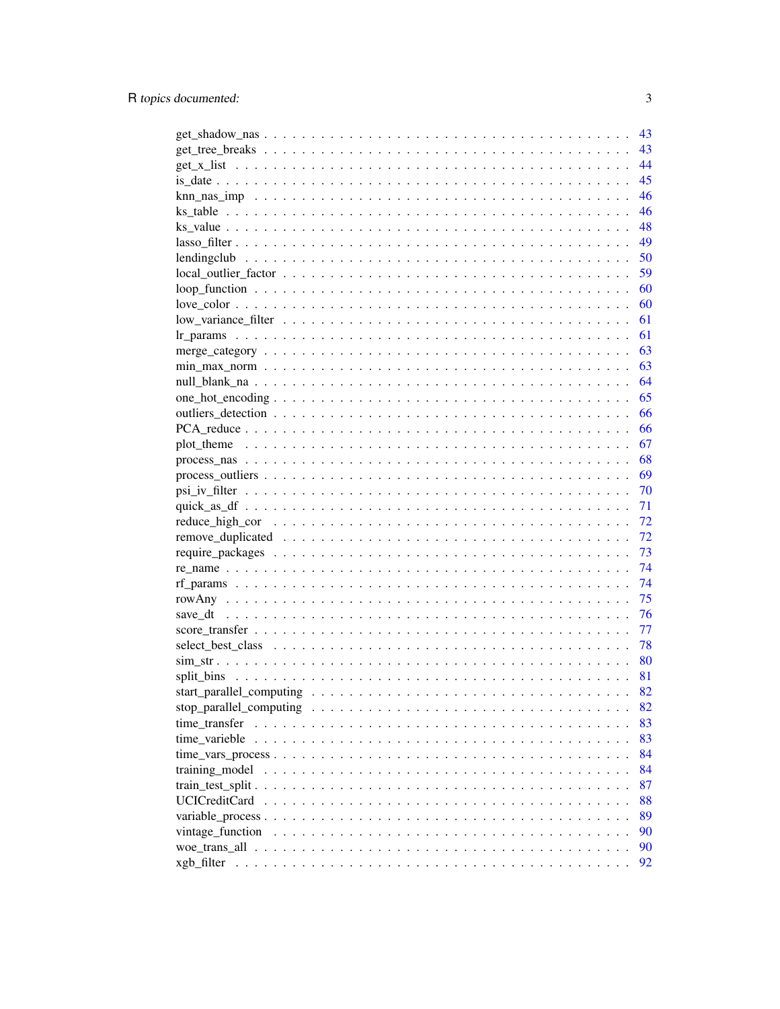|                                                                                                                          | 43 |
|--------------------------------------------------------------------------------------------------------------------------|----|
|                                                                                                                          | 43 |
|                                                                                                                          | 44 |
|                                                                                                                          | 45 |
|                                                                                                                          | 46 |
|                                                                                                                          | 46 |
|                                                                                                                          | 48 |
|                                                                                                                          | 49 |
|                                                                                                                          | 50 |
|                                                                                                                          | 59 |
|                                                                                                                          | 60 |
|                                                                                                                          | 60 |
|                                                                                                                          | 61 |
|                                                                                                                          | 61 |
|                                                                                                                          | 63 |
|                                                                                                                          | 63 |
|                                                                                                                          | 64 |
|                                                                                                                          | 65 |
|                                                                                                                          | 66 |
|                                                                                                                          | 66 |
| plot theme $\dots \dots \dots \dots \dots \dots \dots \dots \dots \dots \dots \dots \dots \dots \dots \dots \dots \dots$ | 67 |
|                                                                                                                          | 68 |
|                                                                                                                          | 69 |
|                                                                                                                          | 70 |
|                                                                                                                          | 71 |
|                                                                                                                          | 72 |
|                                                                                                                          | 72 |
|                                                                                                                          | 73 |
|                                                                                                                          | 74 |
|                                                                                                                          | 74 |
|                                                                                                                          | 75 |
|                                                                                                                          | 76 |
|                                                                                                                          | 77 |
|                                                                                                                          | 78 |
|                                                                                                                          | 80 |
|                                                                                                                          | 81 |
|                                                                                                                          | 82 |
|                                                                                                                          | 82 |
| time transfer                                                                                                            | 83 |
|                                                                                                                          | 83 |
| time varieble                                                                                                            | 84 |
|                                                                                                                          | 84 |
| training_model                                                                                                           |    |
|                                                                                                                          | 87 |
| <b>UCICreditCard</b>                                                                                                     | 88 |
|                                                                                                                          | 89 |
| vintage_function                                                                                                         | 90 |
|                                                                                                                          | 90 |
|                                                                                                                          | 92 |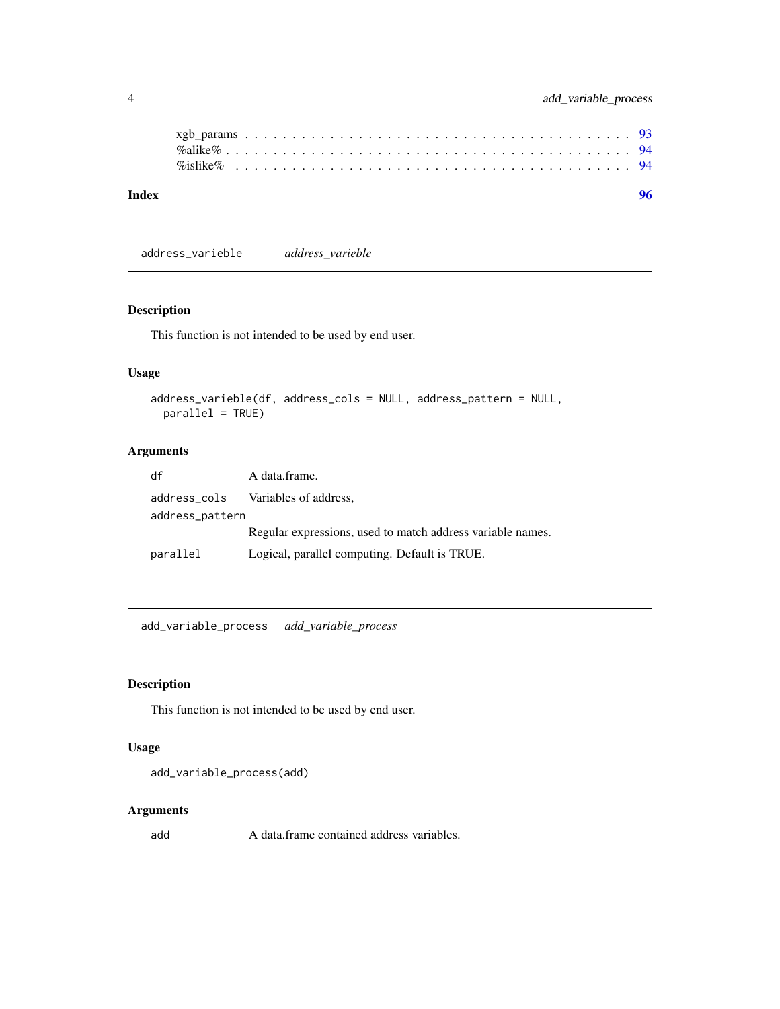address\_varieble *address\_varieble*

# Description

This function is not intended to be used by end user.

# Usage

```
address_varieble(df, address_cols = NULL, address_pattern = NULL,
 parallel = TRUE)
```
# Arguments

| df              | A data frame.                                              |
|-----------------|------------------------------------------------------------|
|                 | address_cols Variables of address,                         |
| address_pattern |                                                            |
|                 | Regular expressions, used to match address variable names. |
| parallel        | Logical, parallel computing. Default is TRUE.              |

add\_variable\_process *add\_variable\_process*

# Description

This function is not intended to be used by end user.

#### Usage

```
add_variable_process(add)
```
### Arguments

add A data.frame contained address variables.

<span id="page-3-0"></span>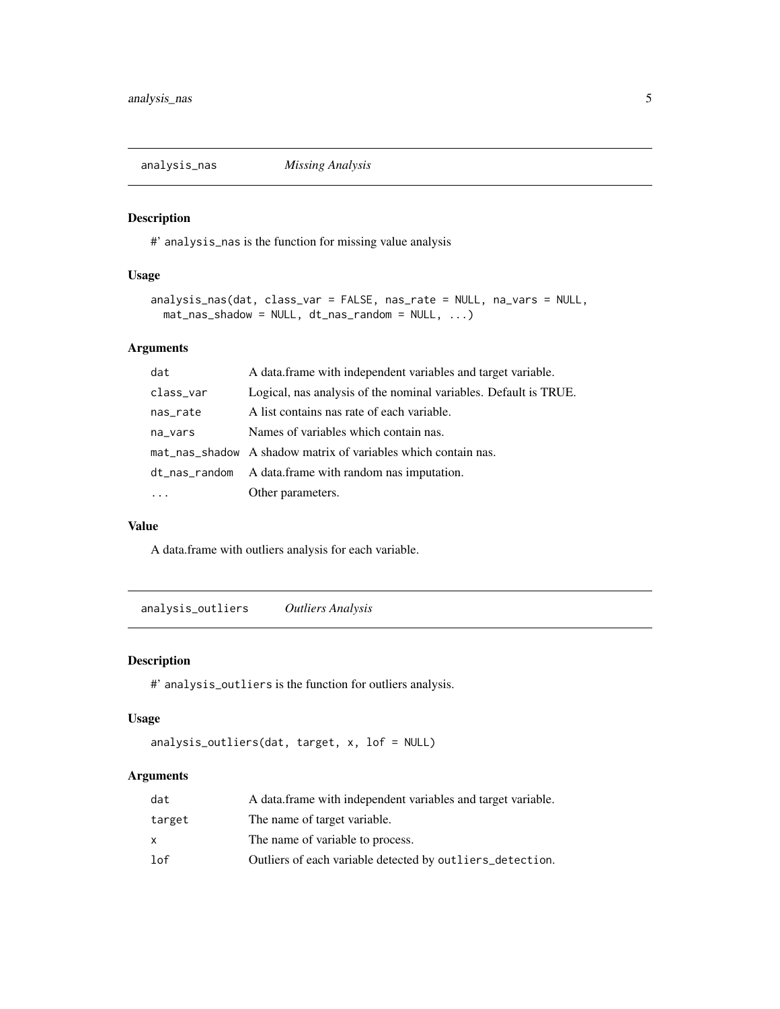<span id="page-4-0"></span>

# Description

#' analysis\_nas is the function for missing value analysis

# Usage

```
analysis_nas(dat, class_var = FALSE, nas_rate = NULL, na_vars = NULL,
 mat_nas_shadow = NULL, dt_nas_random = NULL, ...)
```
# Arguments

| dat       | A data frame with independent variables and target variable.     |  |
|-----------|------------------------------------------------------------------|--|
| class_var | Logical, nas analysis of the nominal variables. Default is TRUE. |  |
| nas_rate  | A list contains nas rate of each variable.                       |  |
| na_vars   | Names of variables which contain nas.                            |  |
|           | mat_nas_shadow A shadow matrix of variables which contain nas.   |  |
|           | dt_nas_random A data.frame with random nas imputation.           |  |
|           | Other parameters.                                                |  |

# Value

A data.frame with outliers analysis for each variable.

analysis\_outliers *Outliers Analysis*

# Description

#' analysis\_outliers is the function for outliers analysis.

# Usage

```
analysis_outliers(dat, target, x, lof = NULL)
```

| dat    | A data frame with independent variables and target variable. |
|--------|--------------------------------------------------------------|
| target | The name of target variable.                                 |
| x      | The name of variable to process.                             |
| lof    | Outliers of each variable detected by outliers_detection.    |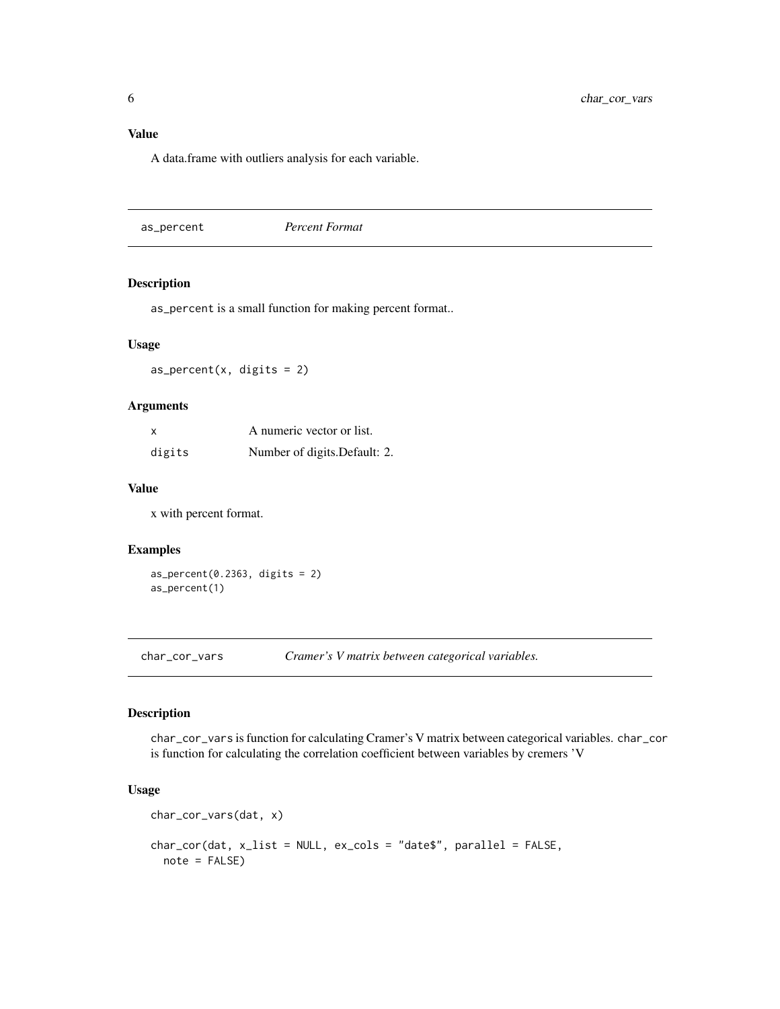# <span id="page-5-0"></span>Value

A data.frame with outliers analysis for each variable.

as\_percent *Percent Format*

# Description

as\_percent is a small function for making percent format..

# Usage

 $as\_percent(x, digits = 2)$ 

# Arguments

| x      | A numeric vector or list.     |
|--------|-------------------------------|
| digits | Number of digits. Default: 2. |

# Value

x with percent format.

#### Examples

as\_percent(0.2363, digits = 2) as\_percent(1)

<span id="page-5-1"></span>char\_cor\_vars *Cramer's V matrix between categorical variables.*

# Description

char\_cor\_vars is function for calculating Cramer's V matrix between categorical variables. char\_cor is function for calculating the correlation coefficient between variables by cremers 'V

#### Usage

```
char_cor_vars(dat, x)
char_cor(dat, x_list = NULL, ex_cols = "date$", parallel = FALSE,
 note = FALSE)
```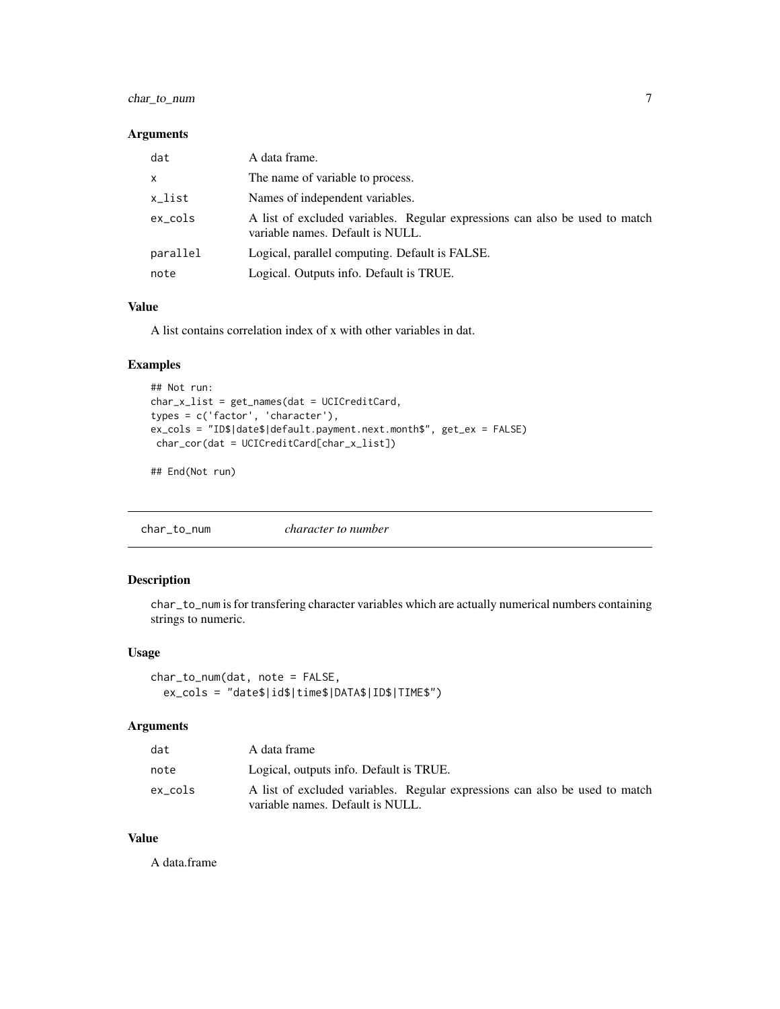# <span id="page-6-0"></span>char\_to\_num 7

#### Arguments

| dat          | A data frame.                                                                                                   |
|--------------|-----------------------------------------------------------------------------------------------------------------|
| $\mathsf{x}$ | The name of variable to process.                                                                                |
| x_list       | Names of independent variables.                                                                                 |
| $ex\_cols$   | A list of excluded variables. Regular expressions can also be used to match<br>variable names. Default is NULL. |
| parallel     | Logical, parallel computing. Default is FALSE.                                                                  |
| note         | Logical. Outputs info. Default is TRUE.                                                                         |

#### Value

A list contains correlation index of x with other variables in dat.

# Examples

```
## Not run:
char_x_list = get_names(dat = UCICreditCard,
types = c('factor', 'character'),
ex_cols = "ID$|date$|default.payment.next.month$", get_ex = FALSE)
char_cor(dat = UCICreditCard[char_x_list])
```
## End(Not run)

char\_to\_num *character to number*

# Description

char\_to\_num is for transfering character variables which are actually numerical numbers containing strings to numeric.

# Usage

char\_to\_num(dat, note = FALSE, ex\_cols = "date\$|id\$|time\$|DATA\$|ID\$|TIME\$")

#### Arguments

| dat     | A data frame                                                                                                    |  |
|---------|-----------------------------------------------------------------------------------------------------------------|--|
| note    | Logical, outputs info. Default is TRUE.                                                                         |  |
| ex cols | A list of excluded variables. Regular expressions can also be used to match<br>variable names. Default is NULL. |  |

# Value

A data.frame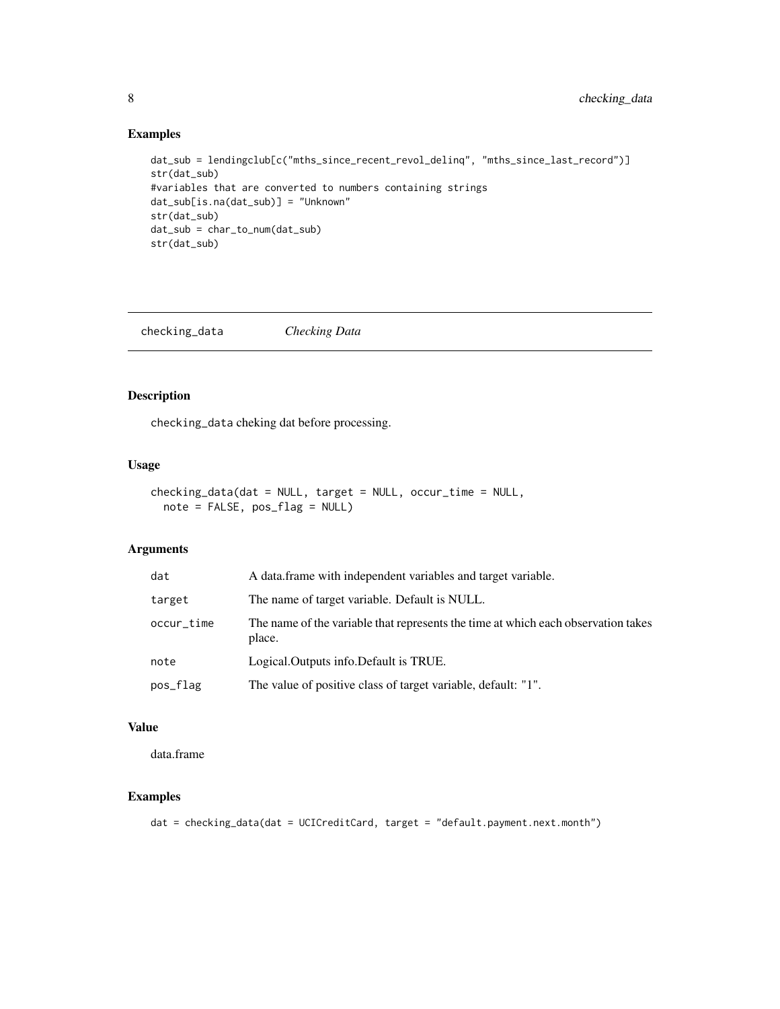# Examples

```
dat_sub = lendingclub[c("mths_since_recent_revol_delinq", "mths_since_last_record")]
str(dat_sub)
#variables that are converted to numbers containing strings
dat_sub[is.na(dat_sub)] = "Unknown"
str(dat_sub)
dat_sub = char_to_num(dat_sub)
str(dat_sub)
```
checking\_data *Checking Data*

# Description

checking\_data cheking dat before processing.

# Usage

```
checking_data(dat = NULL, target = NULL, occur_time = NULL,
 note = FALSE, pos_flag = NULL)
```
# Arguments

| dat        | A data frame with independent variables and target variable.                                |
|------------|---------------------------------------------------------------------------------------------|
| target     | The name of target variable. Default is NULL.                                               |
| occur_time | The name of the variable that represents the time at which each observation takes<br>place. |
| note       | Logical. Outputs info. Default is TRUE.                                                     |
| pos_flag   | The value of positive class of target variable, default: "1".                               |

#### Value

data.frame

#### Examples

dat = checking\_data(dat = UCICreditCard, target = "default.payment.next.month")

<span id="page-7-0"></span>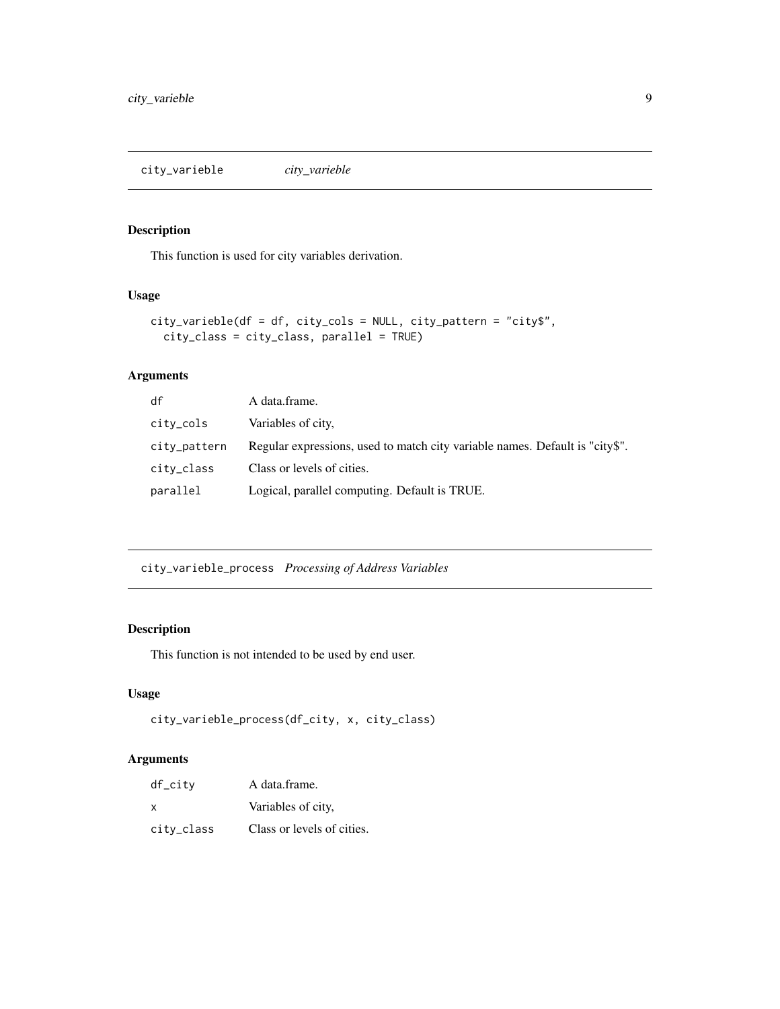<span id="page-8-0"></span>city\_varieble *city\_varieble*

# Description

This function is used for city variables derivation.

# Usage

```
city_varieble(df = df, city_cols = NULL, city_pattern = "city$",
  city_class = city_class, parallel = TRUE)
```
# Arguments

| df           | A data frame.                                                                |
|--------------|------------------------------------------------------------------------------|
| city_cols    | Variables of city,                                                           |
| city_pattern | Regular expressions, used to match city variable names. Default is "city\$". |
| city_class   | Class or levels of cities.                                                   |
| parallel     | Logical, parallel computing. Default is TRUE.                                |

city\_varieble\_process *Processing of Address Variables*

# Description

This function is not intended to be used by end user.

# Usage

```
city_varieble_process(df_city, x, city_class)
```

| $df_citv$  | A data.frame.              |
|------------|----------------------------|
| X          | Variables of city,         |
| city_class | Class or levels of cities. |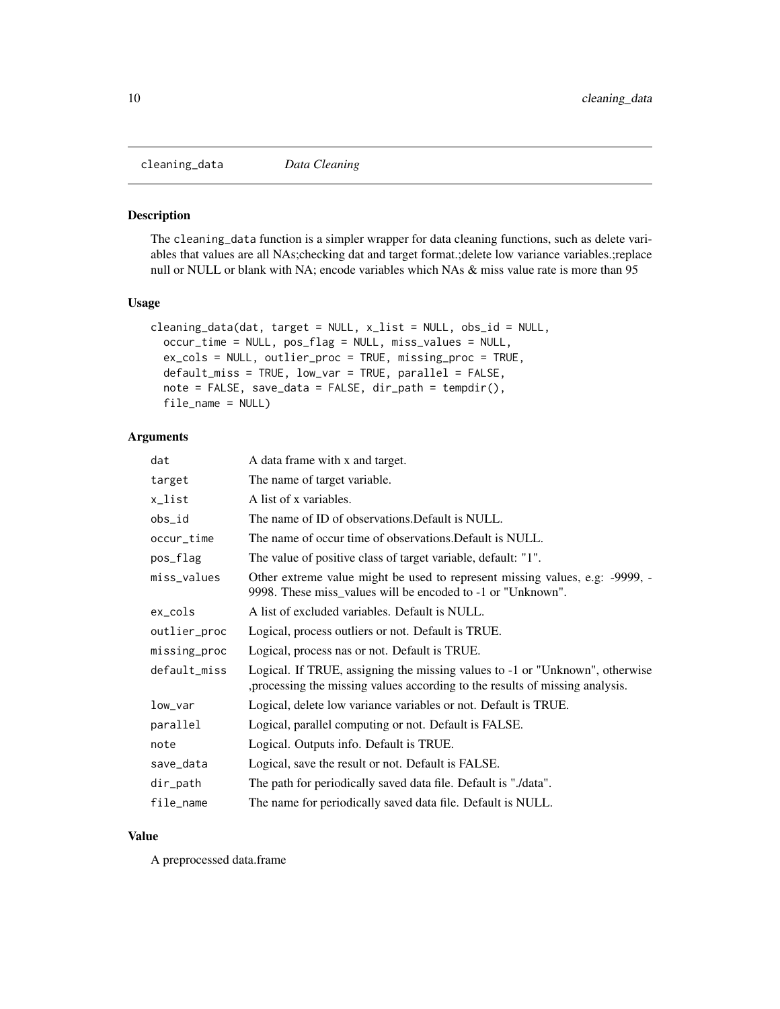<span id="page-9-0"></span>cleaning\_data *Data Cleaning*

#### Description

The cleaning\_data function is a simpler wrapper for data cleaning functions, such as delete variables that values are all NAs;checking dat and target format.;delete low variance variables.;replace null or NULL or blank with NA; encode variables which NAs & miss value rate is more than 95

#### Usage

```
cleaning_data(dat, target = NULL, x_list = NULL, obs_id = NULL,
  occur_time = NULL, pos_flag = NULL, miss_values = NULL,
  ex_cols = NULL, outlier_proc = TRUE, missing_proc = TRUE,
  default_miss = TRUE, low_var = TRUE, parallel = FALSE,
  note = FALSE, save_data = FALSE, dir_path = tempdir(),
  file_name = NULL)
```
#### Arguments

| dat          | A data frame with x and target.                                                                                                                             |
|--------------|-------------------------------------------------------------------------------------------------------------------------------------------------------------|
| target       | The name of target variable.                                                                                                                                |
| x_list       | A list of x variables.                                                                                                                                      |
| obs_id       | The name of ID of observations. Default is NULL.                                                                                                            |
| occur_time   | The name of occur time of observations. Default is NULL.                                                                                                    |
| pos_flag     | The value of positive class of target variable, default: "1".                                                                                               |
| miss_values  | Other extreme value might be used to represent missing values, e.g: -9999, -<br>9998. These miss_values will be encoded to -1 or "Unknown".                 |
| ex_cols      | A list of excluded variables. Default is NULL.                                                                                                              |
| outlier_proc | Logical, process outliers or not. Default is TRUE.                                                                                                          |
| missing_proc | Logical, process nas or not. Default is TRUE.                                                                                                               |
| default_miss | Logical. If TRUE, assigning the missing values to -1 or "Unknown", otherwise<br>processing the missing values according to the results of missing analysis. |
| low_var      | Logical, delete low variance variables or not. Default is TRUE.                                                                                             |
| parallel     | Logical, parallel computing or not. Default is FALSE.                                                                                                       |
| note         | Logical. Outputs info. Default is TRUE.                                                                                                                     |
| save_data    | Logical, save the result or not. Default is FALSE.                                                                                                          |
| dir_path     | The path for periodically saved data file. Default is "./data".                                                                                             |
| file_name    | The name for periodically saved data file. Default is NULL.                                                                                                 |

# Value

A preprocessed data.frame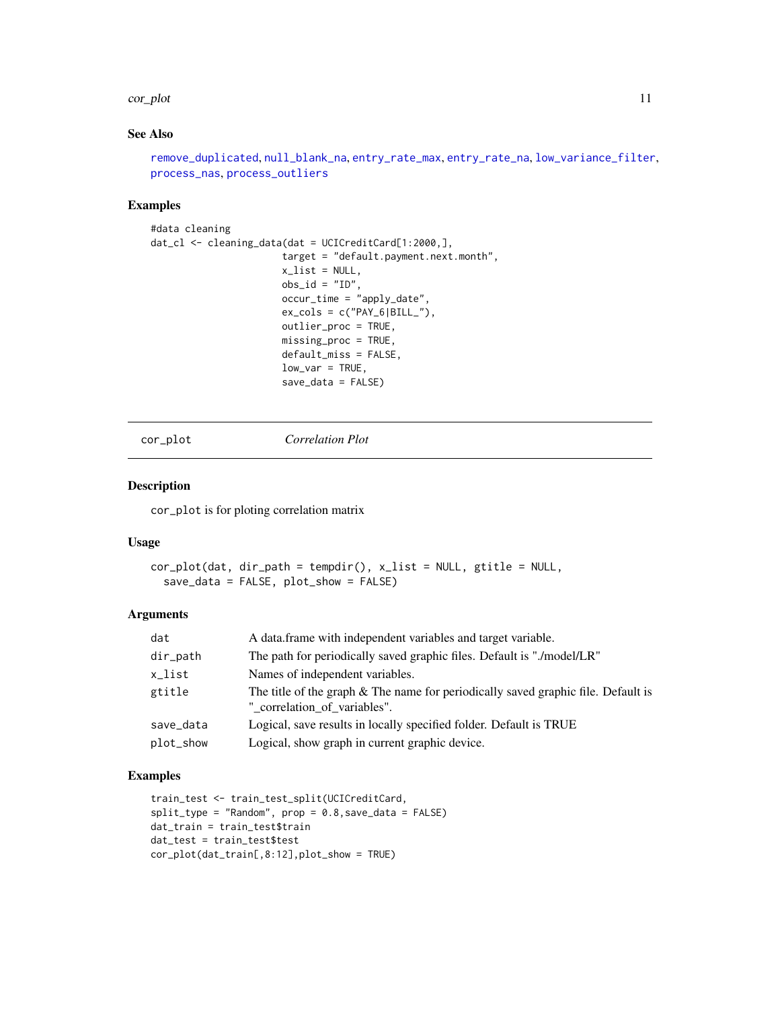#### <span id="page-10-0"></span>cor\_plot 11

# See Also

```
remove_duplicated, null_blank_na, entry_rate_max, entry_rate_na, low_variance_filter,
process_nas, process_outliers
```
# Examples

```
#data cleaning
dat_cl <- cleaning_data(dat = UCICreditCard[1:2000,],
                       target = "default.payment.next.month",
                       x_list = NULL,
                       obs_id = "ID",occur_time = "apply_date",
                       ex\_cols = c("PAY_6|BILL",
                       outlier_proc = TRUE,
                       missing_proc = TRUE,
                       default_miss = FALSE,
                       low\_var = TRUE,save_data = FALSE)
```
cor\_plot *Correlation Plot*

#### Description

cor\_plot is for ploting correlation matrix

#### Usage

```
cor_plot(dat, dir_path = tempdir(), x_list = NULL, gtitle = NULL,
  save_data = FALSE, plot_show = FALSE)
```
#### Arguments

| dat       | A data.frame with independent variables and target variable.                                                      |
|-----------|-------------------------------------------------------------------------------------------------------------------|
| dir_path  | The path for periodically saved graphic files. Default is "./model/LR"                                            |
| x_list    | Names of independent variables.                                                                                   |
| gtitle    | The title of the graph & The name for periodically saved graphic file. Default is<br>" correlation of variables". |
| save_data | Logical, save results in locally specified folder. Default is TRUE                                                |
| plot_show | Logical, show graph in current graphic device.                                                                    |

#### Examples

```
train_test <- train_test_split(UCICreditCard,
split_type = "Random", prop = 0.8, save_data = FALSE)dat_train = train_test$train
dat_test = train_test$test
cor_plot(dat_train[,8:12],plot_show = TRUE)
```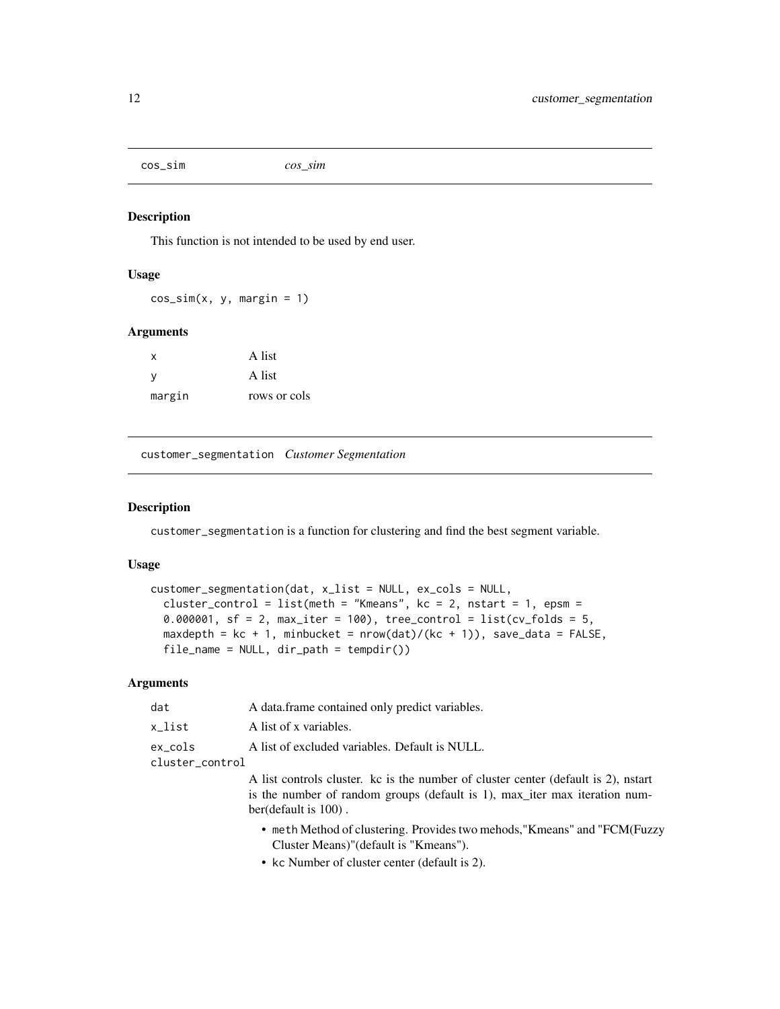<span id="page-11-0"></span>cos\_sim *cos\_sim*

# Description

This function is not intended to be used by end user.

#### Usage

 $cos_sim(x, y, margin = 1)$ 

#### Arguments

| x      | A list       |
|--------|--------------|
| ٧      | A list       |
| margin | rows or cols |

customer\_segmentation *Customer Segmentation*

#### Description

customer\_segmentation is a function for clustering and find the best segment variable.

#### Usage

```
customer_segmentation(dat, x_list = NULL, ex_cols = NULL,
  cluster_control = list(meth = "Kmeans", kc = 2, nstart = 1, epsm =
  0.000001, sf = 2, max\_iter = 100, tree\_control = list(cv_folds = 5,
 maxdepth = kc + 1, minbucket = nrow(dat)/(kc + 1)), save_data = FALSE,
  file_name = NULL, dir_path = tempdir())
```

| dat             | A data frame contained only predict variables.                                     |
|-----------------|------------------------------------------------------------------------------------|
| x list          | A list of x variables.                                                             |
| ex_cols         | A list of excluded variables. Default is NULL.                                     |
| cluster_control |                                                                                    |
|                 | A list controls cluster. kc is the number of cluster center (default is 2), nstart |
|                 | is the number of random groups (default is 1), max iter max iteration num-         |
|                 | ber(default is $100$ ).                                                            |
|                 | • meth Method of clustering. Provides two mehods, "Kmeans" and "FCM(Fuzzy          |

- Cluster Means)"(default is "Kmeans").
- kc Number of cluster center (default is 2).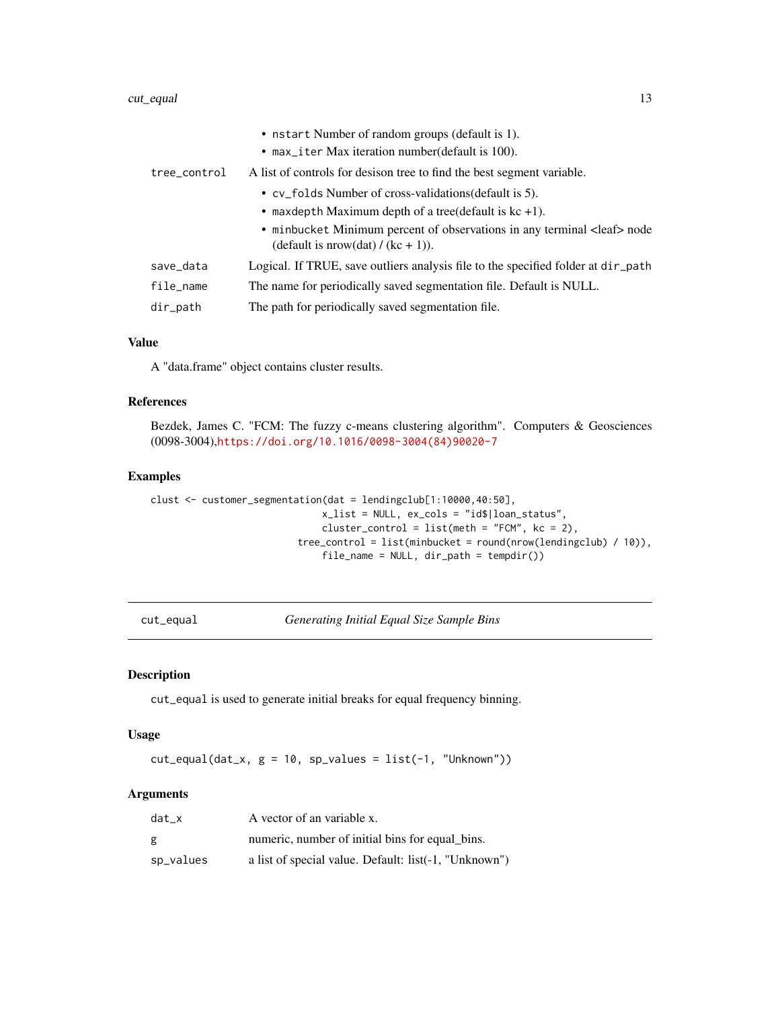#### <span id="page-12-0"></span>cut\_equal 13

| tree_control | • nstart Number of random groups (default is 1).<br>• max_iter Max iteration number (default is 100).<br>A list of controls for desison tree to find the best segment variable.<br>• cv_folds Number of cross-validations (default is 5). |
|--------------|-------------------------------------------------------------------------------------------------------------------------------------------------------------------------------------------------------------------------------------------|
|              | • maxdepth Maximum depth of a tree(default is $kc +1$ ).                                                                                                                                                                                  |
|              | • minbucket Minimum percent of observations in any terminal <leaf> node<br/>(default is nrow(dat) / (kc + 1)).</leaf>                                                                                                                     |
| save_data    | Logical. If TRUE, save outliers analysis file to the specified folder at $dir$ -path                                                                                                                                                      |
| file_name    | The name for periodically saved segmentation file. Default is NULL.                                                                                                                                                                       |
| $dir$ -path  | The path for periodically saved segmentation file.                                                                                                                                                                                        |

# Value

A "data.frame" object contains cluster results.

#### References

Bezdek, James C. "FCM: The fuzzy c-means clustering algorithm". Computers & Geosciences (0098-3004),[https://doi.org/10.1016/0098-3004\(84\)90020-7](https://doi.org/10.1016/0098-3004(84)90020-7)

#### Examples

```
clust <- customer_segmentation(dat = lendingclub[1:10000,40:50],
                              x_list = NULL, ex_cols = "id$|loan_status",
                              cluster_control = list(meth = "FCM", kc = 2),
                         tree_control = list(minbucket = round(nrow(lendingclub) / 10)),
                              file_name = NULL, dir_path = tempdir())
```
<span id="page-12-1"></span>cut\_equal *Generating Initial Equal Size Sample Bins*

#### Description

cut\_equal is used to generate initial breaks for equal frequency binning.

# Usage

 $cut\_equal(data_x, g = 10, sp_values = list(-1, "Unknown"))$ 

| dat x     | A vector of an variable x.                            |
|-----------|-------------------------------------------------------|
| g         | numeric, number of initial bins for equal bins.       |
| sp_values | a list of special value. Default: list(-1, "Unknown") |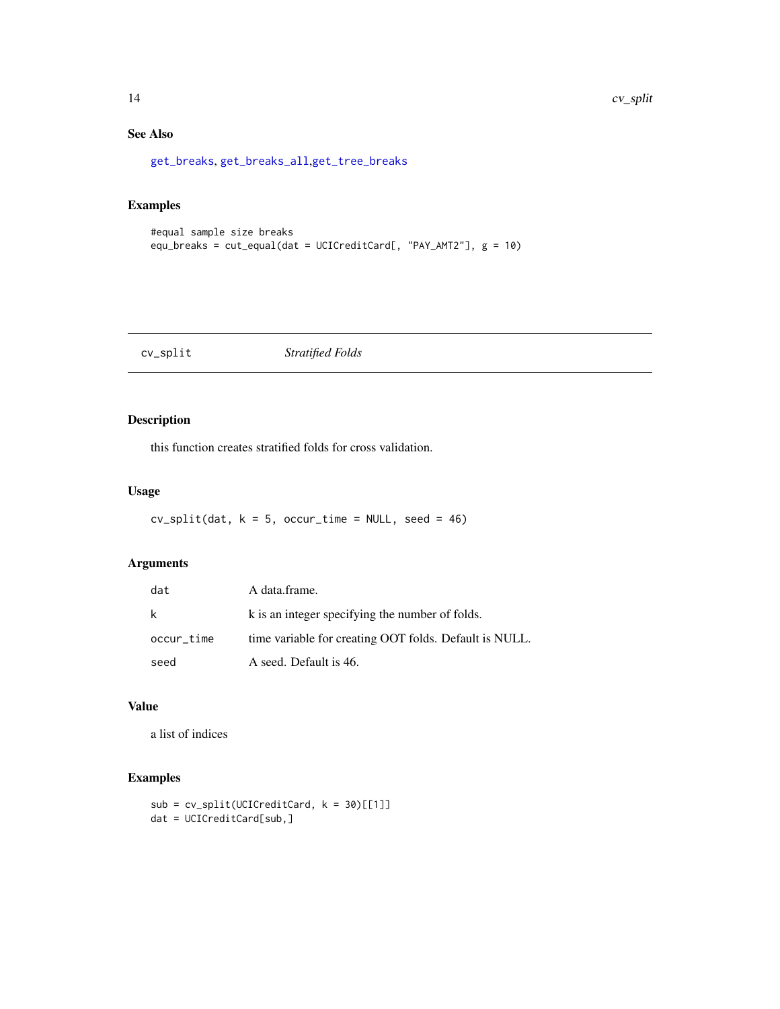# See Also

[get\\_breaks](#page-28-1), [get\\_breaks\\_all](#page-28-2),[get\\_tree\\_breaks](#page-42-1)

# Examples

```
#equal sample size breaks
equ_breaks = cut_equal(dat = UCICreditCard[, "PAY_AMT2"], g = 10)
```
cv\_split *Stratified Folds*

# Description

this function creates stratified folds for cross validation.

#### Usage

 $cv\_split(data, k = 5, occur_time = NULL, seed = 46)$ 

# Arguments

| dat        | A data.frame.                                          |
|------------|--------------------------------------------------------|
| k          | k is an integer specifying the number of folds.        |
| occur_time | time variable for creating OOT folds. Default is NULL. |
| seed       | A seed. Default is 46.                                 |

# Value

a list of indices

# Examples

```
sub = cv_split(UCICreditCard, k = 30)[[1]]
dat = UCICreditCard[sub,]
```
<span id="page-13-0"></span>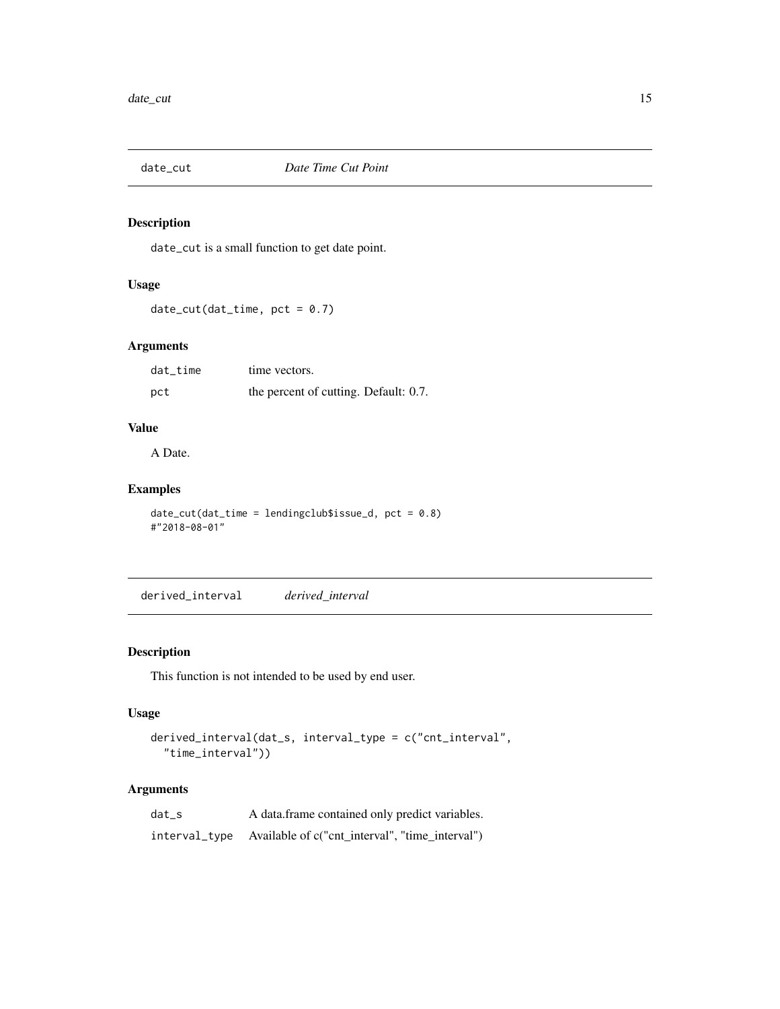<span id="page-14-0"></span>

# Description

date\_cut is a small function to get date point.

# Usage

 $date-cut(data_time, pot = 0.7)$ 

# Arguments

| dat_time | time vectors.                         |
|----------|---------------------------------------|
| pct      | the percent of cutting. Default: 0.7. |

# Value

A Date.

# Examples

```
date-cut(data_time = lendingclubsissue_d, pct = 0.8)#"2018-08-01"
```
derived\_interval *derived\_interval*

# Description

This function is not intended to be used by end user.

# Usage

```
derived_interval(dat_s, interval_type = c("cnt_interval",
  "time_interval"))
```

| dat s | A data frame contained only predict variables.                |
|-------|---------------------------------------------------------------|
|       | interval_type Available of c("cnt_interval", "time_interval") |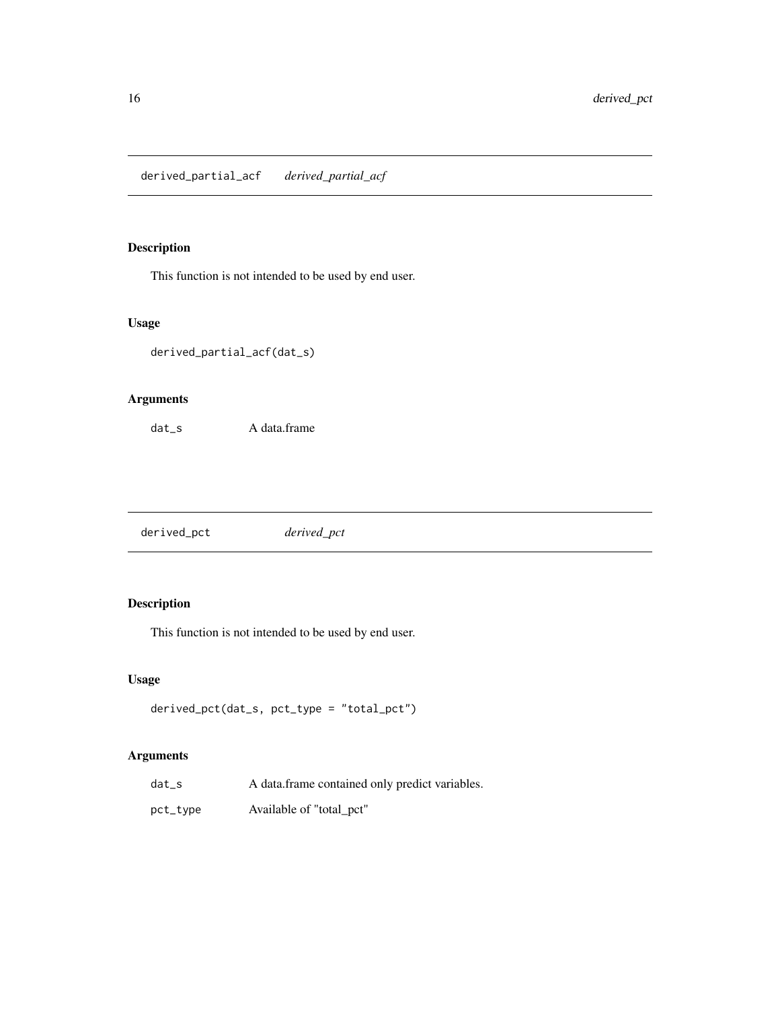<span id="page-15-0"></span>derived\_partial\_acf *derived\_partial\_acf*

# Description

This function is not intended to be used by end user.

# Usage

```
derived_partial_acf(dat_s)
```
# Arguments

dat\_s A data.frame

derived\_pct *derived\_pct*

# Description

This function is not intended to be used by end user.

# Usage

```
derived_pct(dat_s, pct_type = "total_pct")
```

| $dat_s$  | A data frame contained only predict variables. |
|----------|------------------------------------------------|
| pct_type | Available of "total_pct"                       |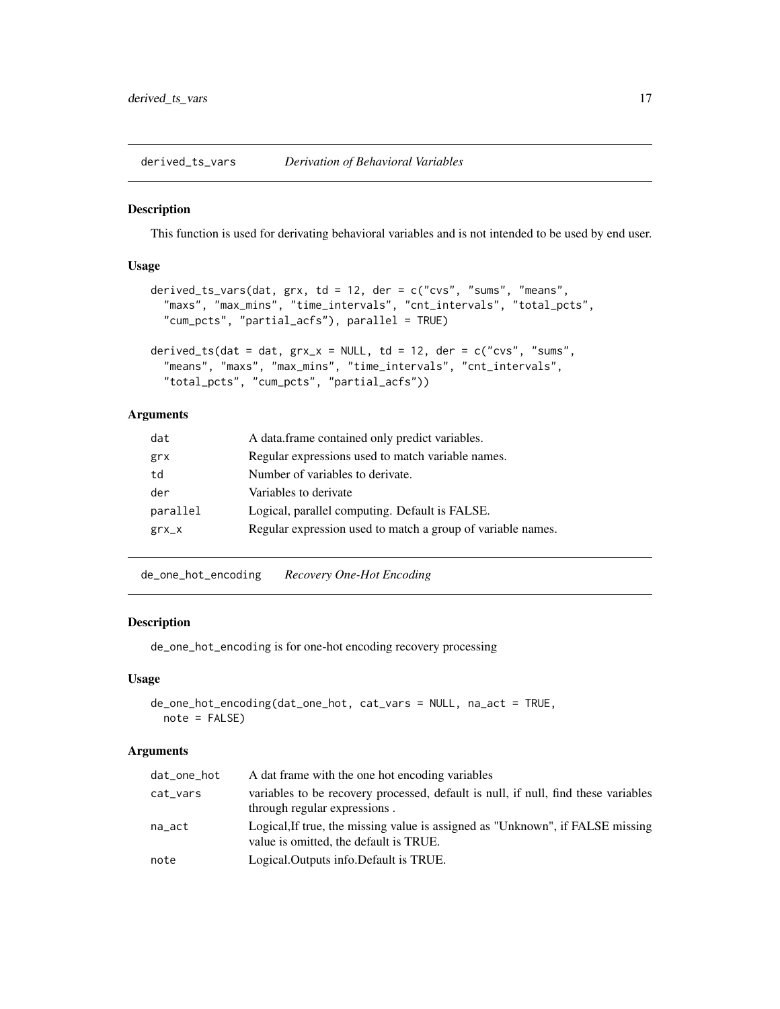<span id="page-16-0"></span>derived\_ts\_vars *Derivation of Behavioral Variables*

#### Description

This function is used for derivating behavioral variables and is not intended to be used by end user.

# Usage

```
derived_ts_vars(dat, grx, td = 12, der = c("cvs", "sums", "means",
  "maxs", "max_mins", "time_intervals", "cnt_intervals", "total_pcts",
  "cum_pcts", "partial_acfs"), parallel = TRUE)
derived_ts(dat = dat, grx_x = NULL, td = 12, der = c("cvs", "sums",
  "means", "maxs", "max_mins", "time_intervals", "cnt_intervals",
  "total_pcts", "cum_pcts", "partial_acfs"))
```
# Arguments

| dat      | A data.frame contained only predict variables.              |
|----------|-------------------------------------------------------------|
| grx      | Regular expressions used to match variable names.           |
| td       | Number of variables to derivate.                            |
| der      | Variables to derivate                                       |
| parallel | Logical, parallel computing. Default is FALSE.              |
| $grx_x$  | Regular expression used to match a group of variable names. |

de\_one\_hot\_encoding *Recovery One-Hot Encoding*

# Description

de\_one\_hot\_encoding is for one-hot encoding recovery processing

# Usage

```
de_one_hot_encoding(dat_one_hot, cat_vars = NULL, na_act = TRUE,
  note = FALSE)
```

| dat_one_hot | A dat frame with the one hot encoding variables                                                                          |
|-------------|--------------------------------------------------------------------------------------------------------------------------|
| cat_vars    | variables to be recovery processed, default is null, if null, find these variables<br>through regular expressions.       |
| na_act      | Logical, If true, the missing value is assigned as "Unknown", if FALSE missing<br>value is omitted, the default is TRUE. |
| note        | Logical. Outputs info. Default is TRUE.                                                                                  |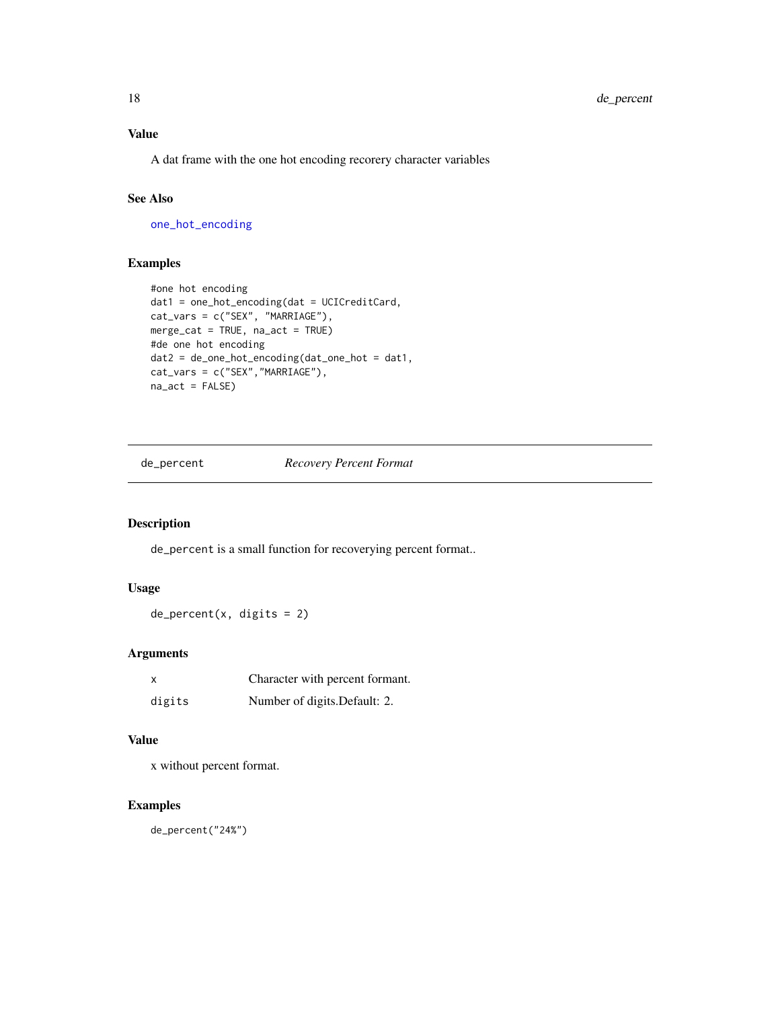# <span id="page-17-0"></span>Value

A dat frame with the one hot encoding recorery character variables

# See Also

[one\\_hot\\_encoding](#page-64-1)

# Examples

```
#one hot encoding
dat1 = one_hot_encoding(dat = UCICreditCard,
cat_vars = c("SEX", "MARRIAGE"),
merge_cat = TRUE, na_act = TRUE)
#de one hot encoding
dat2 = de_one_hot_encoding(dat_one_hot = dat1,
cat_vars = c("SEX","MARRIAGE"),
na_act = FALSE)
```
de\_percent *Recovery Percent Format*

# Description

de\_percent is a small function for recoverying percent format..

# Usage

 $de_p$ ercent $(x, \text{ digits} = 2)$ 

# Arguments

| X      | Character with percent formant. |
|--------|---------------------------------|
| digits | Number of digits. Default: 2.   |

#### Value

x without percent format.

# Examples

de\_percent("24%")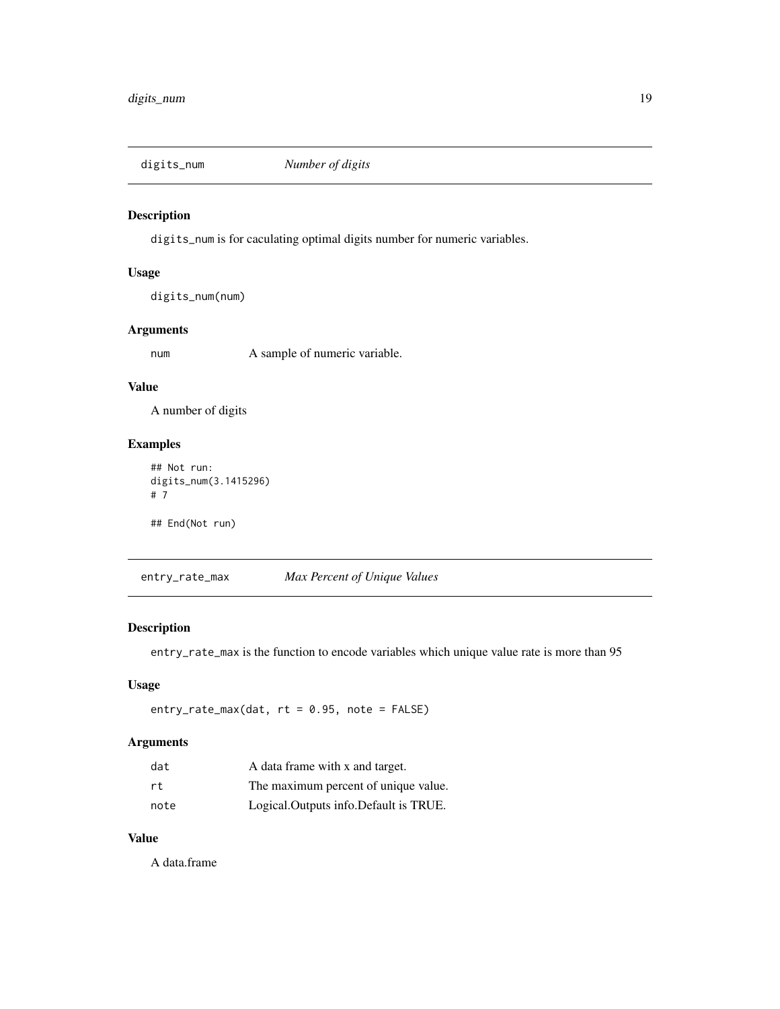<span id="page-18-0"></span>

# Description

digits\_num is for caculating optimal digits number for numeric variables.

# Usage

digits\_num(num)

# Arguments

num A sample of numeric variable.

# Value

A number of digits

#### Examples

```
## Not run:
digits_num(3.1415296)
# 7
## End(Not run)
```
<span id="page-18-1"></span>entry\_rate\_max *Max Percent of Unique Values*

# Description

entry\_rate\_max is the function to encode variables which unique value rate is more than 95

# Usage

 $entry_rate_max(data, rt = 0.95, note = FALSE)$ 

# Arguments

| dat  | A data frame with x and target.       |
|------|---------------------------------------|
| rt.  | The maximum percent of unique value.  |
| note | Logical.Outputs info.Default is TRUE. |

# Value

A data.frame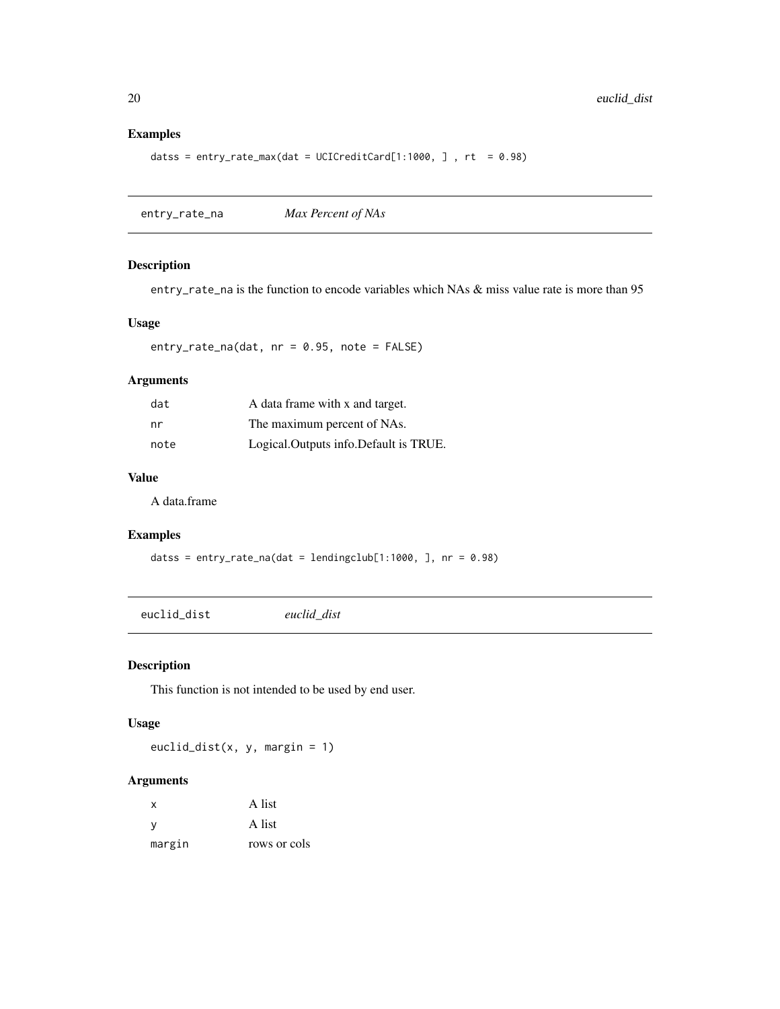# Examples

```
datss = entry_rate_max(dat = UCICreditCard[1:1000, ], rt = 0.98)
```
<span id="page-19-1"></span>entry\_rate\_na *Max Percent of NAs*

#### Description

entry\_rate\_na is the function to encode variables which NAs & miss value rate is more than 95

#### Usage

entry\_rate\_na(dat, nr = 0.95, note = FALSE)

#### Arguments

| dat  | A data frame with x and target.       |
|------|---------------------------------------|
| nr   | The maximum percent of NAs.           |
| note | Logical.Outputs info.Default is TRUE. |

#### Value

A data.frame

# Examples

datss = entry\_rate\_na(dat = lendingclub[1:1000, ], nr = 0.98)

euclid\_dist *euclid\_dist*

# Description

This function is not intended to be used by end user.

#### Usage

euclid\_dist(x, y, margin = 1)

| x      | A list       |
|--------|--------------|
| V      | A list       |
| margin | rows or cols |

<span id="page-19-0"></span>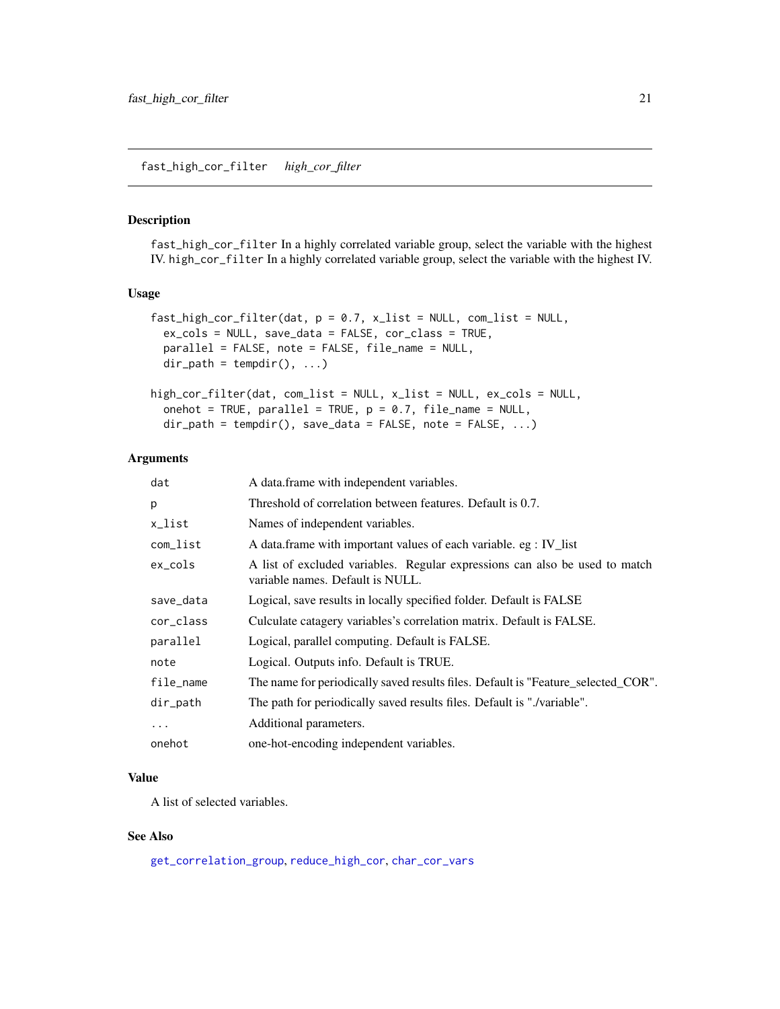#### <span id="page-20-0"></span>Description

fast\_high\_cor\_filter In a highly correlated variable group, select the variable with the highest IV. high\_cor\_filter In a highly correlated variable group, select the variable with the highest IV.

# Usage

```
fast\_high\_cor\_filter(data, p = 0.7, x\_list = NULL, com\_list = NULL,ex_cols = NULL, save_data = FALSE, cor_class = TRUE,
 parallel = FALSE, note = FALSE, file_name = NULL,
 dir\_path = tempdir(), ...)high_cor_filter(dat, com_list = NULL, x_list = NULL, ex_cols = NULL,
```

```
onehot = TRUE, parallel = TRUE, p = 0.7, file_name = NULL,
dir_path = tempdir(), save_data = FALSE, note = FALSE, ...)
```
#### Arguments

| dat        | A data frame with independent variables.                                                                        |
|------------|-----------------------------------------------------------------------------------------------------------------|
| p          | Threshold of correlation between features. Default is 0.7.                                                      |
| x_list     | Names of independent variables.                                                                                 |
| com_list   | A data.frame with important values of each variable. eg : IV_list                                               |
| $ex\_cols$ | A list of excluded variables. Regular expressions can also be used to match<br>variable names. Default is NULL. |
| save_data  | Logical, save results in locally specified folder. Default is FALSE                                             |
| cor_class  | Culculate catagery variables's correlation matrix. Default is FALSE.                                            |
| parallel   | Logical, parallel computing. Default is FALSE.                                                                  |
| note       | Logical. Outputs info. Default is TRUE.                                                                         |
| file_name  | The name for periodically saved results files. Default is "Feature_selected_COR".                               |
| dir_path   | The path for periodically saved results files. Default is "./variable".                                         |
| $\ddotsc$  | Additional parameters.                                                                                          |
| onehot     | one-hot-encoding independent variables.                                                                         |

### Value

A list of selected variables.

#### See Also

[get\\_correlation\\_group](#page-30-1), [reduce\\_high\\_cor](#page-71-2), [char\\_cor\\_vars](#page-5-1)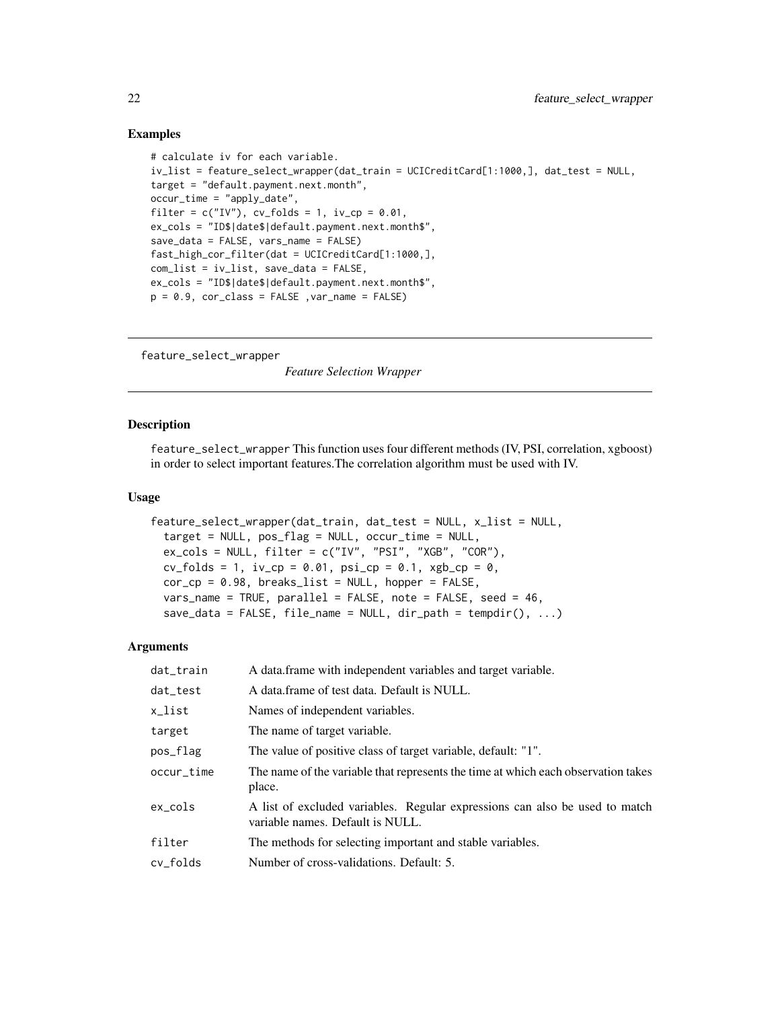#### Examples

```
# calculate iv for each variable.
iv_list = feature_select_wrapper(dat_train = UCICreditCard[1:1000,], dat_test = NULL,
target = "default.payment.next.month",
occur_time = "apply_date",
filter = c("IV"), cv_folds = 1, iv_ccp = 0.01,
ex_cols = "ID$|date$|default.payment.next.month$",
save_data = FALSE, vars_name = FALSE)
fast_high_cor_filter(dat = UCICreditCard[1:1000,],
com_list = iv_list, save_data = FALSE,
ex_cols = "ID$|date$|default.payment.next.month$",
p = 0.9, cor\_class = FALSE, var_name = FALSE
```
<span id="page-21-1"></span>feature\_select\_wrapper

*Feature Selection Wrapper*

#### Description

feature\_select\_wrapper This function uses four different methods (IV, PSI, correlation, xgboost) in order to select important features.The correlation algorithm must be used with IV.

#### Usage

```
feature_select_wrapper(dat_train, dat_test = NULL, x_list = NULL,
  target = NULL, pos_flag = NULL, occur_time = NULL,
  ex_cols = NULL, filter = c("IV", "PSI", "XGB", "COR"),
  cv_folds = 1, iv_cp = 0.01, psi_cp = 0.1, xgb_cp = 0,
  cor\_cp = 0.98, breaks\_list = NULL, hopper = FALSE,
  vars_name = TRUE, parallel = FALSE, note = FALSE, seed = 46,
  save\_data = FALSE, file_name = NULL, dir\_path = tempdir(), ...)
```

| dat_train  | A data frame with independent variables and target variable.                                                    |
|------------|-----------------------------------------------------------------------------------------------------------------|
| dat_test   | A data frame of test data. Default is NULL.                                                                     |
| x_list     | Names of independent variables.                                                                                 |
| target     | The name of target variable.                                                                                    |
| pos_flag   | The value of positive class of target variable, default: "1".                                                   |
| occur_time | The name of the variable that represents the time at which each observation takes<br>place.                     |
| ex cols    | A list of excluded variables. Regular expressions can also be used to match<br>variable names. Default is NULL. |
| filter     | The methods for selecting important and stable variables.                                                       |
| cy folds   | Number of cross-validations. Default: 5.                                                                        |

<span id="page-21-0"></span>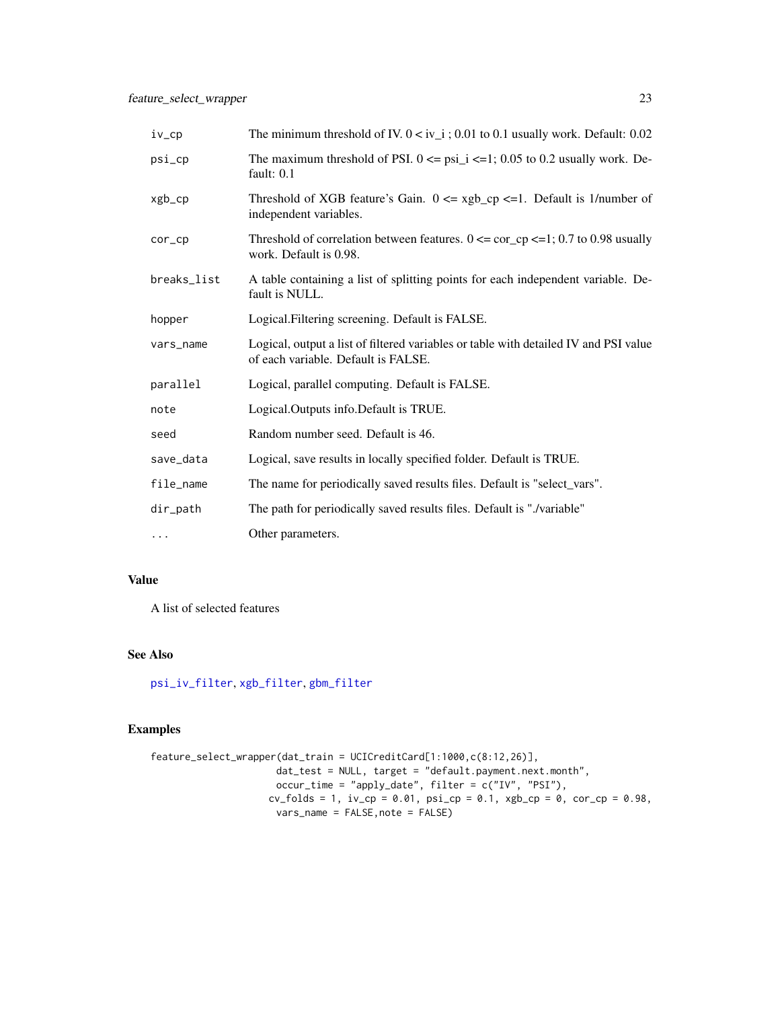| $iv_{p}$         | The minimum threshold of IV. $0 < iv$ <sub>1</sub> ; 0.01 to 0.1 usually work. Default: 0.02                                |
|------------------|-----------------------------------------------------------------------------------------------------------------------------|
| $psi_{\text{C}}$ | The maximum threshold of PSI. $0 \leq psi_i \leq -1$ ; 0.05 to 0.2 usually work. De-<br>fault: 0.1                          |
| xgb_cp           | Threshold of XGB feature's Gain. $0 \leq xgb_c$ cp $\leq 1$ . Default is 1/number of<br>independent variables.              |
| $cor\_cp$        | Threshold of correlation between features. $0 \leq \text{cor\_cp} \leq 1$ ; 0.7 to 0.98 usually<br>work. Default is 0.98.   |
| breaks_list      | A table containing a list of splitting points for each independent variable. De-<br>fault is NULL.                          |
| hopper           | Logical. Filtering screening. Default is FALSE.                                                                             |
| vars_name        | Logical, output a list of filtered variables or table with detailed IV and PSI value<br>of each variable. Default is FALSE. |
| parallel         | Logical, parallel computing. Default is FALSE.                                                                              |
| note             | Logical.Outputs info.Default is TRUE.                                                                                       |
| seed             | Random number seed. Default is 46.                                                                                          |
| save_data        | Logical, save results in locally specified folder. Default is TRUE.                                                         |
| file_name        | The name for periodically saved results files. Default is "select_vars".                                                    |
| dir_path         | The path for periodically saved results files. Default is "./variable"                                                      |
| $\cdots$         | Other parameters.                                                                                                           |

# Value

A list of selected features

# See Also

[psi\\_iv\\_filter](#page-69-1), [xgb\\_filter](#page-91-1), [gbm\\_filter](#page-23-1)

# Examples

```
feature_select_wrapper(dat_train = UCICreditCard[1:1000,c(8:12,26)],
                       dat_test = NULL, target = "default.payment.next.month",
                       occur_time = "apply_date", filter = c("IV", "PSI"),
                     cv_{f}olds = 1, iv_{f} = 0.01, psi_{f} = 0.1, xgb_{f} = 0, cor_{f} = 0.98,
                      vars_name = FALSE,note = FALSE)
```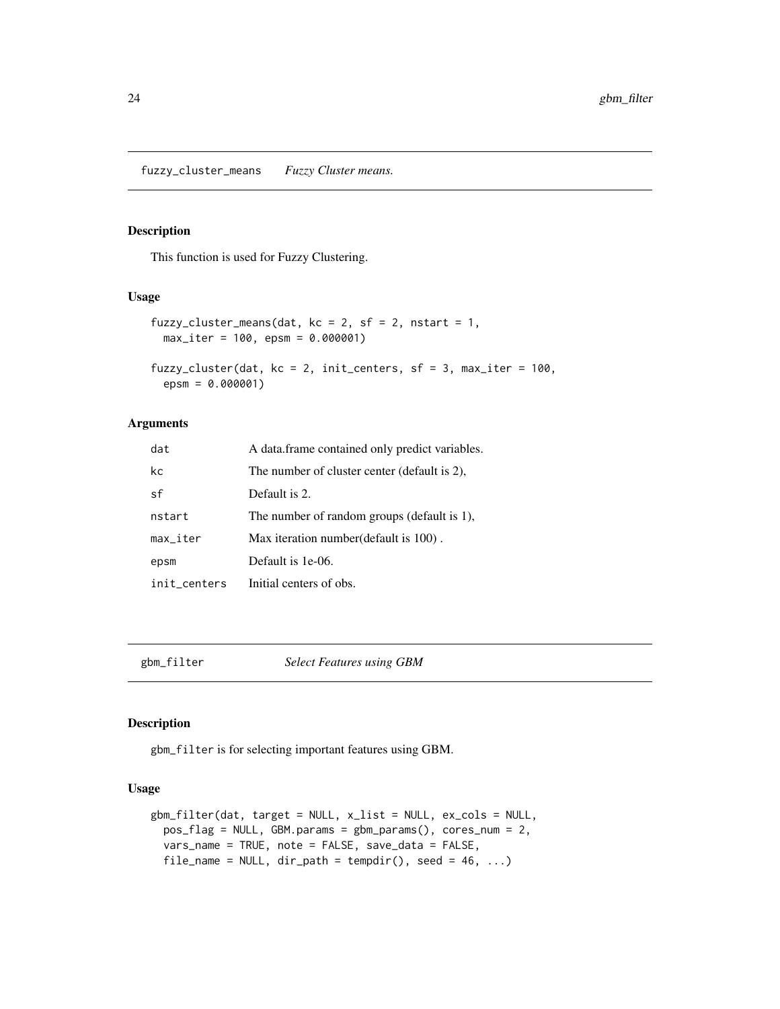<span id="page-23-0"></span>fuzzy\_cluster\_means *Fuzzy Cluster means.*

# Description

This function is used for Fuzzy Clustering.

#### Usage

```
fuzzy_cluster_means(dat, kc = 2, sf = 2, nstart = 1,
 max_iter = 100, epsm = 0.000001)
fuzzy_cluster(dat, kc = 2, init_centers, sf = 3, max_iter = 100,
  epsm = 0.000001)
```
#### Arguments

| dat                    | A data frame contained only predict variables. |
|------------------------|------------------------------------------------|
| kc                     | The number of cluster center (default is 2),   |
| sf                     | Default is 2.                                  |
| nstart                 | The number of random groups (default is 1),    |
| $max$ <sub>_iter</sub> | Max iteration number (default is 100).         |
| epsm                   | Default is 1e-06.                              |
| init_centers           | Initial centers of obs.                        |

<span id="page-23-1"></span>

gbm\_filter *Select Features using GBM*

#### Description

gbm\_filter is for selecting important features using GBM.

#### Usage

```
gbm_filter(dat, target = NULL, x_list = NULL, ex_cols = NULL,
 pos_flag = NULL, GBM.params = gbm_params(), cores_num = 2,
 vars_name = TRUE, note = FALSE, save_data = FALSE,
 file_name = NULL, dir\_path = tempdir(), seed = 46, ...)
```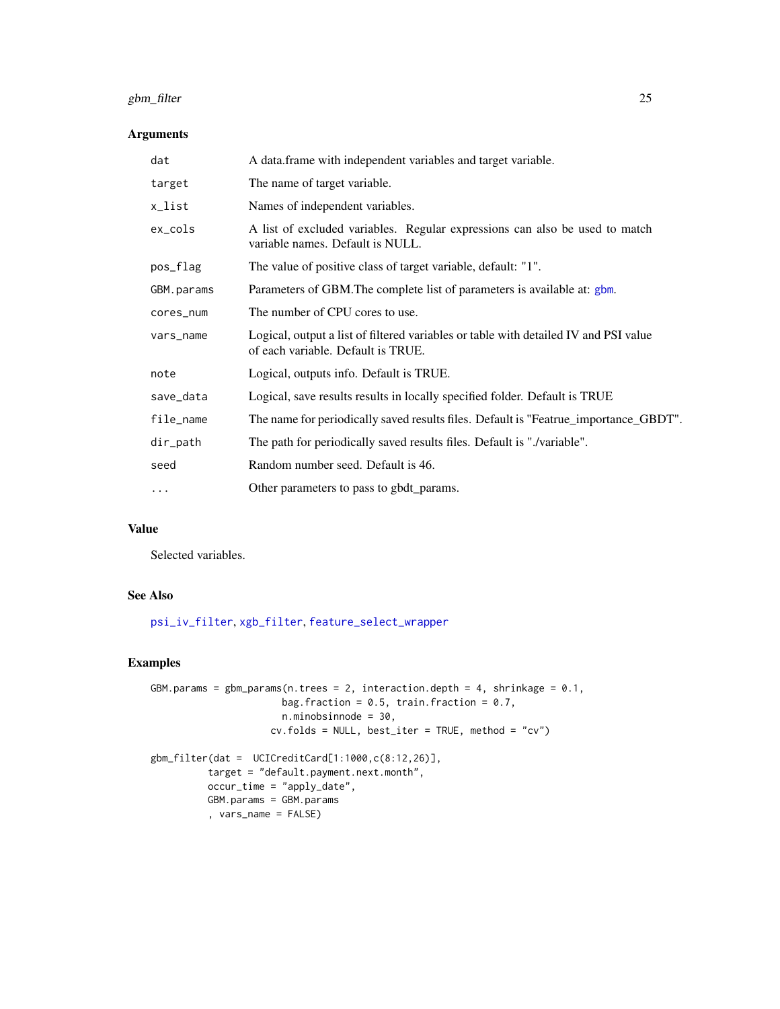# gbm\_filter 25

# Arguments

| dat        | A data.frame with independent variables and target variable.                                                               |
|------------|----------------------------------------------------------------------------------------------------------------------------|
| target     | The name of target variable.                                                                                               |
| x_list     | Names of independent variables.                                                                                            |
| ex_cols    | A list of excluded variables. Regular expressions can also be used to match<br>variable names. Default is NULL.            |
| pos_flag   | The value of positive class of target variable, default: "1".                                                              |
| GBM.params | Parameters of GBM. The complete list of parameters is available at: gbm.                                                   |
| cores_num  | The number of CPU cores to use.                                                                                            |
| vars_name  | Logical, output a list of filtered variables or table with detailed IV and PSI value<br>of each variable. Default is TRUE. |
| note       | Logical, outputs info. Default is TRUE.                                                                                    |
| save_data  | Logical, save results results in locally specified folder. Default is TRUE                                                 |
| file_name  | The name for periodically saved results files. Default is "Featrue_importance_GBDT".                                       |
| dir_path   | The path for periodically saved results files. Default is "./variable".                                                    |
| seed       | Random number seed. Default is 46.                                                                                         |
| $\ddots$   | Other parameters to pass to gbdt_params.                                                                                   |

# Value

Selected variables.

# See Also

[psi\\_iv\\_filter](#page-69-1), [xgb\\_filter](#page-91-1), [feature\\_select\\_wrapper](#page-21-1)

# Examples

```
GBM.params = gbm_params(n.trees = 2, interaction.depth = 4, shrinkage = 0.1,
                      bag.fraction = 0.5, train.fraction = 0.7,
                      n.minobsinnode = 30,
                    cv.folds = NULL, best\_iter = TRUE, method = "cv")gbm_filter(dat = UCICreditCard[1:1000,c(8:12,26)],
          target = "default.payment.next.month",
         occur_time = "apply_date",
         GBM.params = GBM.params
          , vars_name = FALSE)
```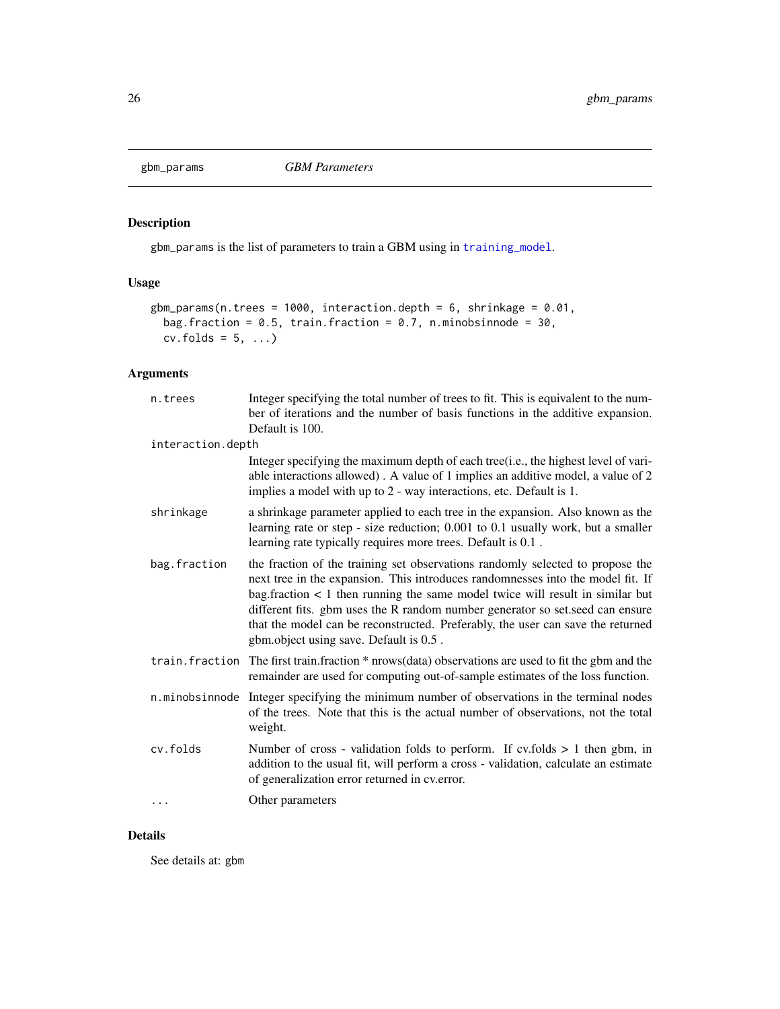<span id="page-25-0"></span>

# Description

gbm\_params is the list of parameters to train a GBM using in [training\\_model](#page-83-1).

# Usage

```
gbm_params(n.trees = 1000, interaction.depth = 6, shrinkage = 0.01,
 bag.fraction = 0.5, train.fraction = 0.7, n.minobsinnode = 30,
 cv.folds = 5, ...
```
# Arguments

| n.trees           | Integer specifying the total number of trees to fit. This is equivalent to the num-<br>ber of iterations and the number of basis functions in the additive expansion.<br>Default is 100.                                                                                                                                                                                                                                                                              |
|-------------------|-----------------------------------------------------------------------------------------------------------------------------------------------------------------------------------------------------------------------------------------------------------------------------------------------------------------------------------------------------------------------------------------------------------------------------------------------------------------------|
| interaction.depth |                                                                                                                                                                                                                                                                                                                                                                                                                                                                       |
|                   | Integer specifying the maximum depth of each tree(i.e., the highest level of vari-<br>able interactions allowed). A value of 1 implies an additive model, a value of 2<br>implies a model with up to 2 - way interactions, etc. Default is 1.                                                                                                                                                                                                                         |
| shrinkage         | a shrinkage parameter applied to each tree in the expansion. Also known as the<br>learning rate or step - size reduction; 0.001 to 0.1 usually work, but a smaller<br>learning rate typically requires more trees. Default is 0.1.                                                                                                                                                                                                                                    |
| bag.fraction      | the fraction of the training set observations randomly selected to propose the<br>next tree in the expansion. This introduces randomnesses into the model fit. If<br>bag. fraction $\lt 1$ then running the same model twice will result in similar but<br>different fits. gbm uses the R random number generator so set seed can ensure<br>that the model can be reconstructed. Preferably, the user can save the returned<br>gbm.object using save. Default is 0.5. |
|                   | train. fraction The first train. fraction * nrows(data) observations are used to fit the gbm and the<br>remainder are used for computing out-of-sample estimates of the loss function.                                                                                                                                                                                                                                                                                |
| n.minobsinnode    | Integer specifying the minimum number of observations in the terminal nodes<br>of the trees. Note that this is the actual number of observations, not the total<br>weight.                                                                                                                                                                                                                                                                                            |
| cv.folds          | Number of cross - validation folds to perform. If cv.folds $> 1$ then gbm, in<br>addition to the usual fit, will perform a cross - validation, calculate an estimate<br>of generalization error returned in cv.error.                                                                                                                                                                                                                                                 |
| $\cdots$          | Other parameters                                                                                                                                                                                                                                                                                                                                                                                                                                                      |

# Details

See details at: gbm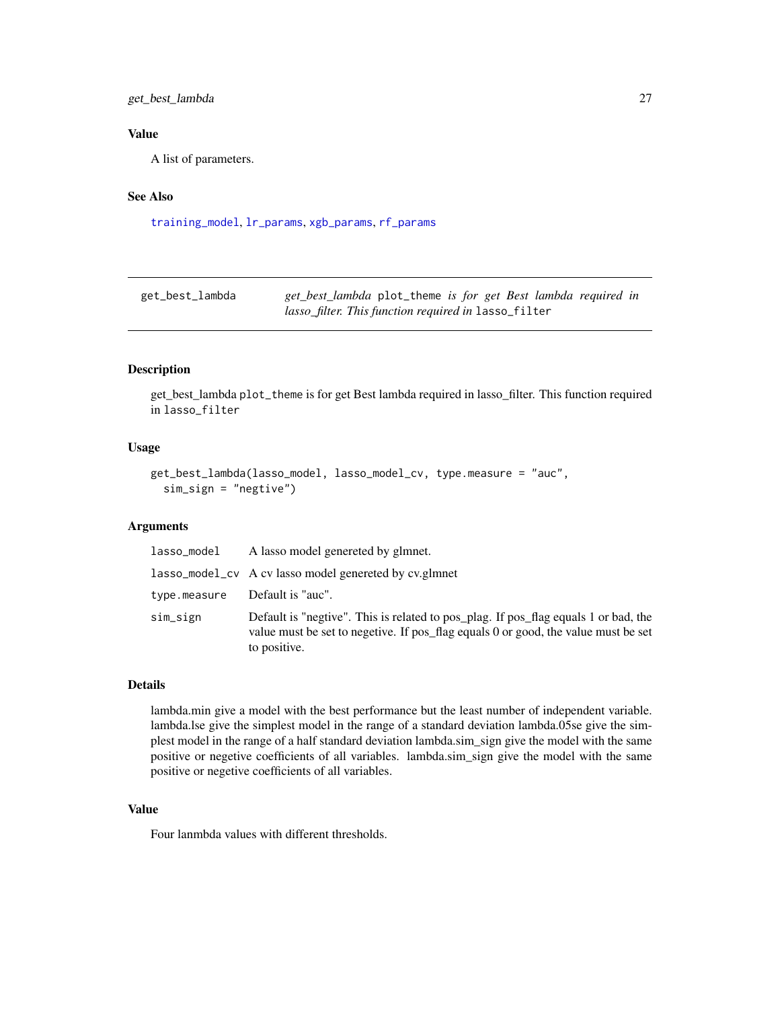# <span id="page-26-0"></span>get\_best\_lambda 27

# Value

A list of parameters.

# See Also

[training\\_model](#page-83-1), [lr\\_params](#page-60-2), [xgb\\_params](#page-92-1), [rf\\_params](#page-73-1)

| get_best_lambda | get_best_lambda plot_theme is for get Best lambda required in |
|-----------------|---------------------------------------------------------------|
|                 | <i>lasso_filter. This function required in</i> lasso_filter   |

# Description

get\_best\_lambda plot\_theme is for get Best lambda required in lasso\_filter. This function required in lasso\_filter

# Usage

```
get_best_lambda(lasso_model, lasso_model_cv, type.measure = "auc",
 sim_sign = "negtive")
```
# Arguments

| lasso_model  | A lasso model genereted by glmnet.                                                                                                                                                        |
|--------------|-------------------------------------------------------------------------------------------------------------------------------------------------------------------------------------------|
|              | lasso_model_cv A cv lasso model genereted by cv.glmnet                                                                                                                                    |
| type.measure | Default is "auc".                                                                                                                                                                         |
| sim_sign     | Default is "negtive". This is related to pos_plag. If pos_flag equals 1 or bad, the<br>value must be set to negetive. If pos_flag equals 0 or good, the value must be set<br>to positive. |

# Details

lambda.min give a model with the best performance but the least number of independent variable. lambda.lse give the simplest model in the range of a standard deviation lambda.05se give the simplest model in the range of a half standard deviation lambda.sim\_sign give the model with the same positive or negetive coefficients of all variables. lambda.sim\_sign give the model with the same positive or negetive coefficients of all variables.

# Value

Four lanmbda values with different thresholds.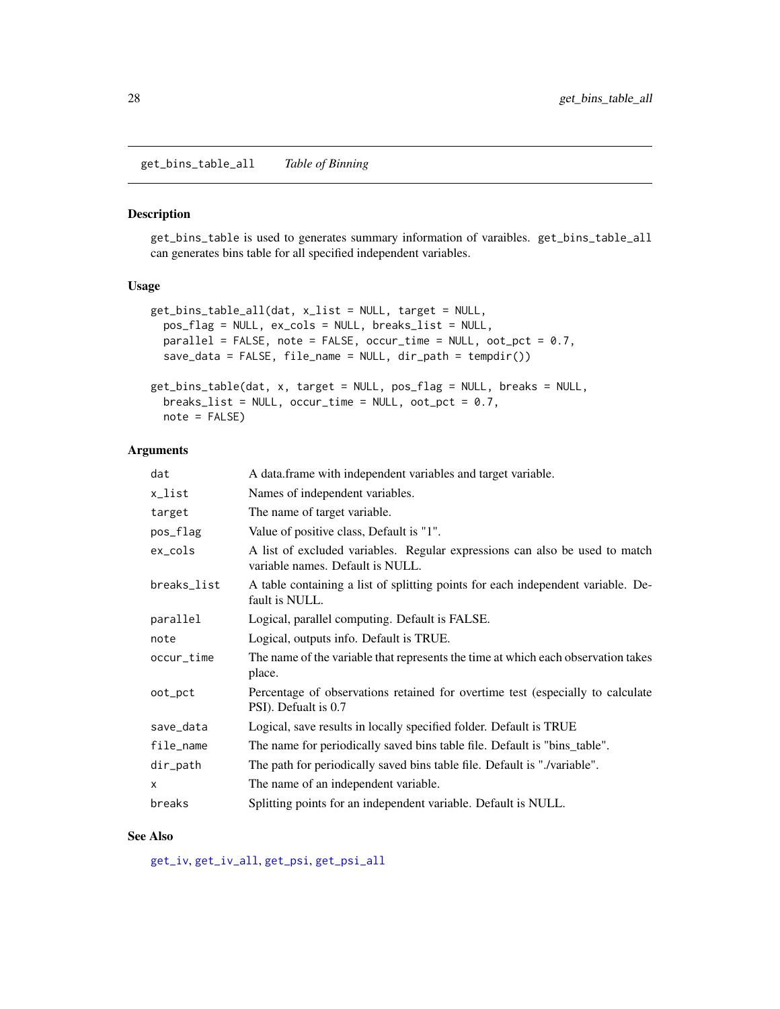<span id="page-27-0"></span>get\_bins\_table\_all *Table of Binning*

#### Description

get\_bins\_table is used to generates summary information of varaibles. get\_bins\_table\_all can generates bins table for all specified independent variables.

# Usage

```
get_bins_table_all(dat, x_list = NULL, target = NULL,
 pos_flag = NULL, ex_cols = NULL, breaks_list = NULL,
 parallel = FALSE, note = FALSE, occur_time = NULL, oot_pct = 0.7,
  save_data = FALSE, file_name = NULL, dir_path = tempdir())
get_bins_table(dat, x, target = NULL, pos_flag = NULL, breaks = NULL,
 breaks_list = NULL, occur_time = NULL, oot_pct = 0.7,
 note = FALSE)
```
#### Arguments

| dat          | A data.frame with independent variables and target variable.                                                    |
|--------------|-----------------------------------------------------------------------------------------------------------------|
| x_list       | Names of independent variables.                                                                                 |
| target       | The name of target variable.                                                                                    |
| pos_flag     | Value of positive class, Default is "1".                                                                        |
| ex_cols      | A list of excluded variables. Regular expressions can also be used to match<br>variable names. Default is NULL. |
| breaks_list  | A table containing a list of splitting points for each independent variable. De-<br>fault is NULL.              |
| parallel     | Logical, parallel computing. Default is FALSE.                                                                  |
| note         | Logical, outputs info. Default is TRUE.                                                                         |
| occur_time   | The name of the variable that represents the time at which each observation takes<br>place.                     |
| oot_pct      | Percentage of observations retained for overtime test (especially to calculate<br>PSI). Defualt is 0.7          |
| save_data    | Logical, save results in locally specified folder. Default is TRUE                                              |
| file_name    | The name for periodically saved bins table file. Default is "bins_table".                                       |
| dir_path     | The path for periodically saved bins table file. Default is "./variable".                                       |
| $\mathsf{x}$ | The name of an independent variable.                                                                            |
| breaks       | Splitting points for an independent variable. Default is NULL.                                                  |

#### See Also

[get\\_iv](#page-32-1), [get\\_iv\\_all](#page-32-2), [get\\_psi](#page-37-1), [get\\_psi\\_all](#page-37-2)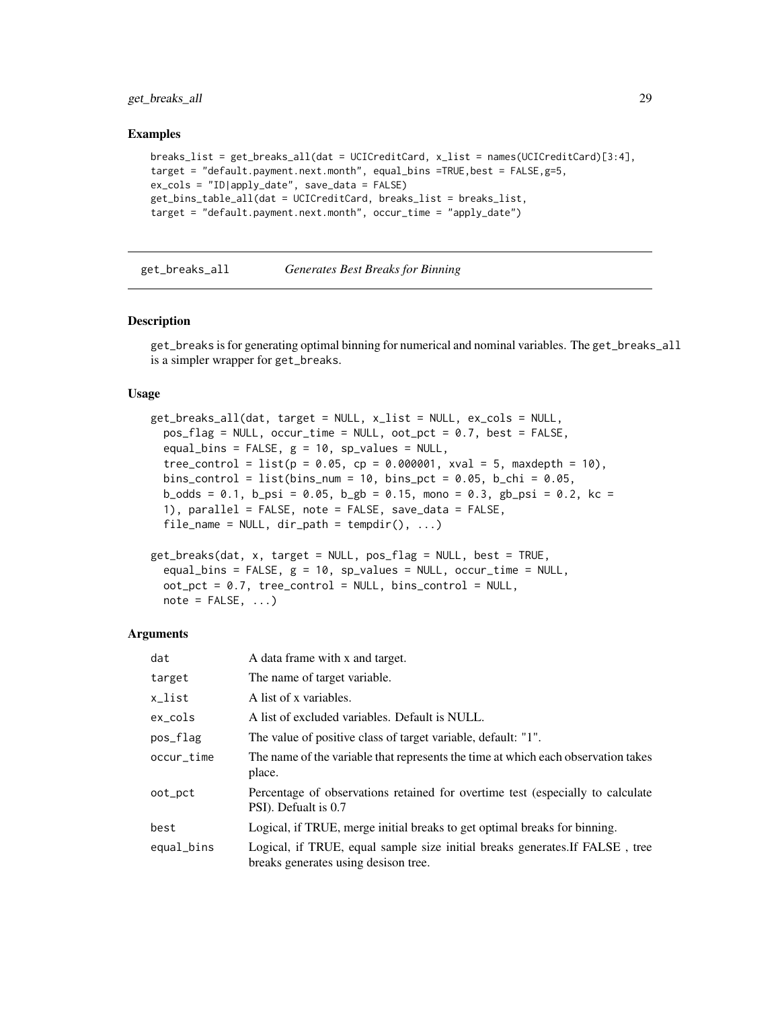<span id="page-28-0"></span>get\_breaks\_all 29

#### Examples

```
breaks_list = get_breaks_all(dat = UCICreditCard, x_list = names(UCICreditCard)[3:4],
target = "default.payment.next.month", equal_bins =TRUE,best = FALSE,g=5,
ex_cols = "ID|apply_date", save_data = FALSE)
get_bins_table_all(dat = UCICreditCard, breaks_list = breaks_list,
target = "default.payment.next.month", occur_time = "apply_date")
```
<span id="page-28-2"></span>get\_breaks\_all *Generates Best Breaks for Binning*

#### <span id="page-28-1"></span>Description

get\_breaks is for generating optimal binning for numerical and nominal variables. The get\_breaks\_all is a simpler wrapper for get\_breaks.

#### Usage

```
get_breaks_all(dat, target = NULL, x_list = NULL, ex_cols = NULL,
 pos_flag = NULL, occur_time = NULL, oot_pct = 0.7, best = FALSE,
 equal_bins = FALSE, g = 10, sp_values = NULL,
  tree\_control = list(p = 0.05, cp = 0.000001, xval = 5, maxdepth = 10),bins_control = list(bins_num = 10, bins_pct = 0.05, b_chi = 0.05,
 b_odds = 0.1, b_psi = 0.05, b_gb = 0.15, mono = 0.3, gb_psi = 0.2, kc =
  1), parallel = FALSE, note = FALSE, save_data = FALSE,
  file_name = NULL, dir.path = tempdir(), ...)
```

```
get_breaks(dat, x, target = NULL, pos_flag = NULL, best = TRUE,
 equal_bins = FALSE, g = 10, sp_values = NULL, occur_time = NULL,
 oot_pct = 0.7, tree_control = NULL, bins_control = NULL,
 note = FALSE, ...)
```

| dat        | A data frame with x and target.                                                                                      |
|------------|----------------------------------------------------------------------------------------------------------------------|
| target     | The name of target variable.                                                                                         |
| x_list     | A list of x variables.                                                                                               |
| $ex\_cols$ | A list of excluded variables. Default is NULL.                                                                       |
| pos_flag   | The value of positive class of target variable, default: "1".                                                        |
| occur_time | The name of the variable that represents the time at which each observation takes<br>place.                          |
| oot_pct    | Percentage of observations retained for overtime test (especially to calculate<br>PSI). Defualt is 0.7               |
| best       | Logical, if TRUE, merge initial breaks to get optimal breaks for binning.                                            |
| equal_bins | Logical, if TRUE, equal sample size initial breaks generates. If FALSE, tree<br>breaks generates using desison tree. |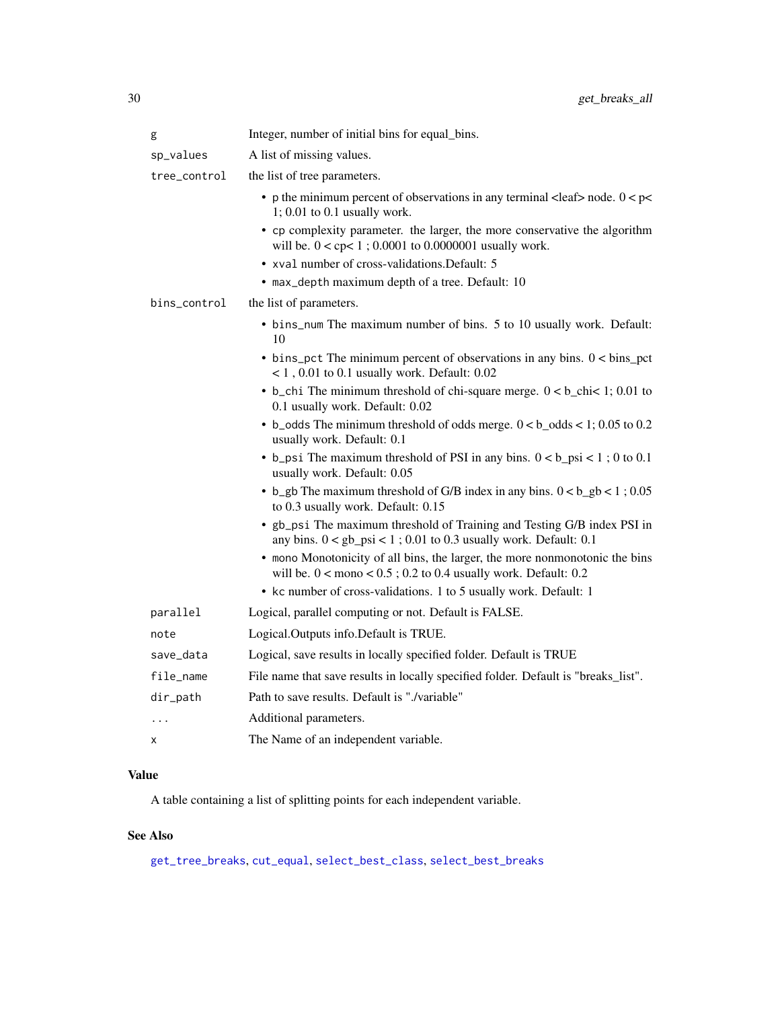| g            | Integer, number of initial bins for equal_bins.                                                                                                                   |
|--------------|-------------------------------------------------------------------------------------------------------------------------------------------------------------------|
| sp_values    | A list of missing values.                                                                                                                                         |
| tree_control | the list of tree parameters.                                                                                                                                      |
|              | • p the minimum percent of observations in any terminal <leaf> node. <math>0 &lt; p &lt;</math><br/><math>1; 0.01</math> to <math>0.1</math> usually work.</leaf> |
|              | • cp complexity parameter. the larger, the more conservative the algorithm<br>will be. $0 <$ cp $< 1$ ; 0.0001 to 0.0000001 usually work.                         |
|              | • xval number of cross-validations. Default: 5                                                                                                                    |
|              | • max_depth maximum depth of a tree. Default: 10                                                                                                                  |
| bins_control | the list of parameters.                                                                                                                                           |
|              | • bins_num The maximum number of bins. 5 to 10 usually work. Default:<br>10                                                                                       |
|              | $\bullet$ bins_pct The minimum percent of observations in any bins. $0 < \text{bins\_pot}$<br>$< 1$ , 0.01 to 0.1 usually work. Default: 0.02                     |
|              | • b_chi The minimum threshold of chi-square merge. $0 < b$ _chi< 1; 0.01 to<br>0.1 usually work. Default: 0.02                                                    |
|              | • b_odds The minimum threshold of odds merge. $0 < b$ _odds < 1; 0.05 to 0.2<br>usually work. Default: 0.1                                                        |
|              | • b_psi The maximum threshold of PSI in any bins. $0 < b$ _psi < 1; 0 to 0.1<br>usually work. Default: 0.05                                                       |
|              | • b_gb The maximum threshold of G/B index in any bins. $0 < b$ _gb < 1; 0.05<br>to 0.3 usually work. Default: 0.15                                                |
|              | • gb_psi The maximum threshold of Training and Testing G/B index PSI in<br>any bins. $0 < gb$ psi < 1; 0.01 to 0.3 usually work. Default: 0.1                     |
|              | • mono Monotonicity of all bins, the larger, the more nonmonotonic the bins<br>will be. $0 <$ mono $< 0.5$ ; 0.2 to 0.4 usually work. Default: 0.2                |
|              | • kc number of cross-validations. 1 to 5 usually work. Default: 1                                                                                                 |
| parallel     | Logical, parallel computing or not. Default is FALSE.                                                                                                             |
| note         | Logical.Outputs info.Default is TRUE.                                                                                                                             |
| save_data    | Logical, save results in locally specified folder. Default is TRUE                                                                                                |
| file_name    | File name that save results in locally specified folder. Default is "breaks_list".                                                                                |
| dir_path     | Path to save results. Default is "./variable"                                                                                                                     |
| .            | Additional parameters.                                                                                                                                            |
| х            | The Name of an independent variable.                                                                                                                              |

# Value

A table containing a list of splitting points for each independent variable.

# See Also

[get\\_tree\\_breaks](#page-42-1), [cut\\_equal](#page-12-1), [select\\_best\\_class](#page-77-1), [select\\_best\\_breaks](#page-77-2)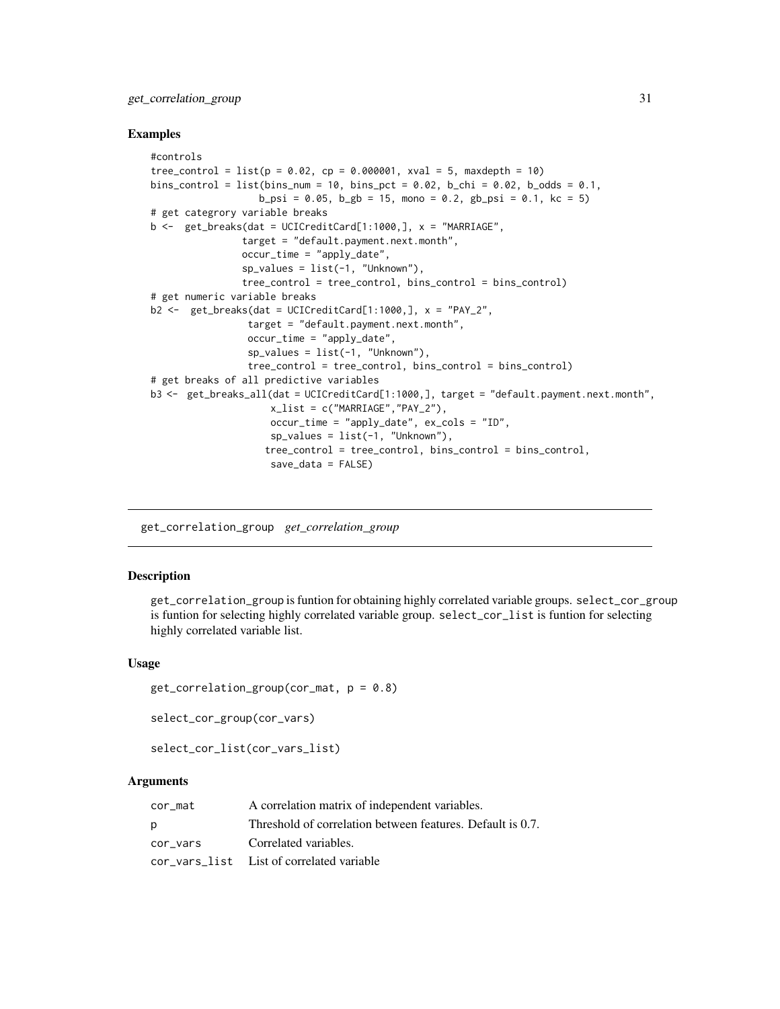# <span id="page-30-0"></span>get\_correlation\_group 31

#### Examples

```
#controls
tree_control = list(p = 0.02, cp = 0.000001, xval = 5, maxdepth = 10)bins_control = list(bins_num = 10, bins_pct = 0.02, b_chi = 0.02, b_odds = 0.1,
                   b_psi = 0.05, b_gb = 15, mono = 0.2, gb_psi = 0.1, kc = 5)
# get categrory variable breaks
b \leq get_breaks(dat = UCICreditCard[1:1000,], x = "MARRIAGE",
                target = "default.payment.next.month",
                occur_time = "apply_date",
                sp_values = list(-1, "Unknown"),
                tree_control = tree_control, bins_control = bins_control)
# get numeric variable breaks
b2 \leq get_breaks(dat = UCICreditCard[1:1000,], x = "PAY_2",target = "default.payment.next.month",
                 occur_time = "apply_date",
                 sp_values = list(-1, "Unknown"),tree_control = tree_control, bins_control = bins_control)
# get breaks of all predictive variables
b3 <- get_breaks_all(dat = UCICreditCard[1:1000,], target = "default.payment.next.month",
                     x_list = c("MARRIAGE","PAY_2"),
                     occur_time = "apply_date", ex_cols = "ID",
                     sp_values = list(-1, "Unknown"),
                    tree_control = tree_control, bins_control = bins_control,
                     save_data = FALSE)
```
<span id="page-30-1"></span>get\_correlation\_group *get\_correlation\_group*

#### Description

get\_correlation\_group is funtion for obtaining highly correlated variable groups. select\_cor\_group is funtion for selecting highly correlated variable group. select\_cor\_list is funtion for selecting highly correlated variable list.

#### Usage

```
get\_correlation\_group(cor\_mat, p = 0.8)
```
select\_cor\_group(cor\_vars)

```
select_cor_list(cor_vars_list)
```

| cor mat  | A correlation matrix of independent variables.             |
|----------|------------------------------------------------------------|
| D        | Threshold of correlation between features. Default is 0.7. |
| cor vars | Correlated variables.                                      |
|          | cor vars list List of correlated variable                  |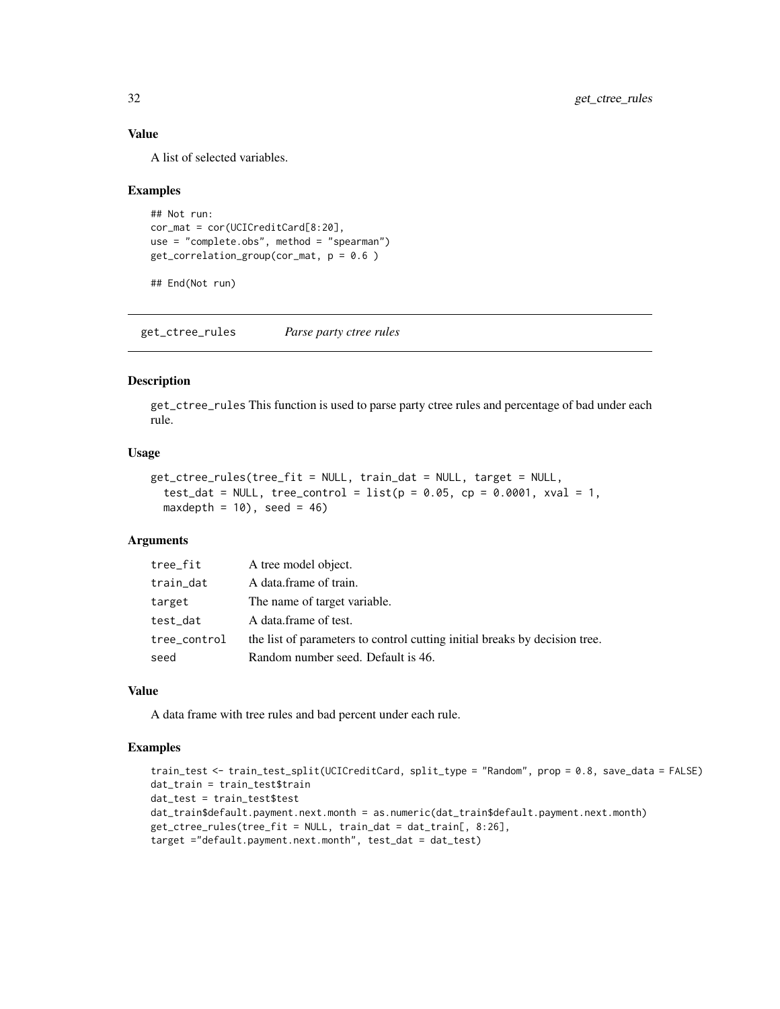# Value

A list of selected variables.

#### Examples

```
## Not run:
cor_mat = cor(UCICreditCard[8:20],
use = "complete.obs", method = "spearman")
get\_correlation\_group(cor\_mat, p = 0.6)
```

```
## End(Not run)
```
get\_ctree\_rules *Parse party ctree rules*

#### Description

get\_ctree\_rules This function is used to parse party ctree rules and percentage of bad under each rule.

#### Usage

```
get_ctree_rules(tree_fit = NULL, train_dat = NULL, target = NULL,
  test_dat = NULL, tree_control = list(p = 0.05, cp = 0.0001, xval = 1,maxdepth = 10), seed = 46)
```
### Arguments

| tree_fit     | A tree model object.                                                       |
|--------------|----------------------------------------------------------------------------|
| train_dat    | A data frame of train.                                                     |
| target       | The name of target variable.                                               |
| test_dat     | A data frame of test.                                                      |
| tree_control | the list of parameters to control cutting initial breaks by decision tree. |
| seed         | Random number seed. Default is 46.                                         |

#### Value

A data frame with tree rules and bad percent under each rule.

#### Examples

```
train_test <- train_test_split(UCICreditCard, split_type = "Random", prop = 0.8, save_data = FALSE)
dat_train = train_test$train
dat_test = train_test$test
dat_train$default.payment.next.month = as.numeric(dat_train$default.payment.next.month)
get_ctree_rules(tree_fit = NULL, train_dat = dat_train[, 8:26],
target ="default.payment.next.month", test_dat = dat_test)
```
<span id="page-31-0"></span>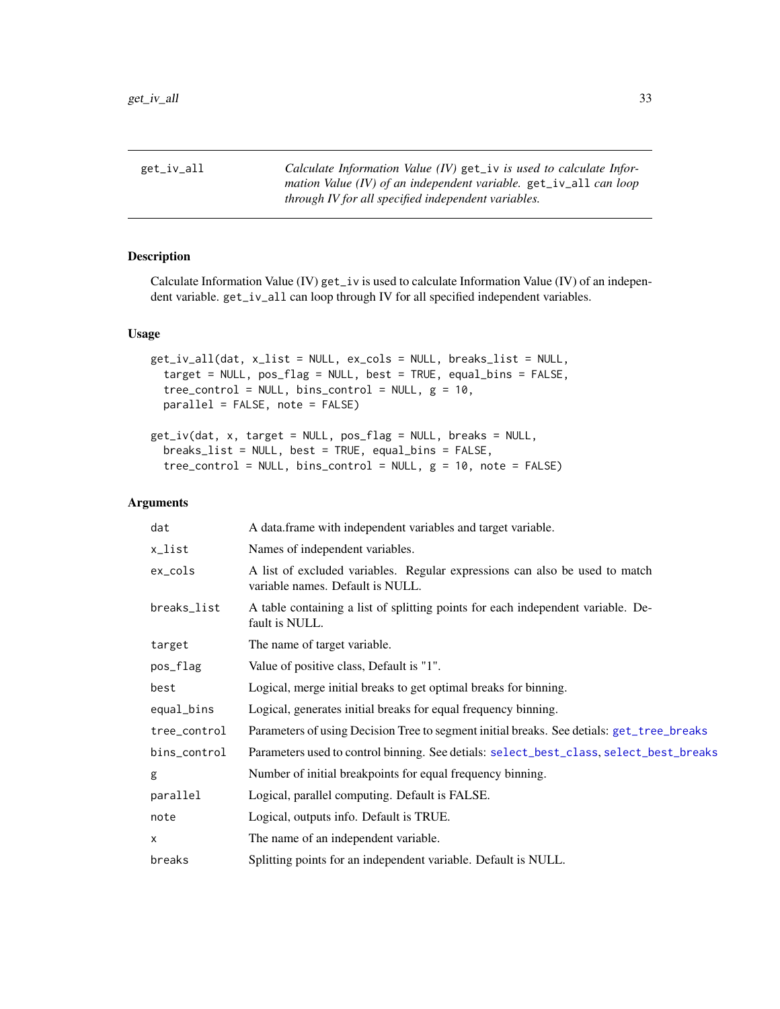<span id="page-32-2"></span><span id="page-32-0"></span>get\_iv\_all *Calculate Information Value (IV)* get\_iv *is used to calculate Information Value (IV) of an independent variable.* get\_iv\_all *can loop through IV for all specified independent variables.*

# <span id="page-32-1"></span>Description

Calculate Information Value (IV) get\_iv is used to calculate Information Value (IV) of an independent variable. get\_iv\_all can loop through IV for all specified independent variables.

# Usage

```
get_iv_all(dat, x_list = NULL, ex_cols = NULL, breaks_list = NULL,
  target = NULL, pos_flag = NULL, best = TRUE, equal_bins = FALSE,
  tree\_control = NULL, bins\_control = NULL, g = 10,parallel = FALSE, note = FALSE)
```

```
get_iv(dat, x, target = NULL, pos_flag = NULL, breaks = NULL,
  breaks_list = NULL, best = TRUE, equal_bins = FALSE,
  tree\_control = NULL, bins\_control = NULL, g = 10, note = FALSE)
```

| dat          | A data.frame with independent variables and target variable.                                                    |
|--------------|-----------------------------------------------------------------------------------------------------------------|
| x_list       | Names of independent variables.                                                                                 |
| ex_cols      | A list of excluded variables. Regular expressions can also be used to match<br>variable names. Default is NULL. |
| breaks_list  | A table containing a list of splitting points for each independent variable. De-<br>fault is NULL.              |
| target       | The name of target variable.                                                                                    |
| pos_flag     | Value of positive class, Default is "1".                                                                        |
| best         | Logical, merge initial breaks to get optimal breaks for binning.                                                |
| equal_bins   | Logical, generates initial breaks for equal frequency binning.                                                  |
| tree_control | Parameters of using Decision Tree to segment initial breaks. See detials: get_tree_breaks                       |
| bins_control | Parameters used to control binning. See detials: select_best_class, select_best_breaks                          |
| g            | Number of initial breakpoints for equal frequency binning.                                                      |
| parallel     | Logical, parallel computing. Default is FALSE.                                                                  |
| note         | Logical, outputs info. Default is TRUE.                                                                         |
| X            | The name of an independent variable.                                                                            |
| breaks       | Splitting points for an independent variable. Default is NULL.                                                  |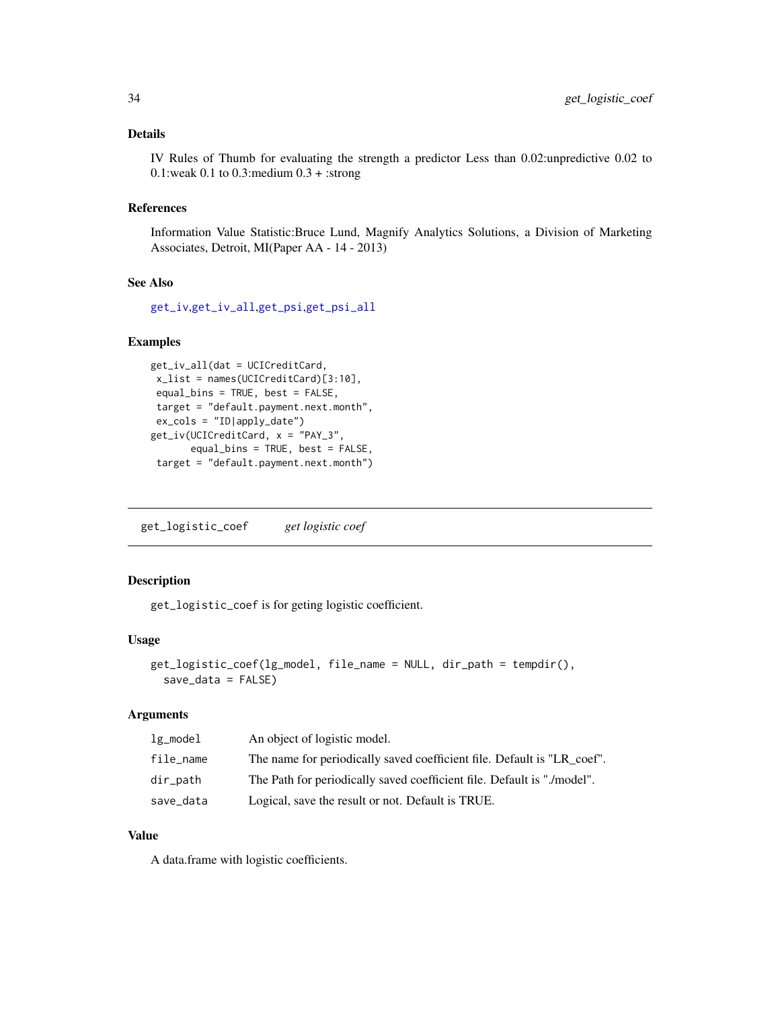#### <span id="page-33-0"></span>Details

IV Rules of Thumb for evaluating the strength a predictor Less than 0.02:unpredictive 0.02 to 0.1:weak 0.1 to 0.3: medium  $0.3 +$ : strong

#### References

Information Value Statistic:Bruce Lund, Magnify Analytics Solutions, a Division of Marketing Associates, Detroit, MI(Paper AA - 14 - 2013)

#### See Also

[get\\_iv](#page-32-1),[get\\_iv\\_all](#page-32-2),[get\\_psi](#page-37-1),[get\\_psi\\_all](#page-37-2)

#### Examples

```
get_iv_all(dat = UCICreditCard,
x_list = names(UCICreditCard)[3:10],
equal_bins = TRUE, best = FALSE,
target = "default.payment.next.month",
ex_cols = "ID|apply_date")
get_iv(UCICreditCard, x = "PAY_3",
      equal_bins = TRUE, best = FALSE,
target = "default.payment.next.month")
```
get\_logistic\_coef *get logistic coef*

# Description

get\_logistic\_coef is for geting logistic coefficient.

#### Usage

```
get_logistic_coef(lg_model, file_name = NULL, dir_path = tempdir(),
  save_data = FALSE)
```
# Arguments

| $lg\_model$ | An object of logistic model.                                            |
|-------------|-------------------------------------------------------------------------|
| file_name   | The name for periodically saved coefficient file. Default is "LR coef". |
| dir_path    | The Path for periodically saved coefficient file. Default is "./model". |
| save_data   | Logical, save the result or not. Default is TRUE.                       |

# Value

A data.frame with logistic coefficients.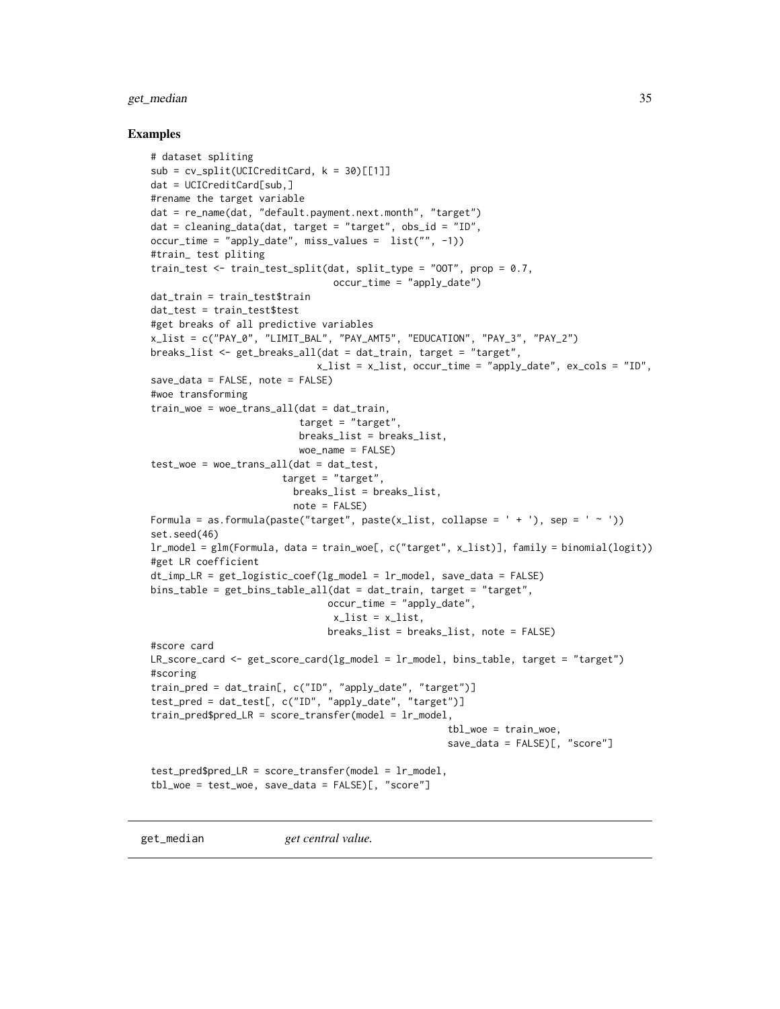#### <span id="page-34-0"></span>get\_median 35

#### Examples

```
# dataset spliting
sub = cv_split(UCICredictCard, k = 30)[[1]]dat = UCICreditCard[sub,]
#rename the target variable
dat = re_name(dat, "default.payment.next.month", "target")
dat = cleaning_data(dat, target = "target", obs_id = "ID",
occur_time = "apply_date", miss_values = list("", -1))
#train_ test pliting
train_test <- train_test_split(dat, split_type = "OOT", prop = 0.7,
                                occur_time = "apply_date")
dat_train = train_test$train
dat_test = train_test$test
#get breaks of all predictive variables
x_list = c("PAY_0", "LIMIT_BAL", "PAY_AMT5", "EDUCATION", "PAY_3", "PAY_2")
breaks_list <- get_breaks_all(dat = dat_train, target = "target",
                             x_list = x_list, occur_time = "apply_date", ex\_cols = "ID",save_data = FALSE, note = FALSE)
#woe transforming
train_woe = woe_trans_all(dat = dat_train,
                          target = "target",
                          breaks_list = breaks_list,
                          woe_name = FALSE)
test_woe = woe_trans_all(dat = dat_test,
                       target = "target",
                         breaks_list = breaks_list,
                         note = FALSE)
Formula = as.formula(paste("target", paste(x_list, collapse = ' + '), sep = ' ~ '))
set.seed(46)
lr_model = glm(Formula, data = train_woe[, c("target", x_list)], family = binomial(logit))
#get LR coefficient
dt\_imp_LR = get\_logistic\_coeff(lg\_model = lr\_model, save\_data = FALSE)bins_table = get_bins_table_all(dat = dat_train, target = "target",
                               occur_time = "apply_date",
                                x_list = x_list,breaks_list = breaks_list, note = FALSE)
#score card
LR_score_card <- get_score_card(lg_model = lr_model, bins_table, target = "target")
#scoring
train_pred = dat_train[, c("ID", "apply_date", "target")]
test_pred = dat_test[, c("ID", "apply_date", "target")]
train\_pred\LR = score_transfer(model = lr\_model,
                                                    tbl_woe = train_woe,
                                                    save_data = FALSE)[, "score"]
test_pred$pred_LR = score_transfer(model = lr_model,
tbl_woe = test_woe, save_data = FALSE)[, "score"]
```
get\_median *get central value.*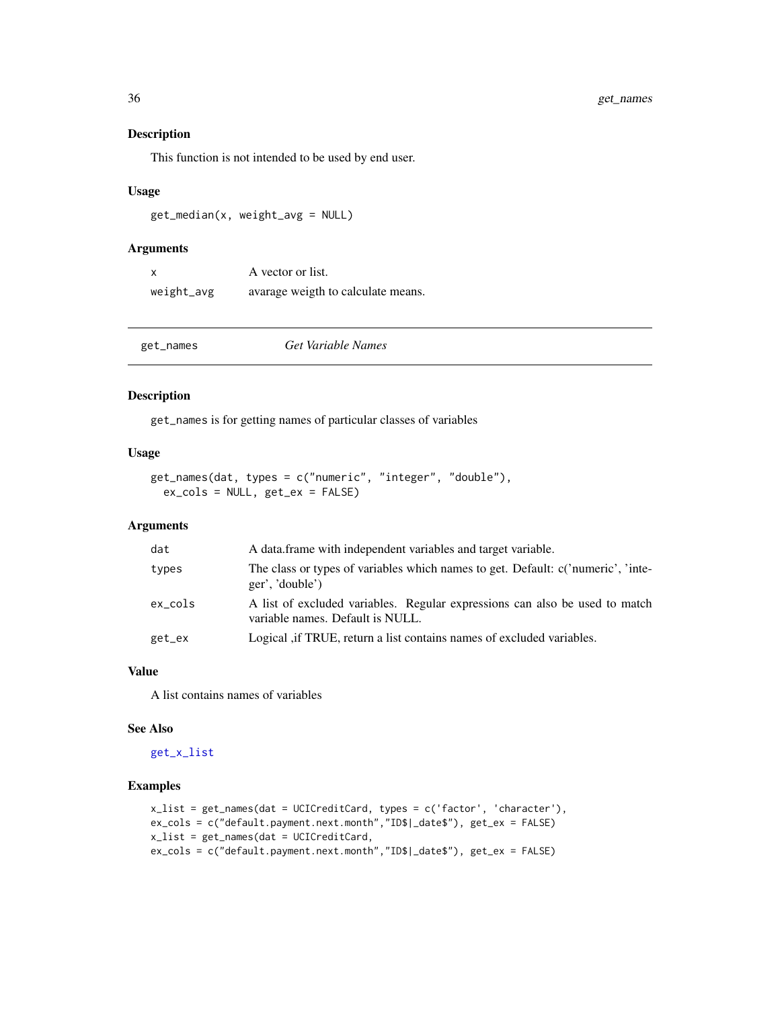# Description

This function is not intended to be used by end user.

#### Usage

get\_median(x, weight\_avg = NULL)

#### Arguments

|            | A vector or list.                  |
|------------|------------------------------------|
| weight_avg | avarage weigth to calculate means. |

| get_names | Get Variable Names |
|-----------|--------------------|
|-----------|--------------------|

#### Description

get\_names is for getting names of particular classes of variables

#### Usage

```
get_names(dat, types = c("numeric", "integer", "double"),
 ex_cols = NULL, get_ex = FALSE)
```
# Arguments

| dat     | A data frame with independent variables and target variable.                                                    |
|---------|-----------------------------------------------------------------------------------------------------------------|
| types   | The class or types of variables which names to get. Default: c('numeric', 'inte-<br>ger', 'double')             |
| ex_cols | A list of excluded variables. Regular expressions can also be used to match<br>variable names. Default is NULL. |
| get_ex  | Logical, if TRUE, return a list contains names of excluded variables.                                           |

# Value

A list contains names of variables

#### See Also

[get\\_x\\_list](#page-43-1)

# Examples

```
x_list = get_names(dat = UCICreditCard, types = c('factor', 'character'),
ex_cols = c("default.payment.next.month","ID$|_date$"), get_ex = FALSE)
x_list = get_names(dat = UCICreditCard,
ex_cols = c("default.payment.next.month","ID$|_date$"), get_ex = FALSE)
```
<span id="page-35-0"></span>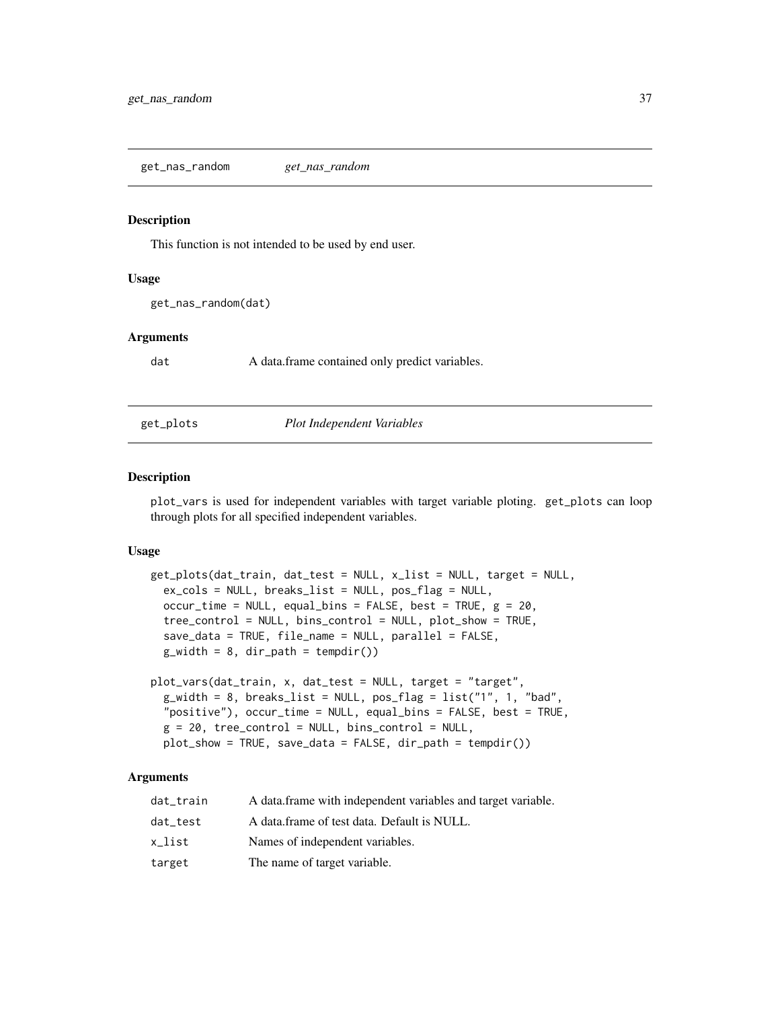This function is not intended to be used by end user.

### Usage

```
get_nas_random(dat)
```
# Arguments

dat A data.frame contained only predict variables.

## get\_plots *Plot Independent Variables*

#### Description

plot\_vars is used for independent variables with target variable ploting. get\_plots can loop through plots for all specified independent variables.

## Usage

```
get_plots(dat_train, dat_test = NULL, x_list = NULL, target = NULL,
  ex_cols = NULL, breaks_list = NULL, pos_flag = NULL,
 occur_time = NULL, equal_bins = FALSE, best = TRUE, g = 20,
  tree_control = NULL, bins_control = NULL, plot_show = TRUE,
  save_data = TRUE, file_name = NULL, parallel = FALSE,
  g_width = 8, dir_path = tempdir())
plot_vars(dat_train, x, dat_test = NULL, target = "target",
  g_width = 8, breaks_list = NULL, pos_flag = list("1", 1, "bad",
  "positive"), occur_time = NULL, equal_bins = FALSE, best = TRUE,
  g = 20, tree_control = NULL, bins_control = NULL,
```

```
plot\_show = TRUE, save_data = FALSE, dir_path = tempdir())
```

| dat_train | A data frame with independent variables and target variable. |
|-----------|--------------------------------------------------------------|
| dat test  | A data frame of test data. Default is NULL.                  |
| x_list    | Names of independent variables.                              |
| target    | The name of target variable.                                 |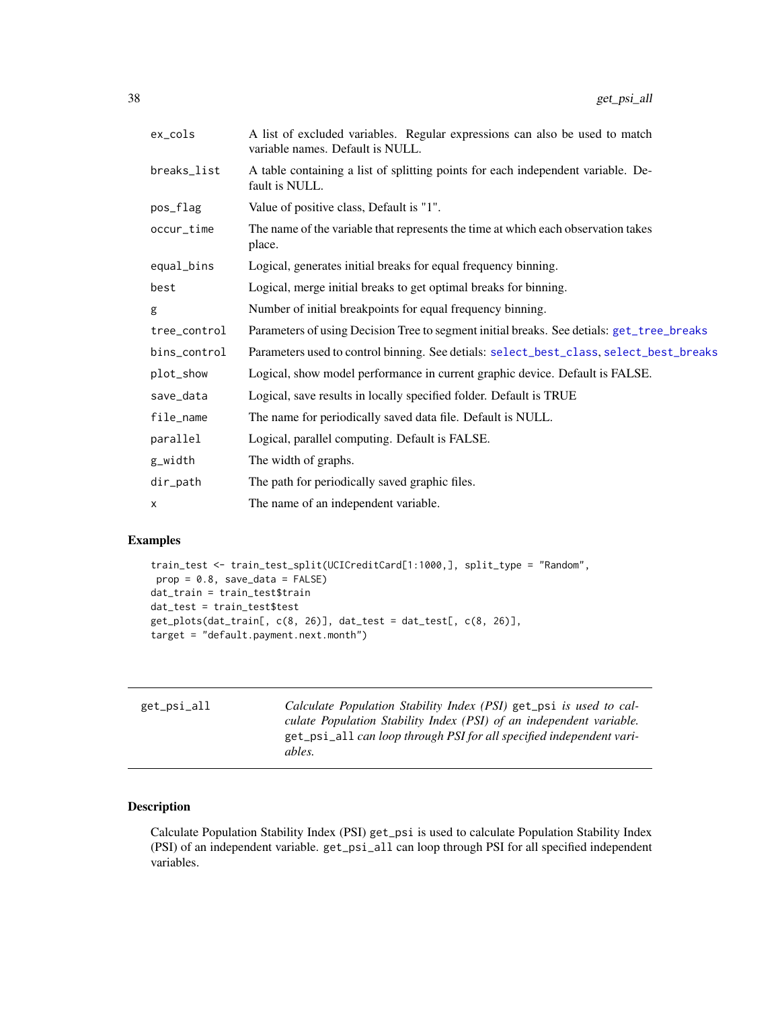| ex_cols      | A list of excluded variables. Regular expressions can also be used to match<br>variable names. Default is NULL. |
|--------------|-----------------------------------------------------------------------------------------------------------------|
| breaks_list  | A table containing a list of splitting points for each independent variable. De-<br>fault is NULL.              |
| pos_flag     | Value of positive class, Default is "1".                                                                        |
| occur_time   | The name of the variable that represents the time at which each observation takes<br>place.                     |
| equal_bins   | Logical, generates initial breaks for equal frequency binning.                                                  |
| best         | Logical, merge initial breaks to get optimal breaks for binning.                                                |
| g            | Number of initial breakpoints for equal frequency binning.                                                      |
| tree_control | Parameters of using Decision Tree to segment initial breaks. See detials: get_tree_breaks                       |
| bins_control | Parameters used to control binning. See detials: select_best_class, select_best_breaks                          |
| plot_show    | Logical, show model performance in current graphic device. Default is FALSE.                                    |
| save_data    | Logical, save results in locally specified folder. Default is TRUE                                              |
| file_name    | The name for periodically saved data file. Default is NULL.                                                     |
| parallel     | Logical, parallel computing. Default is FALSE.                                                                  |
| g_width      | The width of graphs.                                                                                            |
| dir_path     | The path for periodically saved graphic files.                                                                  |
| x            | The name of an independent variable.                                                                            |

# Examples

```
train_test <- train_test_split(UCICreditCard[1:1000,], split_type = "Random",
prop = 0.8, save_data = FALSE)
dat_train = train_test$train
dat_test = train_test$test
get_plots(dat_train[, c(8, 26)], dat_test = dat_test[, c(8, 26)],
target = "default.payment.next.month")
```
<span id="page-37-1"></span>

| get_psi_all | Calculate Population Stability Index (PSI) get_psi is used to cal-<br>culate Population Stability Index (PSI) of an independent variable.<br>get_psi_all can loop through PSI for all specified independent vari- |
|-------------|-------------------------------------------------------------------------------------------------------------------------------------------------------------------------------------------------------------------|
|             | ables.                                                                                                                                                                                                            |

# <span id="page-37-0"></span>Description

Calculate Population Stability Index (PSI) get\_psi is used to calculate Population Stability Index (PSI) of an independent variable. get\_psi\_all can loop through PSI for all specified independent variables.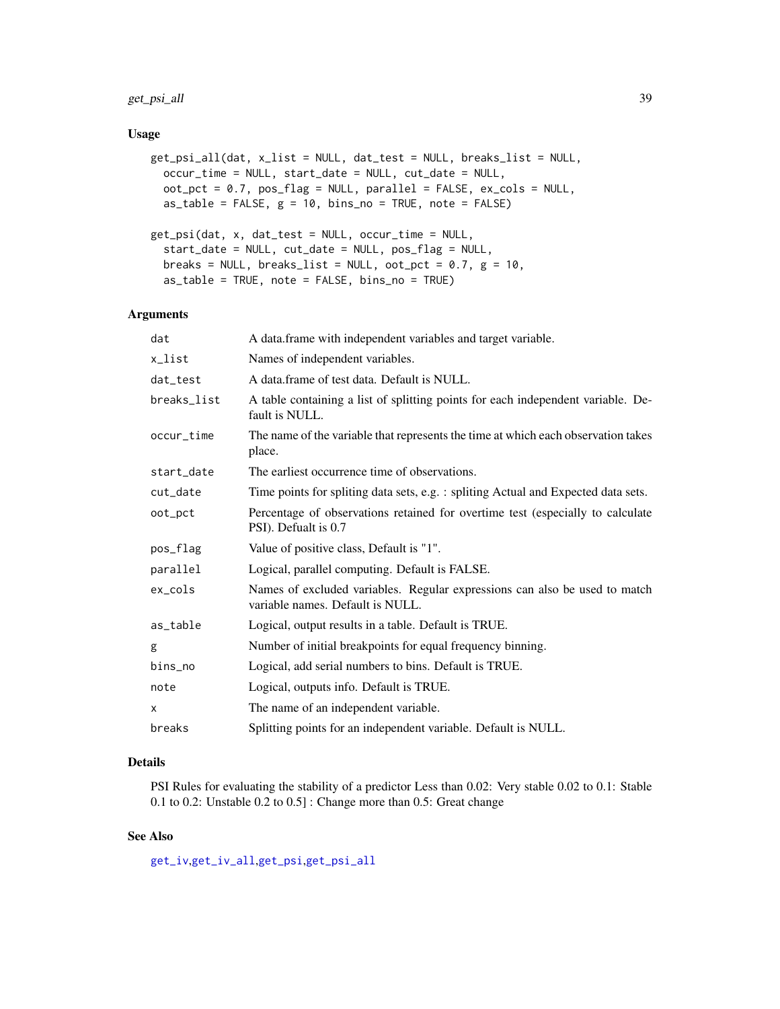# get\_psi\_all 39

### Usage

```
get_psi_all(dat, x_list = NULL, dat_test = NULL, breaks_list = NULL,
 occur_time = NULL, start_date = NULL, cut_date = NULL,
 oot_pct = 0.7, pos_flag = NULL, parallel = FALSE, ex_cols = NULL,
 as_table = FALSE, g = 10, bins.no = TRUE, note = FALSE)get_psi(dat, x, dat_test = NULL, occur_time = NULL,
  start_date = NULL, cut_date = NULL, pos_flag = NULL,
 breaks = NULL, breaks_list = NULL, oot_pct = 0.7, g = 10,
  as_table = TRUE, note = FALSE, bins_no = TRUE)
```
# Arguments

| dat         | A data.frame with independent variables and target variable.                                                   |
|-------------|----------------------------------------------------------------------------------------------------------------|
| x_list      | Names of independent variables.                                                                                |
| dat_test    | A data frame of test data. Default is NULL.                                                                    |
| breaks_list | A table containing a list of splitting points for each independent variable. De-<br>fault is NULL.             |
| occur_time  | The name of the variable that represents the time at which each observation takes<br>place.                    |
| start_date  | The earliest occurrence time of observations.                                                                  |
| cut_date    | Time points for spliting data sets, e.g. : spliting Actual and Expected data sets.                             |
| oot_pct     | Percentage of observations retained for overtime test (especially to calculate<br>PSI). Defualt is 0.7         |
| pos_flag    | Value of positive class, Default is "1".                                                                       |
| parallel    | Logical, parallel computing. Default is FALSE.                                                                 |
| ex_cols     | Names of excluded variables. Regular expressions can also be used to match<br>variable names. Default is NULL. |
| as_table    | Logical, output results in a table. Default is TRUE.                                                           |
| g           | Number of initial breakpoints for equal frequency binning.                                                     |
| bins_no     | Logical, add serial numbers to bins. Default is TRUE.                                                          |
| note        | Logical, outputs info. Default is TRUE.                                                                        |
| X           | The name of an independent variable.                                                                           |
| breaks      | Splitting points for an independent variable. Default is NULL.                                                 |

# Details

PSI Rules for evaluating the stability of a predictor Less than 0.02: Very stable 0.02 to 0.1: Stable 0.1 to 0.2: Unstable 0.2 to 0.5] : Change more than 0.5: Great change

## See Also

[get\\_iv](#page-32-0),[get\\_iv\\_all](#page-32-1),[get\\_psi](#page-37-0),[get\\_psi\\_all](#page-37-1)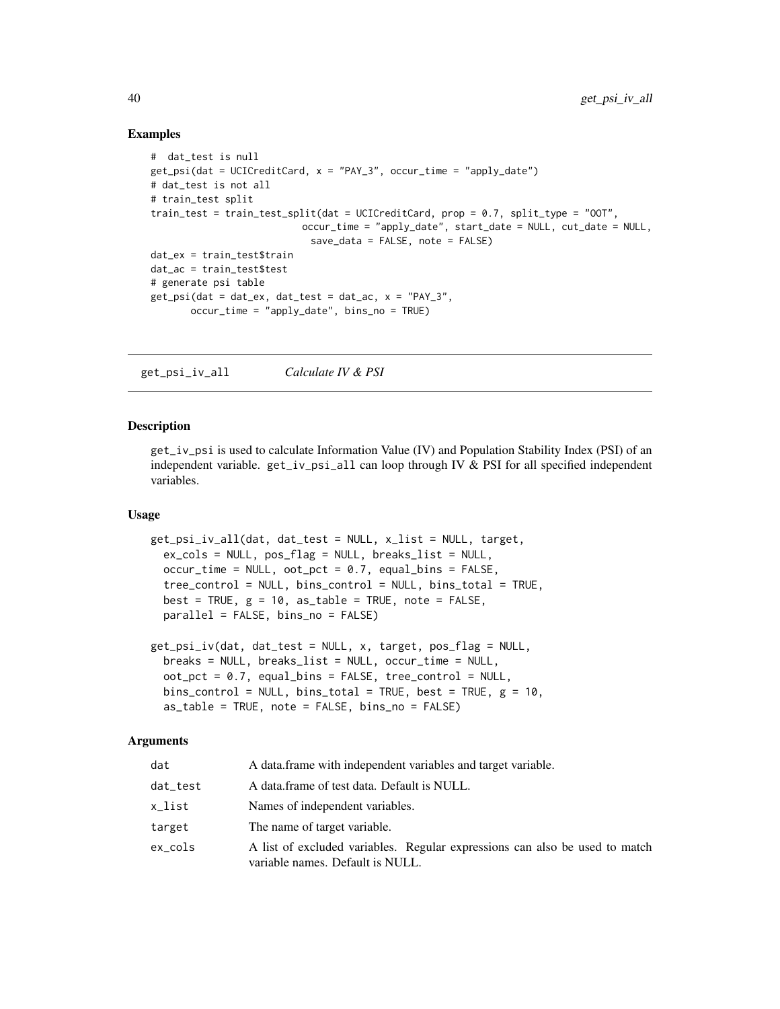### Examples

```
# dat_test is null
get\_psi(data = UCICreditCard, x = "PAY_3", occur_time = "apply_data")# dat_test is not all
# train_test split
train_test = train_test_split(dat = UCICreditCard, prop = 0.7, split_type = "OOT",
                          occur_time = "apply_date", start_date = NULL, cut_date = NULL,
                            save_data = FALSE, note = FALSE)
dat_ex = train_test$train
dat_ac = train_test$test
# generate psi table
get_psi(dat = dat_ex, dat_test = dat_ac, x = "PAY_3",
       occur_time = "apply_date", bins_no = TRUE)
```
get\_psi\_iv\_all *Calculate IV & PSI*

### Description

get\_iv\_psi is used to calculate Information Value (IV) and Population Stability Index (PSI) of an independent variable. get\_iv\_psi\_all can loop through IV & PSI for all specified independent variables.

### Usage

```
get_psi_iv_all(dat, dat_test = NULL, x_list = NULL, target,
  ex_cols = NULL, pos_flag = NULL, breaks_list = NULL,
 occur_time = NULL, <math>oot_pct = 0.7</math>, <math>equal_bins = FALSE</math>,tree_control = NULL, bins_control = NULL, bins_total = TRUE,
  best = TRUE, g = 10, as_table = TRUE, note = FALSE,
 parallel = FALSE, bins_no = FALSE)
```

```
get_psi_iv(dat, dat_test = NULL, x, target, pos_flag = NULL,
 breaks = NULL, breaks_list = NULL, occur_time = NULL,
 oot_pct = 0.7, equal_bins = FALSE, tree_control = NULL,
 bins_control = NULL, bins_total = TRUE, best = TRUE, g = 10,
  as_table = TRUE, note = FALSE, bins_no = FALSE)
```

| dat      | A data frame with independent variables and target variable.                                                    |
|----------|-----------------------------------------------------------------------------------------------------------------|
| dat_test | A data frame of test data. Default is NULL.                                                                     |
| x_list   | Names of independent variables.                                                                                 |
| target   | The name of target variable.                                                                                    |
| ex cols  | A list of excluded variables. Regular expressions can also be used to match<br>variable names. Default is NULL. |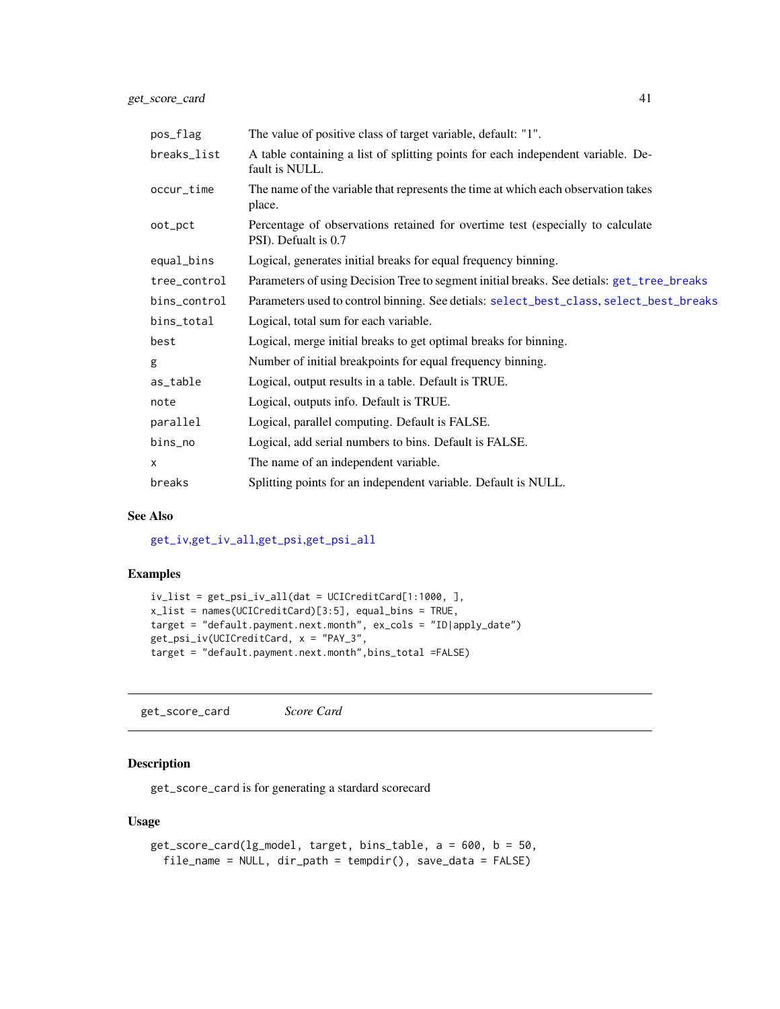| pos_flag     | The value of positive class of target variable, default: "1".                                          |
|--------------|--------------------------------------------------------------------------------------------------------|
| breaks_list  | A table containing a list of splitting points for each independent variable. De-<br>fault is NULL.     |
| occur_time   | The name of the variable that represents the time at which each observation takes<br>place.            |
| oot_pct      | Percentage of observations retained for overtime test (especially to calculate<br>PSI). Defualt is 0.7 |
| equal_bins   | Logical, generates initial breaks for equal frequency binning.                                         |
| tree_control | Parameters of using Decision Tree to segment initial breaks. See detials: get_tree_breaks              |
| bins_control | Parameters used to control binning. See detials: select_best_class, select_best_breaks                 |
| bins_total   | Logical, total sum for each variable.                                                                  |
| best         | Logical, merge initial breaks to get optimal breaks for binning.                                       |
| g            | Number of initial breakpoints for equal frequency binning.                                             |
| as_table     | Logical, output results in a table. Default is TRUE.                                                   |
| note         | Logical, outputs info. Default is TRUE.                                                                |
| parallel     | Logical, parallel computing. Default is FALSE.                                                         |
| bins_no      | Logical, add serial numbers to bins. Default is FALSE.                                                 |
| $\times$     | The name of an independent variable.                                                                   |
| breaks       | Splitting points for an independent variable. Default is NULL.                                         |

## See Also

[get\\_iv](#page-32-0),[get\\_iv\\_all](#page-32-1),[get\\_psi](#page-37-0),[get\\_psi\\_all](#page-37-1)

# Examples

```
iv_list = get_psi_iv_all(dat = UCICreditCard[1:1000, ],
x_list = names(UCICreditCard)[3:5], equal_bins = TRUE,
target = "default.payment.next.month", ex_cols = "ID|apply_date")
get_psi_iv(UCICreditCard, x = "PAY_3",
target = "default.payment.next.month",bins_total =FALSE)
```
get\_score\_card *Score Card*

# Description

get\_score\_card is for generating a stardard scorecard

## Usage

```
get_score_card(lg_model, target, bins_table, a = 600, b = 50,
  file_name = NULL, dir_path = tempdir(), save_data = FALSE)
```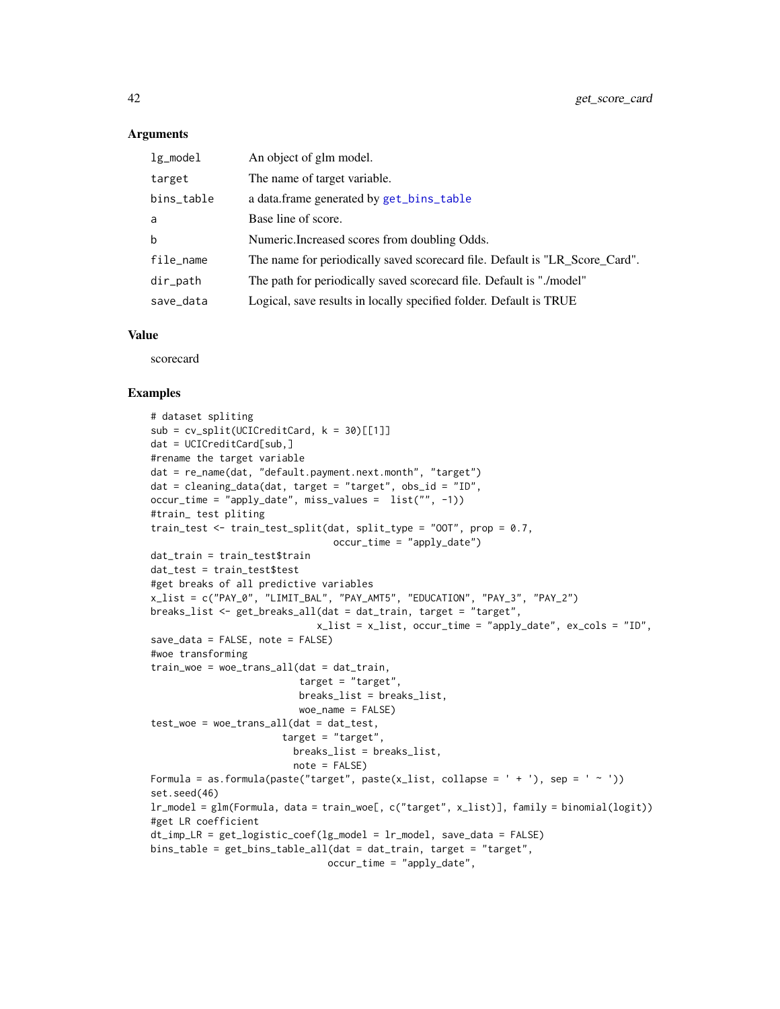42 get\_score\_card

### **Arguments**

| $lg$ _model | An object of glm model.                                                     |
|-------------|-----------------------------------------------------------------------------|
| target      | The name of target variable.                                                |
| bins_table  | a data.frame generated by get_bins_table                                    |
| a           | Base line of score.                                                         |
| $\mathbf b$ | Numeric. Increased scores from doubling Odds.                               |
| file_name   | The name for periodically saved scorecard file. Default is "LR_Score_Card". |
| dir_path    | The path for periodically saved scorecard file. Default is "./model"        |
| save_data   | Logical, save results in locally specified folder. Default is TRUE          |

## Value

scorecard

```
# dataset spliting
sub = cv_split(UCICredictCard, k = 30)[[1]]dat = UCICreditCard[sub,]
#rename the target variable
dat = re_name(dat, "default.payment.next.month", "target")
dat = cleaning_data(dat, target = "target", obs_id = "ID",
occur_time = "apply_date", miss_values = list("", -1))
#train_ test pliting
train_test <- train_test_split(dat, split_type = "00T", prop = 0.7,
                                occur_time = "apply_data")dat_train = train_test$train
dat_test = train_test$test
#get breaks of all predictive variables
x_list = c("PAY_0", "LIMIT_BAL", "PAY_AMT5", "EDUCATION", "PAY_3", "PAY_2")
breaks_list <- get_breaks_all(dat = dat_train, target = "target",
                             x_list = x_list, occur_time = "apply_date", ex_cols = "ID",
save_data = FALSE, note = FALSE)
#woe transforming
train_woe = woe_trans_all(dat = dat_train,
                          target = "target",
                          breaks_list = breaks_list,
                          woe_name = FALSE)
test_woe = woe_trans_all(dat = dat_test,
                       target = "target",
                         breaks_list = breaks_list,
                         note = FALSE)
Formula = as.formula(paste("target", paste(x_list, collapse = ' + '), sep = ' ~ '))
set.seed(46)
lr_model = glm(Formula, data = train_woe[, c("target", x_list)], family = binomial(logit))
#get LR coefficient
dt_imp_LR = get_logistic_coef(lg_model = lr_model, save_data = FALSE)
bins_table = get_bins_table_all(dat = dat_train, target = "target",
                               occur_time = "apply_date",
```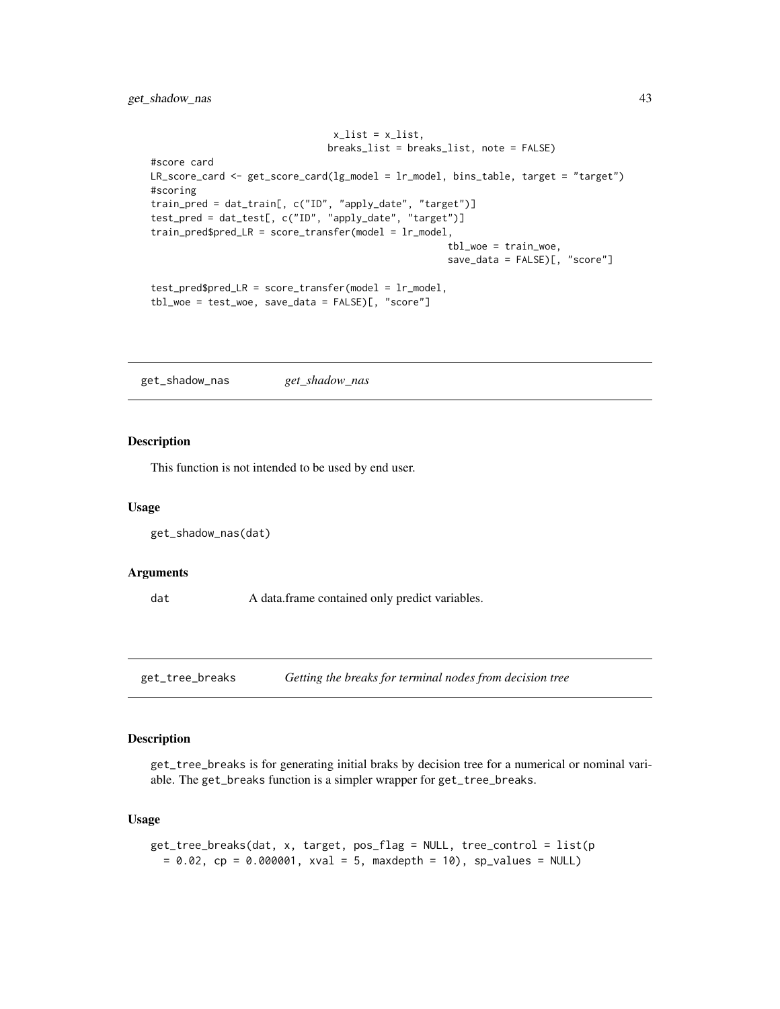```
x_list = x_list,breaks_list = breaks_list, note = FALSE)
#score card
LR_score_card <- get_score_card(lg_model = lr_model, bins_table, target = "target")
#scoring
train_pred = dat_train[, c("ID", "apply_date", "target")]
test_pred = dat_test[, c("ID", "apply_date", "target")]
train_pred$pred_LR = score_transfer(model = lr_model,
                                                    tbl_woe = train_woe,
                                                    save_data = FALSE)[, "score"]
test_pred$pred_LR = score_transfer(model = lr_model,
tbl_woe = test_woe, save_data = FALSE)[, "score"]
```
get\_shadow\_nas *get\_shadow\_nas*

## Description

This function is not intended to be used by end user.

#### Usage

```
get_shadow_nas(dat)
```
### Arguments

dat A data.frame contained only predict variables.

<span id="page-42-0"></span>get\_tree\_breaks *Getting the breaks for terminal nodes from decision tree*

### Description

get\_tree\_breaks is for generating initial braks by decision tree for a numerical or nominal variable. The get\_breaks function is a simpler wrapper for get\_tree\_breaks.

#### Usage

```
get_tree_breaks(dat, x, target, pos_flag = NULL, tree_control = list(p
 = 0.02, cp = 0.000001, xval = 5, maxdepth = 10), sp_values = NULL)
```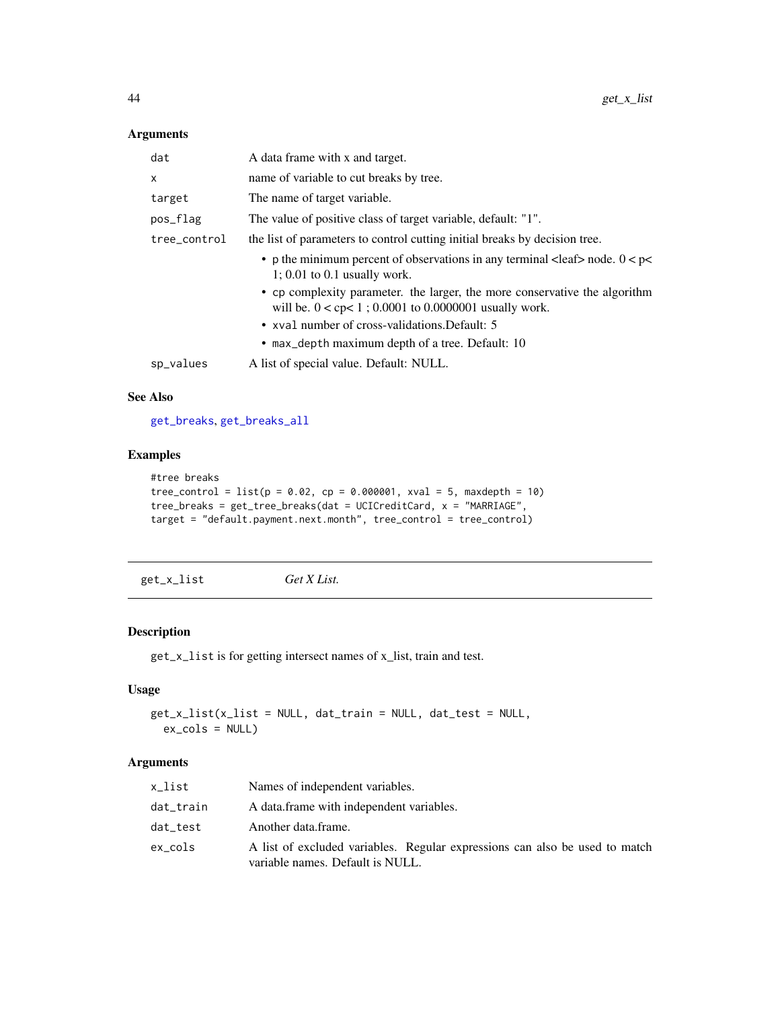# Arguments

| dat          | A data frame with x and target.                                                                                                                      |
|--------------|------------------------------------------------------------------------------------------------------------------------------------------------------|
| $\times$     | name of variable to cut breaks by tree.                                                                                                              |
| target       | The name of target variable.                                                                                                                         |
| pos_flag     | The value of positive class of target variable, default: "1".                                                                                        |
| tree control | the list of parameters to control cutting initial breaks by decision tree.                                                                           |
|              | • p the minimum percent of observations in any terminal <leaf> node. <math>0 &lt; p &lt;</math><br/><math>1: 0.01</math> to 0.1 usually work.</leaf> |
|              | • cp complexity parameter. the larger, the more conservative the algorithm<br>will be. $0 <$ cp $< 1$ ; 0.0001 to 0.0000001 usually work.            |
|              | • xval number of cross-validations. Default: 5                                                                                                       |
|              | • max_depth maximum depth of a tree. Default: 10                                                                                                     |
| sp_values    | A list of special value. Default: NULL.                                                                                                              |
|              |                                                                                                                                                      |

## See Also

[get\\_breaks](#page-28-0), [get\\_breaks\\_all](#page-28-1)

# Examples

```
#tree breaks
tree_control = list(p = 0.02, cp = 0.000001, xval = 5, maxdepth = 10)tree_breaks = get_tree_breaks(dat = UCICreditCard, x = "MARRIAGE",
target = "default.payment.next.month", tree_control = tree_control)
```
get\_x\_list *Get X List.*

## Description

get\_x\_list is for getting intersect names of x\_list, train and test.

## Usage

```
get_x_list(x_list = NULL, dat_train = NULL, dat_test = NULL,
 ex_cols = NULL)
```

| x list    | Names of independent variables.                                                                                 |
|-----------|-----------------------------------------------------------------------------------------------------------------|
| dat_train | A data frame with independent variables.                                                                        |
| dat_test  | Another data.frame.                                                                                             |
| ex cols   | A list of excluded variables. Regular expressions can also be used to match<br>variable names. Default is NULL. |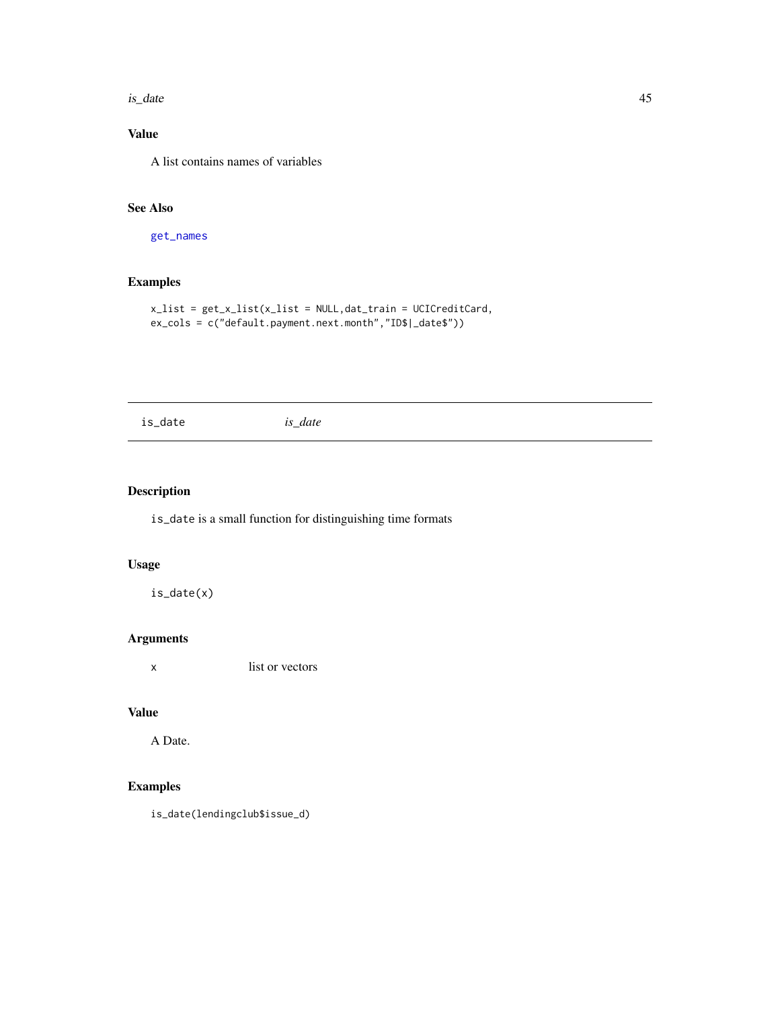is\_date 45

# Value

A list contains names of variables

# See Also

[get\\_names](#page-35-0)

# Examples

```
x_list = get_x_list(x_list = NULL,dat_train = UCICreditCard,
ex_cols = c("default.payment.next.month","ID$|_date$"))
```
is\_date *is\_date*

# Description

is\_date is a small function for distinguishing time formats

# Usage

is\_date(x)

## Arguments

x list or vectors

## Value

A Date.

# Examples

is\_date(lendingclub\$issue\_d)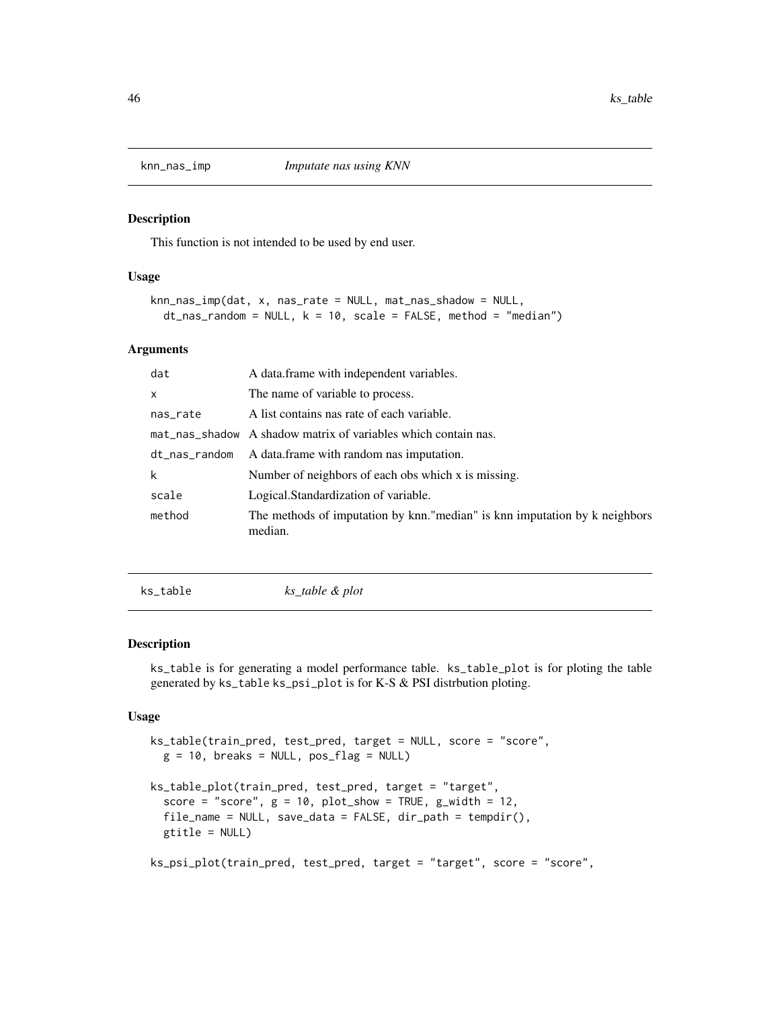This function is not intended to be used by end user.

### Usage

```
knn_nas_imp(dat, x, nas_rate = NULL, mat_nas_shadow = NULL,
  dt<sub>nas</sub>_random = NULL, k = 10, scale = FALSE, method = "median")
```
### Arguments

| dat           | A data frame with independent variables.                                              |
|---------------|---------------------------------------------------------------------------------------|
| $\mathsf{x}$  | The name of variable to process.                                                      |
| nas_rate      | A list contains nas rate of each variable.                                            |
|               | mat_nas_shadow A shadow matrix of variables which contain nas.                        |
| dt_nas_random | A data frame with random nas imputation.                                              |
| k             | Number of neighbors of each obs which x is missing.                                   |
| scale         | Logical.Standardization of variable.                                                  |
| method        | The methods of imputation by knn."median" is knn imputation by k neighbors<br>median. |

<span id="page-45-0"></span>ks\_table *ks\_table & plot*

# Description

ks\_table is for generating a model performance table. ks\_table\_plot is for ploting the table generated by ks\_table ks\_psi\_plot is for K-S & PSI distrbution ploting.

### Usage

```
ks_table(train_pred, test_pred, target = NULL, score = "score",
 g = 10, breaks = NULL, pos_flag = NULLks_table_plot(train_pred, test_pred, target = "target",
  score = "score", g = 10, plot\_show = TRUE, g\_width = 12,
  file_name = NULL, save_data = FALSE, dir\_path = tempdir(),gtitle = NULL)
```
ks\_psi\_plot(train\_pred, test\_pred, target = "target", score = "score",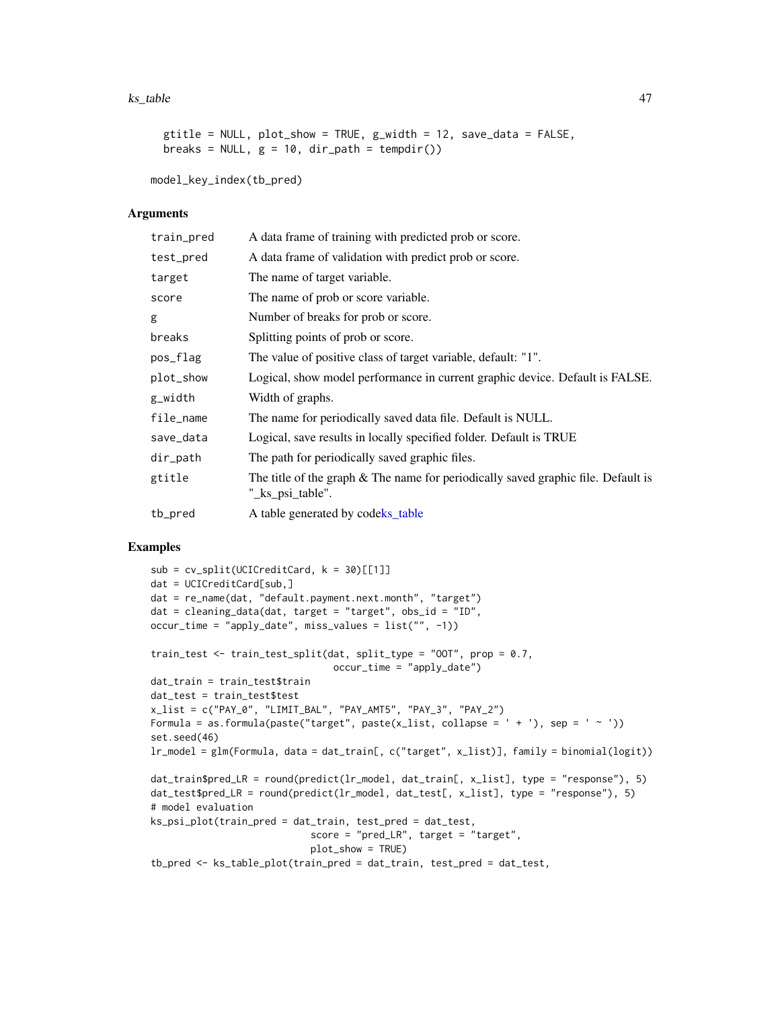### ks\_table 47

```
gtitle = NULL, plot_show = TRUE, g_width = 12, save_data = FALSE,
breaks = NULL, g = 10, dir_path = tempdir())
```
model\_key\_index(tb\_pred)

## Arguments

| train_pred | A data frame of training with predicted prob or score.                                                |
|------------|-------------------------------------------------------------------------------------------------------|
| test_pred  | A data frame of validation with predict prob or score.                                                |
| target     | The name of target variable.                                                                          |
| score      | The name of prob or score variable.                                                                   |
| g          | Number of breaks for prob or score.                                                                   |
| breaks     | Splitting points of prob or score.                                                                    |
| pos_flag   | The value of positive class of target variable, default: "1".                                         |
| plot_show  | Logical, show model performance in current graphic device. Default is FALSE.                          |
| g_width    | Width of graphs.                                                                                      |
| file_name  | The name for periodically saved data file. Default is NULL.                                           |
| save_data  | Logical, save results in locally specified folder. Default is TRUE                                    |
| dir_path   | The path for periodically saved graphic files.                                                        |
| gtitle     | The title of the graph & The name for periodically saved graphic file. Default is<br>"_ks_psi_table". |
| tb_pred    | A table generated by codeks_table                                                                     |

```
sub = cv_split(UCICredictCard, k = 30)[[1]]dat = UCICreditCard[sub,]
dat = re_name(dat, "default.payment.next.month", "target")
dat = cleaning_data(dat, target = "target", obs_id = "ID",
occur_time = "apply_date", miss_values = list("", -1))
train_test <- train_test_split(dat, split_type = "OOT", prop = 0.7,
                                occur_time = "apply_date")
dat_train = train_test$train
dat_test = train_test$test
x_list = c("PAY_0", "LIMIT_BAL", "PAY_AMT5", "PAY_3", "PAY_2")
Formula = as.formula(paste("target", paste(x_list, collapse = ' + '), sep = ' ~ '))
set.seed(46)
lr_model = glm(Formula, data = dat_train[, c("target", x_list)], family = binomial(logit))
dat_train$pred_LR = round(predict(lr_model, dat_train[, x_list], type = "response"), 5)
dat_test$pred_LR = round(predict(lr_model, dat_test[, x_list], type = "response"), 5)
# model evaluation
ks_psi_plot(train_pred = dat_train, test_pred = dat_test,
                            score = "pred_LR", target = "target",plot_show = TRUE)
tb_pred <- ks_table_plot(train_pred = dat_train, test_pred = dat_test,
```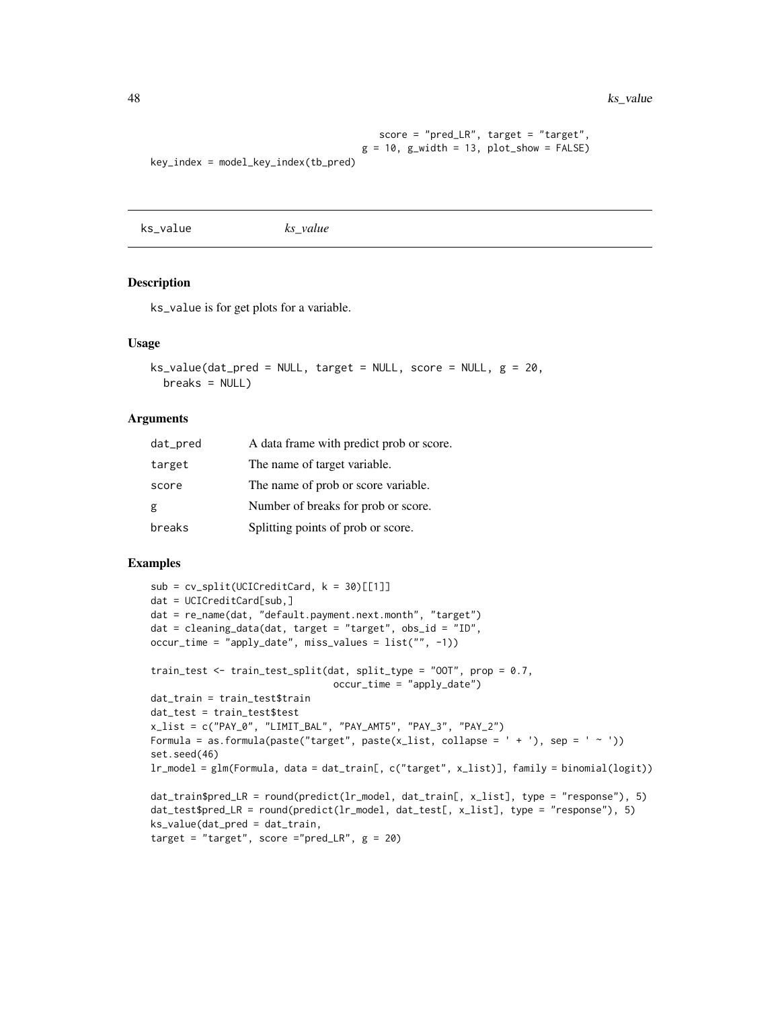48 ks\_value by the control of the control of the control of the control of the control of the control of the control of the control of the control of the control of the control of the control of the control of the control

```
score = "pred_LR", target = "target",
                                     g = 10, g_width = 13, plot_show = FALSE)
key_index = model_key_index(tb_pred)
```
ks\_value *ks\_value*

### Description

ks\_value is for get plots for a variable.

#### Usage

```
ks_value(data_pred = NULL, target = NULL, score = NULL, g = 20,breaks = NULL)
```
## Arguments

| dat_pred | A data frame with predict prob or score. |
|----------|------------------------------------------|
| target   | The name of target variable.             |
| score    | The name of prob or score variable.      |
| g        | Number of breaks for prob or score.      |
| breaks   | Splitting points of prob or score.       |

```
sub = cv_split(UCICredictCard, k = 30)[[1]]dat = UCICreditCard[sub,]
dat = re_name(dat, "default.payment.next.month", "target")
dat = cleaning_data(data, target = "target", obs_id = "ID",occur_time = "apply_date", miss_values = list("", -1))
train_test <- train_test_split(dat, split_type = "OOT", prop = 0.7,
                                occur_time = "apply_date")
dat_train = train_test$train
dat_test = train_test$test
x_list = c("PAY_0", "LIMIT_BAL", "PAY_AMT5", "PAY_3", "PAY_2")
Formula = as.formula(paste("target", paste(x_list, collapse = ' + '), sep = ' ~ '))
set.seed(46)
lr_model = glm(Formula, data = dat_train[, c("target", x_list)], family = binomial(logit))
dat_train$pred_LR = round(predict(lr_model, dat_train[, x_list], type = "response"), 5)
dat_test$pred_LR = round(predict(lr_model, dat_test[, x_list], type = "response"), 5)
ks_value(dat_pred = dat_train,
target = "target", score ="pred_LR", g = 20)
```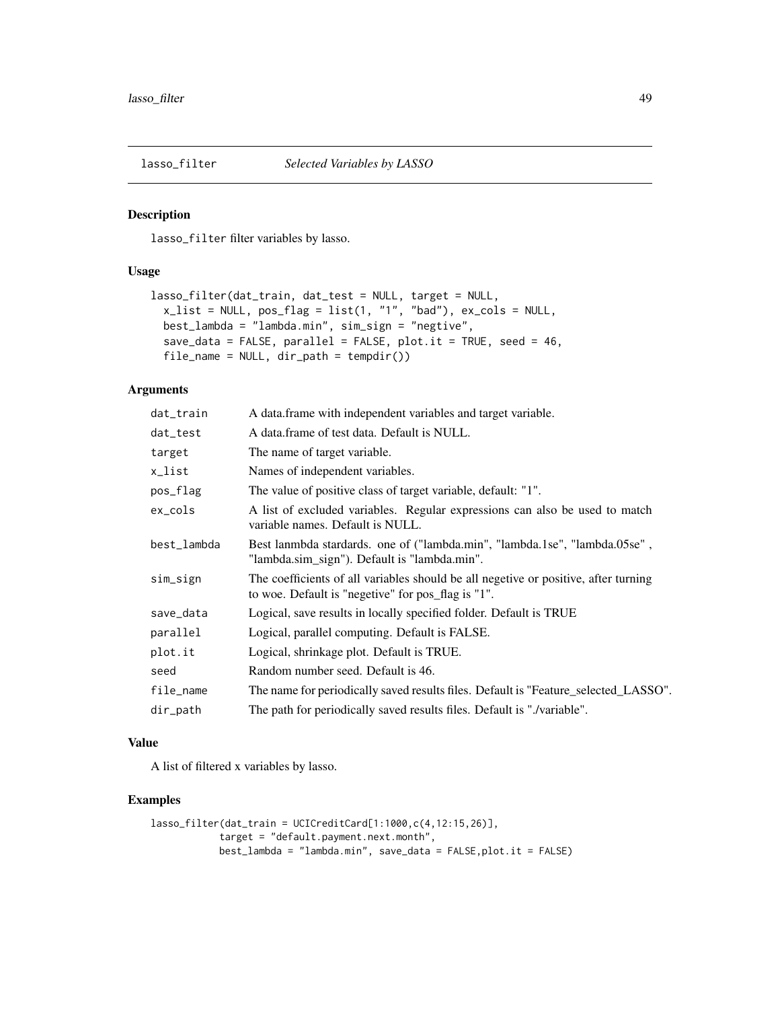lasso\_filter filter variables by lasso.

## Usage

```
lasso_filter(dat_train, dat_test = NULL, target = NULL,
  x_list = NULL, pos_flag = list(1, "1", "bad"), ex_cols = NULL,
 best_lambda = "lambda.min", sim_sign = "negtive",
 save_data = FALSE, parallel = FALSE, plot.it = TRUE, seed = 46,
 file_name = NULL, dir_path = tempdir())
```
# Arguments

| dat_train   | A data frame with independent variables and target variable.                                                                              |
|-------------|-------------------------------------------------------------------------------------------------------------------------------------------|
| dat_test    | A data frame of test data. Default is NULL.                                                                                               |
| target      | The name of target variable.                                                                                                              |
| x_list      | Names of independent variables.                                                                                                           |
| pos_flag    | The value of positive class of target variable, default: "1".                                                                             |
| $ex\_cols$  | A list of excluded variables. Regular expressions can also be used to match<br>variable names. Default is NULL.                           |
| best_lambda | Best lanmbda stardards. one of ("lambda.min", "lambda.1se", "lambda.05se",<br>"lambda.sim_sign"). Default is "lambda.min".                |
| sim_sign    | The coefficients of all variables should be all negetive or positive, after turning<br>to woe. Default is "negetive" for pos_flag is "1". |
| save_data   | Logical, save results in locally specified folder. Default is TRUE                                                                        |
| parallel    | Logical, parallel computing. Default is FALSE.                                                                                            |
| plot.it     | Logical, shrinkage plot. Default is TRUE.                                                                                                 |
| seed        | Random number seed. Default is 46.                                                                                                        |
| file_name   | The name for periodically saved results files. Default is "Feature_selected_LASSO".                                                       |
| dir_path    | The path for periodically saved results files. Default is "./variable".                                                                   |
|             |                                                                                                                                           |

## Value

A list of filtered x variables by lasso.

```
lasso_filter(dat_train = UCICreditCard[1:1000,c(4,12:15,26)],
           target = "default.payment.next.month",
           best_lambda = "lambda.min", save_data = FALSE,plot.it = FALSE)
```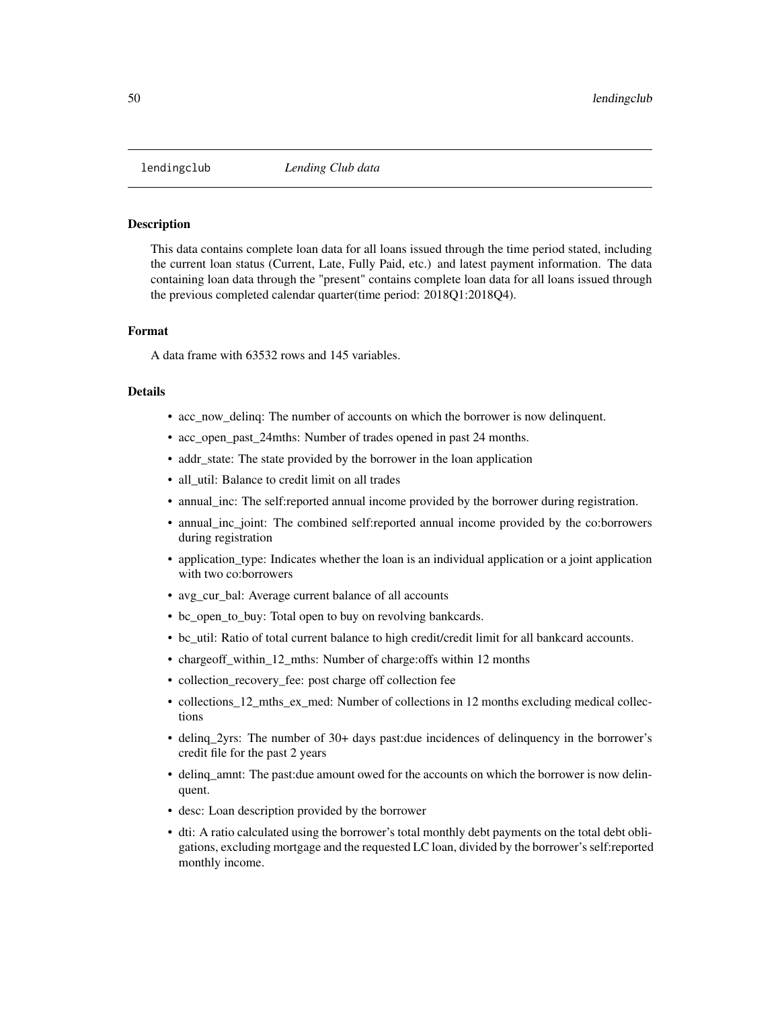This data contains complete loan data for all loans issued through the time period stated, including the current loan status (Current, Late, Fully Paid, etc.) and latest payment information. The data containing loan data through the "present" contains complete loan data for all loans issued through the previous completed calendar quarter(time period: 2018Q1:2018Q4).

## Format

A data frame with 63532 rows and 145 variables.

## Details

- acc\_now\_delinq: The number of accounts on which the borrower is now delinquent.
- acc\_open\_past\_24mths: Number of trades opened in past 24 months.
- addr\_state: The state provided by the borrower in the loan application
- all util: Balance to credit limit on all trades
- annual\_inc: The self:reported annual income provided by the borrower during registration.
- annual\_inc\_joint: The combined self:reported annual income provided by the co:borrowers during registration
- application\_type: Indicates whether the loan is an individual application or a joint application with two co:borrowers
- avg\_cur\_bal: Average current balance of all accounts
- bc\_open\_to\_buy: Total open to buy on revolving bankcards.
- bc\_util: Ratio of total current balance to high credit/credit limit for all bankcard accounts.
- chargeoff\_within\_12\_mths: Number of charge:offs within 12 months
- collection\_recovery\_fee: post charge off collection fee
- collections\_12\_mths\_ex\_med: Number of collections in 12 months excluding medical collections
- delinq\_2yrs: The number of 30+ days past:due incidences of delinquency in the borrower's credit file for the past 2 years
- delinq\_amnt: The past:due amount owed for the accounts on which the borrower is now delinquent.
- desc: Loan description provided by the borrower
- dti: A ratio calculated using the borrower's total monthly debt payments on the total debt obligations, excluding mortgage and the requested LC loan, divided by the borrower's self:reported monthly income.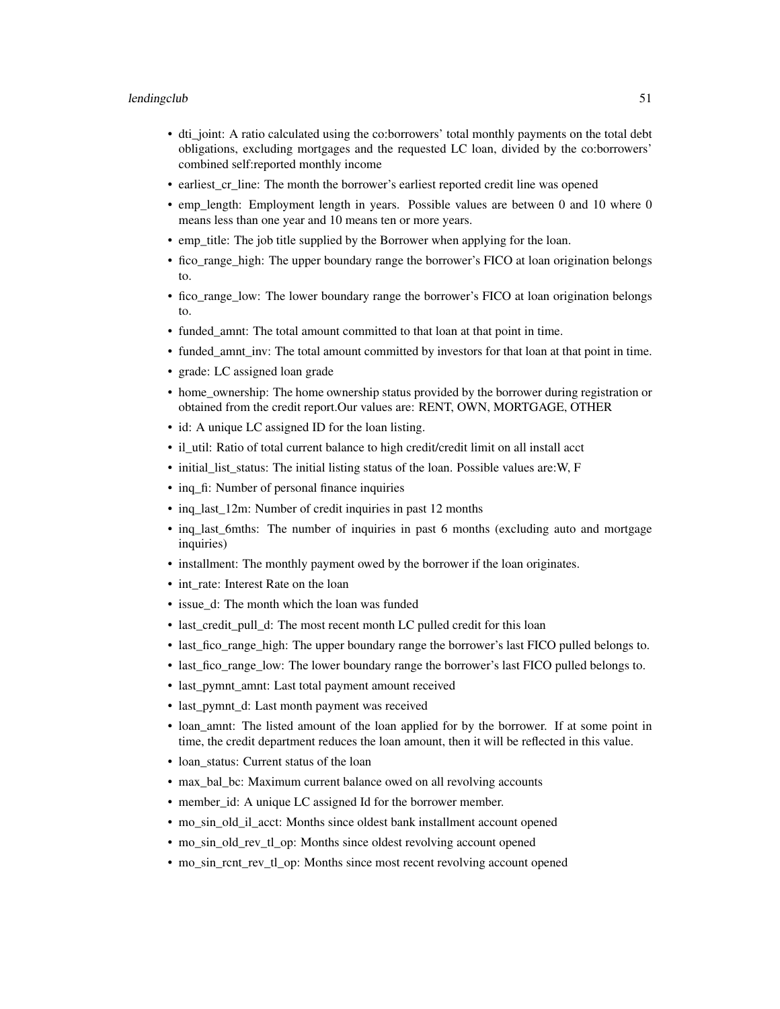- dti\_joint: A ratio calculated using the co:borrowers' total monthly payments on the total debt obligations, excluding mortgages and the requested LC loan, divided by the co:borrowers' combined self:reported monthly income
- earliest cr line: The month the borrower's earliest reported credit line was opened
- emp\_length: Employment length in years. Possible values are between 0 and 10 where 0 means less than one year and 10 means ten or more years.
- emp\_title: The job title supplied by the Borrower when applying for the loan.
- fico range high: The upper boundary range the borrower's FICO at loan origination belongs to.
- fico range low: The lower boundary range the borrower's FICO at loan origination belongs to.
- funded amnt: The total amount committed to that loan at that point in time.
- funded\_amnt\_inv: The total amount committed by investors for that loan at that point in time.
- grade: LC assigned loan grade
- home\_ownership: The home ownership status provided by the borrower during registration or obtained from the credit report.Our values are: RENT, OWN, MORTGAGE, OTHER
- id: A unique LC assigned ID for the loan listing.
- il\_util: Ratio of total current balance to high credit/credit limit on all install acct
- initial\_list\_status: The initial listing status of the loan. Possible values are:W, F
- inq\_fi: Number of personal finance inquiries
- ing last 12m: Number of credit inquiries in past 12 months
- inq\_last\_6mths: The number of inquiries in past 6 months (excluding auto and mortgage inquiries)
- installment: The monthly payment owed by the borrower if the loan originates.
- int\_rate: Interest Rate on the loan
- issue d: The month which the loan was funded
- last\_credit\_pull\_d: The most recent month LC pulled credit for this loan
- last\_fico\_range\_high: The upper boundary range the borrower's last FICO pulled belongs to.
- last\_fico\_range\_low: The lower boundary range the borrower's last FICO pulled belongs to.
- last\_pymnt\_amnt: Last total payment amount received
- last\_pymnt\_d: Last month payment was received
- loan amnt: The listed amount of the loan applied for by the borrower. If at some point in time, the credit department reduces the loan amount, then it will be reflected in this value.
- loan status: Current status of the loan
- max\_bal\_bc: Maximum current balance owed on all revolving accounts
- member\_id: A unique LC assigned Id for the borrower member.
- mo\_sin\_old\_il\_acct: Months since oldest bank installment account opened
- mo\_sin\_old\_rev\_tl\_op: Months since oldest revolving account opened
- mo\_sin\_rcnt\_rev\_tl\_op: Months since most recent revolving account opened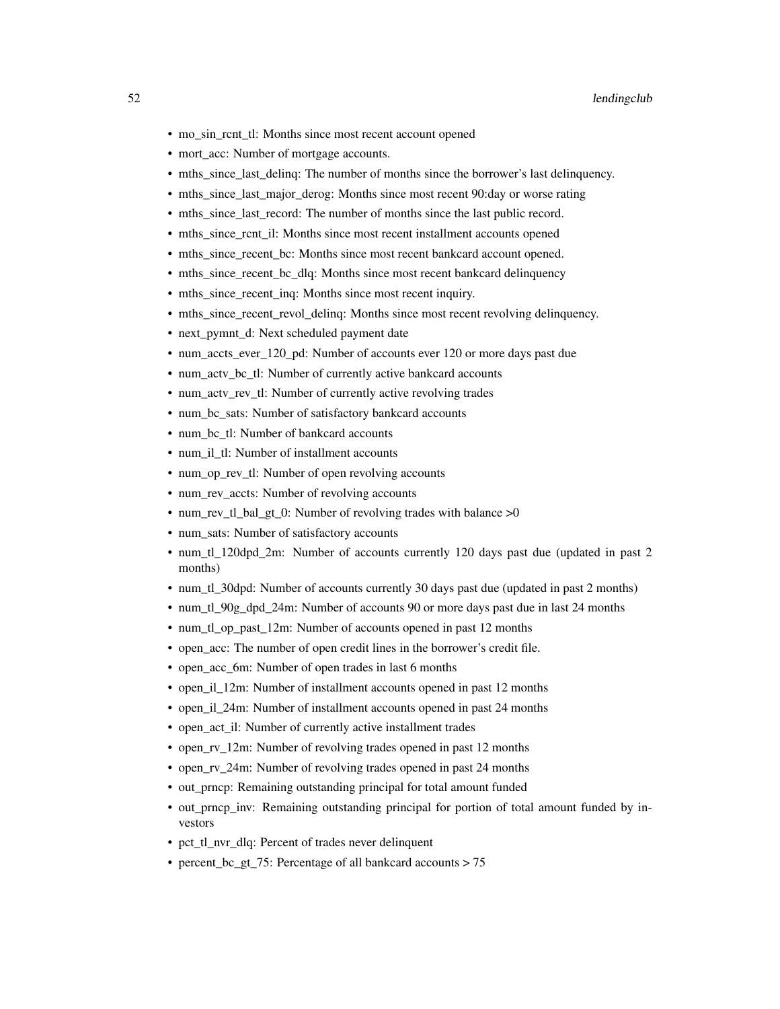- mo\_sin\_rcnt\_tl: Months since most recent account opened
- mort\_acc: Number of mortgage accounts.
- mths\_since\_last\_delinq: The number of months since the borrower's last delinquency.
- mths\_since\_last\_major\_derog: Months since most recent 90:day or worse rating
- mths since last record: The number of months since the last public record.
- mths since rcnt il: Months since most recent installment accounts opened
- mths\_since\_recent\_bc: Months since most recent bankcard account opened.
- mths\_since\_recent\_bc\_dlq: Months since most recent bankcard delinquency
- mths\_since\_recent\_inq: Months since most recent inquiry.
- mths\_since\_recent\_revol\_delinq: Months since most recent revolving delinquency.
- next pymnt d: Next scheduled payment date
- num\_accts\_ever 120\_pd: Number of accounts ever 120 or more days past due
- num\_actv\_bc\_tl: Number of currently active bankcard accounts
- num\_actv\_rev\_tl: Number of currently active revolving trades
- num\_bc\_sats: Number of satisfactory bankcard accounts
- num\_bc\_tl: Number of bankcard accounts
- num\_il\_tl: Number of installment accounts
- num op rev tl: Number of open revolving accounts
- num rev accts: Number of revolving accounts
- num rev tl bal gt 0: Number of revolving trades with balance  $>0$
- num\_sats: Number of satisfactory accounts
- num\_tl\_120dpd\_2m: Number of accounts currently 120 days past due (updated in past 2 months)
- num\_tl\_30dpd: Number of accounts currently 30 days past due (updated in past 2 months)
- num\_tl\_90g\_dpd\_24m: Number of accounts 90 or more days past due in last 24 months
- num\_tl\_op\_past\_12m: Number of accounts opened in past 12 months
- open\_acc: The number of open credit lines in the borrower's credit file.
- open acc 6m: Number of open trades in last 6 months
- open\_il\_12m: Number of installment accounts opened in past 12 months
- open\_il\_24m: Number of installment accounts opened in past 24 months
- open act il: Number of currently active installment trades
- open\_rv\_12m: Number of revolving trades opened in past 12 months
- open\_rv\_24m: Number of revolving trades opened in past 24 months
- out\_prncp: Remaining outstanding principal for total amount funded
- out prncp inv: Remaining outstanding principal for portion of total amount funded by investors
- pct tl\_nvr\_dlq: Percent of trades never delinquent
- percent\_bc\_gt\_75: Percentage of all bankcard accounts > 75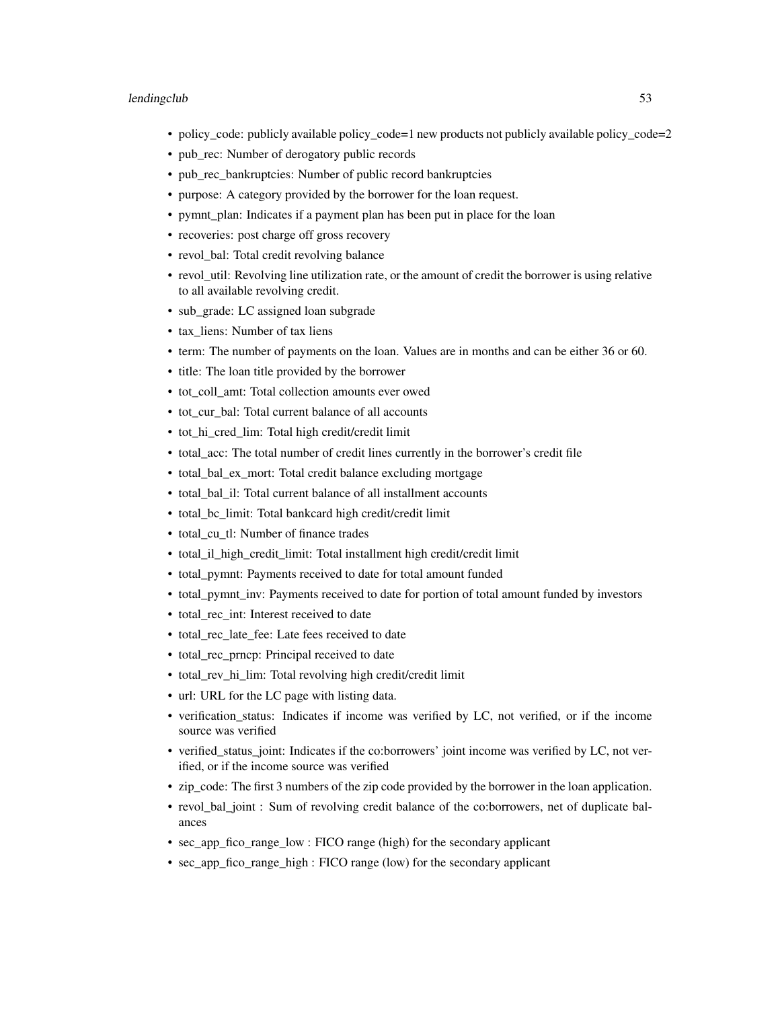- policy\_code: publicly available policy\_code=1 new products not publicly available policy\_code=2
- pub\_rec: Number of derogatory public records
- pub\_rec\_bankruptcies: Number of public record bankruptcies
- purpose: A category provided by the borrower for the loan request.
- pymnt\_plan: Indicates if a payment plan has been put in place for the loan
- recoveries: post charge off gross recovery
- revol\_bal: Total credit revolving balance
- revol\_util: Revolving line utilization rate, or the amount of credit the borrower is using relative to all available revolving credit.
- sub\_grade: LC assigned loan subgrade
- tax liens: Number of tax liens
- term: The number of payments on the loan. Values are in months and can be either 36 or 60.
- title: The loan title provided by the borrower
- tot\_coll\_amt: Total collection amounts ever owed
- tot\_cur\_bal: Total current balance of all accounts
- tot\_hi\_cred\_lim: Total high credit/credit limit
- total\_acc: The total number of credit lines currently in the borrower's credit file
- total\_bal\_ex\_mort: Total credit balance excluding mortgage
- total bal il: Total current balance of all installment accounts
- total\_bc\_limit: Total bankcard high credit/credit limit
- total\_cu\_tl: Number of finance trades
- total\_il\_high\_credit\_limit: Total installment high credit/credit limit
- total\_pymnt: Payments received to date for total amount funded
- total\_pymnt\_inv: Payments received to date for portion of total amount funded by investors
- total rec int: Interest received to date
- total\_rec\_late\_fee: Late fees received to date
- total rec prncp: Principal received to date
- total rev hi lim: Total revolving high credit/credit limit
- url: URL for the LC page with listing data.
- verification\_status: Indicates if income was verified by LC, not verified, or if the income source was verified
- verified\_status\_joint: Indicates if the co:borrowers' joint income was verified by LC, not verified, or if the income source was verified
- zip\_code: The first 3 numbers of the zip code provided by the borrower in the loan application.
- revol bal joint : Sum of revolving credit balance of the co:borrowers, net of duplicate balances
- sec app fico range low : FICO range (high) for the secondary applicant
- sec\_app\_fico\_range\_high : FICO range (low) for the secondary applicant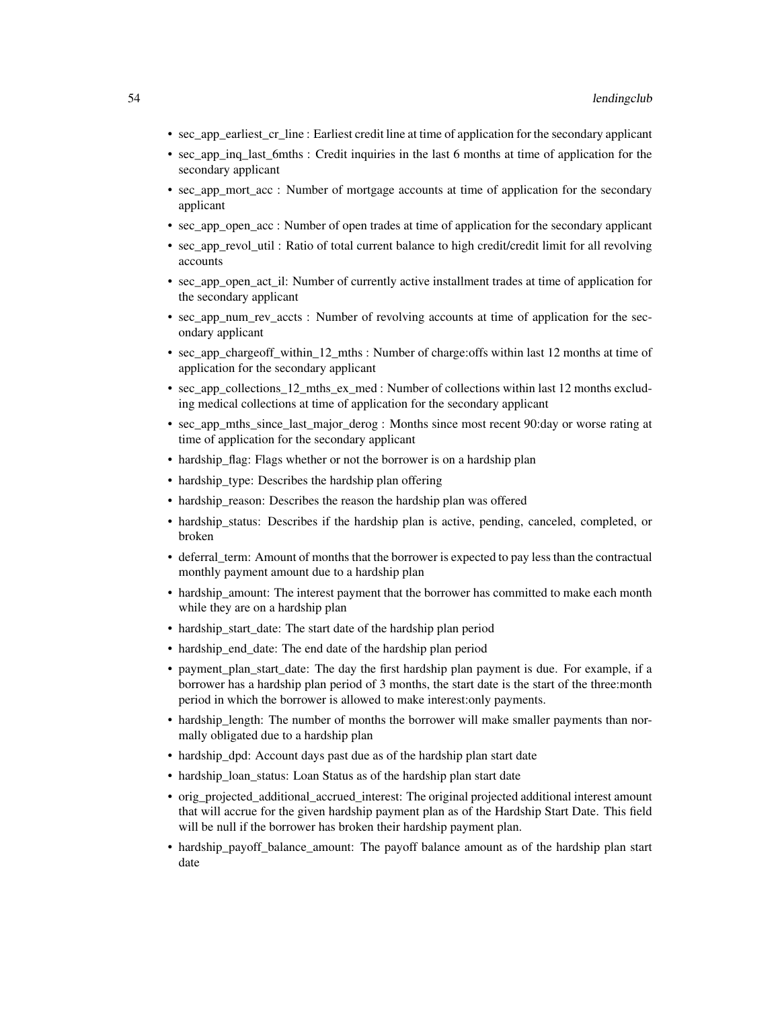- sec\_app\_earliest\_cr\_line : Earliest credit line at time of application for the secondary applicant
- sec\_app\_inq\_last\_6mths : Credit inquiries in the last 6 months at time of application for the secondary applicant
- sec\_app\_mort\_acc : Number of mortgage accounts at time of application for the secondary applicant
- sec\_app\_open\_acc : Number of open trades at time of application for the secondary applicant
- sec\_app\_revol\_util : Ratio of total current balance to high credit/credit limit for all revolving accounts
- sec app open act il: Number of currently active installment trades at time of application for the secondary applicant
- sec app num rev accts : Number of revolving accounts at time of application for the secondary applicant
- sec\_app\_chargeoff\_within\_12\_mths : Number of charge:offs within last 12 months at time of application for the secondary applicant
- sec\_app\_collections 12\_mths\_ex\_med : Number of collections within last 12 months excluding medical collections at time of application for the secondary applicant
- sec\_app\_mths\_since\_last\_major\_derog : Months since most recent 90:day or worse rating at time of application for the secondary applicant
- hardship\_flag: Flags whether or not the borrower is on a hardship plan
- hardship\_type: Describes the hardship plan offering
- hardship reason: Describes the reason the hardship plan was offered
- hardship status: Describes if the hardship plan is active, pending, canceled, completed, or broken
- deferral\_term: Amount of months that the borrower is expected to pay less than the contractual monthly payment amount due to a hardship plan
- hardship amount: The interest payment that the borrower has committed to make each month while they are on a hardship plan
- hardship\_start\_date: The start date of the hardship plan period
- hardship end date: The end date of the hardship plan period
- payment\_plan\_start\_date: The day the first hardship plan payment is due. For example, if a borrower has a hardship plan period of 3 months, the start date is the start of the three:month period in which the borrower is allowed to make interest:only payments.
- hardship\_length: The number of months the borrower will make smaller payments than normally obligated due to a hardship plan
- hardship\_dpd: Account days past due as of the hardship plan start date
- hardship\_loan\_status: Loan Status as of the hardship plan start date
- orig projected additional accrued interest: The original projected additional interest amount that will accrue for the given hardship payment plan as of the Hardship Start Date. This field will be null if the borrower has broken their hardship payment plan.
- hardship\_payoff\_balance\_amount: The payoff balance amount as of the hardship plan start date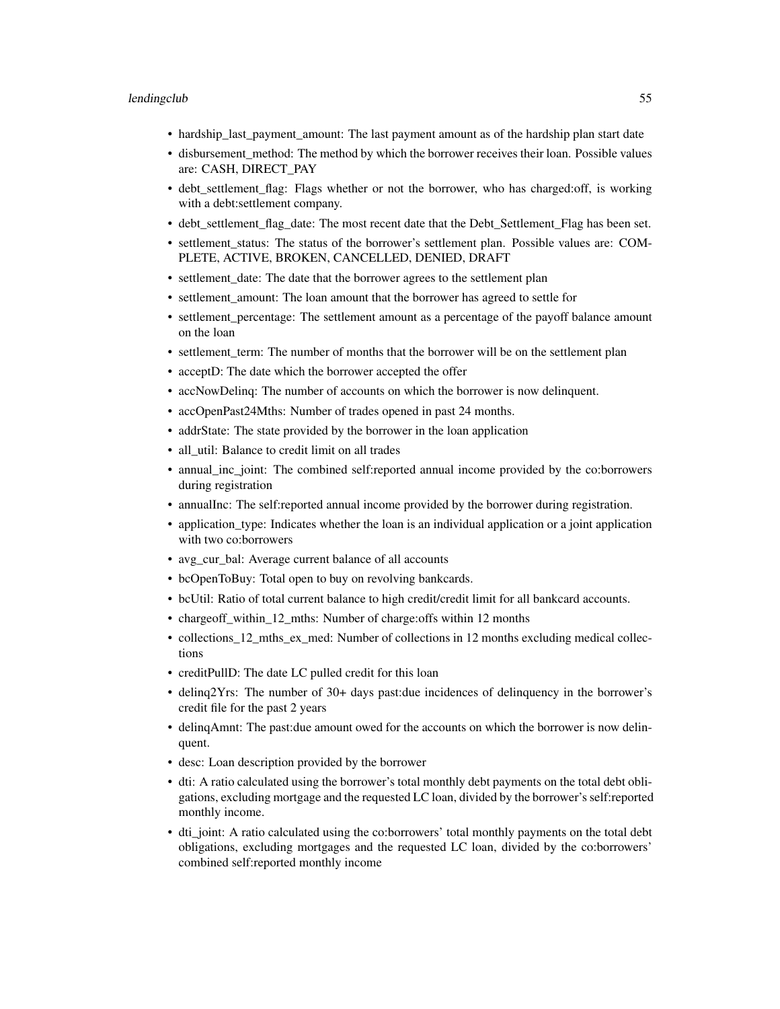- hardship\_last\_payment\_amount: The last payment amount as of the hardship plan start date
- disbursement\_method: The method by which the borrower receives their loan. Possible values are: CASH, DIRECT\_PAY
- debt\_settlement\_flag: Flags whether or not the borrower, who has charged:off, is working with a debt:settlement company.
- debt\_settlement\_flag\_date: The most recent date that the Debt\_Settlement\_Flag has been set.
- settlement\_status: The status of the borrower's settlement plan. Possible values are: COM-PLETE, ACTIVE, BROKEN, CANCELLED, DENIED, DRAFT
- settlement\_date: The date that the borrower agrees to the settlement plan
- settlement\_amount: The loan amount that the borrower has agreed to settle for
- settlement\_percentage: The settlement amount as a percentage of the payoff balance amount on the loan
- settlement term: The number of months that the borrower will be on the settlement plan
- acceptD: The date which the borrower accepted the offer
- accNowDelinq: The number of accounts on which the borrower is now delinquent.
- accOpenPast24Mths: Number of trades opened in past 24 months.
- addrState: The state provided by the borrower in the loan application
- all\_util: Balance to credit limit on all trades
- annual\_inc\_joint: The combined self:reported annual income provided by the co:borrowers during registration
- annualInc: The self:reported annual income provided by the borrower during registration.
- application type: Indicates whether the loan is an individual application or a joint application with two co:borrowers
- avg\_cur\_bal: Average current balance of all accounts
- bcOpenToBuy: Total open to buy on revolving bankcards.
- bcUtil: Ratio of total current balance to high credit/credit limit for all bankcard accounts.
- chargeoff\_within\_12\_mths: Number of charge:offs within 12 months
- collections\_12\_mths\_ex\_med: Number of collections in 12 months excluding medical collections
- creditPullD: The date LC pulled credit for this loan
- delinq2Yrs: The number of 30+ days past:due incidences of delinquency in the borrower's credit file for the past 2 years
- delinqAmnt: The past:due amount owed for the accounts on which the borrower is now delinquent.
- desc: Loan description provided by the borrower
- dti: A ratio calculated using the borrower's total monthly debt payments on the total debt obligations, excluding mortgage and the requested LC loan, divided by the borrower's self:reported monthly income.
- dti\_joint: A ratio calculated using the co:borrowers' total monthly payments on the total debt obligations, excluding mortgages and the requested LC loan, divided by the co:borrowers' combined self:reported monthly income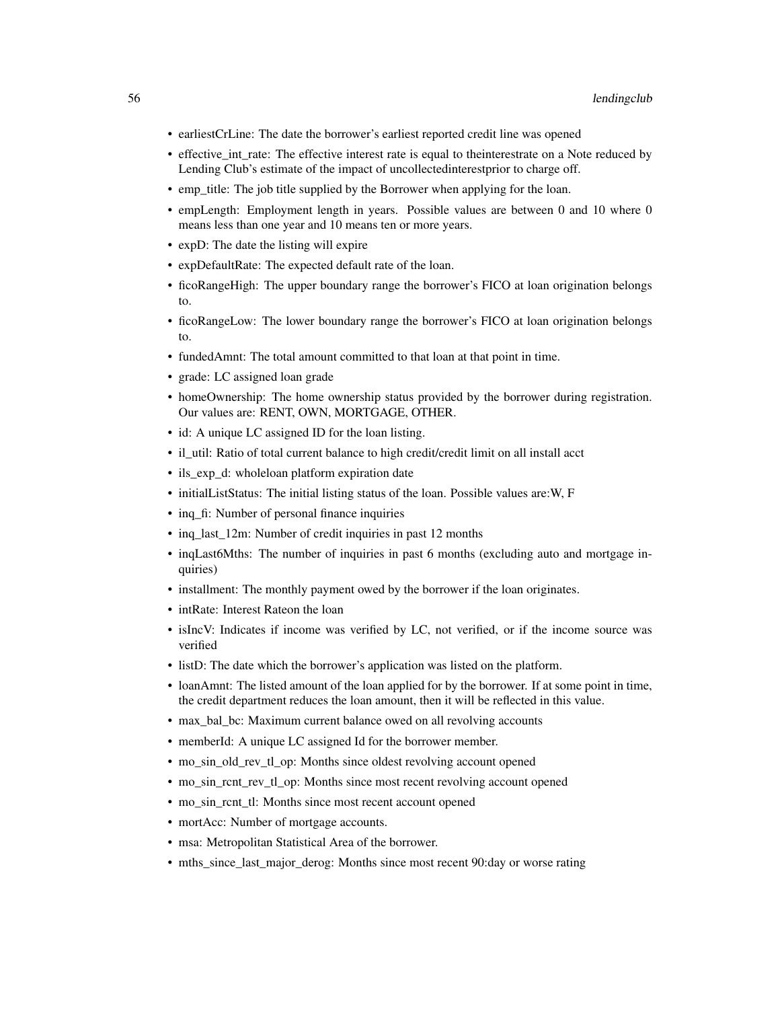- earliestCrLine: The date the borrower's earliest reported credit line was opened
- effective\_int\_rate: The effective interest rate is equal to theinterestrate on a Note reduced by Lending Club's estimate of the impact of uncollectedinterestprior to charge off.
- emp\_title: The job title supplied by the Borrower when applying for the loan.
- empLength: Employment length in years. Possible values are between 0 and 10 where 0 means less than one year and 10 means ten or more years.
- expD: The date the listing will expire
- expDefaultRate: The expected default rate of the loan.
- ficoRangeHigh: The upper boundary range the borrower's FICO at loan origination belongs to.
- ficoRangeLow: The lower boundary range the borrower's FICO at loan origination belongs to.
- fundedAmnt: The total amount committed to that loan at that point in time.
- grade: LC assigned loan grade
- homeOwnership: The home ownership status provided by the borrower during registration. Our values are: RENT, OWN, MORTGAGE, OTHER.
- id: A unique LC assigned ID for the loan listing.
- il\_util: Ratio of total current balance to high credit/credit limit on all install acct
- ils\_exp\_d: wholeloan platform expiration date
- initialListStatus: The initial listing status of the loan. Possible values are:W, F
- inq fi: Number of personal finance inquiries
- ing last 12m: Number of credit inquiries in past 12 months
- inqLast6Mths: The number of inquiries in past 6 months (excluding auto and mortgage inquiries)
- installment: The monthly payment owed by the borrower if the loan originates.
- intRate: Interest Rateon the loan
- isIncV: Indicates if income was verified by LC, not verified, or if the income source was verified
- listD: The date which the borrower's application was listed on the platform.
- loanAmnt: The listed amount of the loan applied for by the borrower. If at some point in time, the credit department reduces the loan amount, then it will be reflected in this value.
- max\_bal\_bc: Maximum current balance owed on all revolving accounts
- memberId: A unique LC assigned Id for the borrower member.
- mo\_sin\_old\_rev\_tl\_op: Months since oldest revolving account opened
- mo\_sin\_rcnt\_rev\_tl\_op: Months since most recent revolving account opened
- mo\_sin\_rcnt\_tl: Months since most recent account opened
- mortAcc: Number of mortgage accounts.
- msa: Metropolitan Statistical Area of the borrower.
- mths\_since\_last\_major\_derog: Months since most recent 90:day or worse rating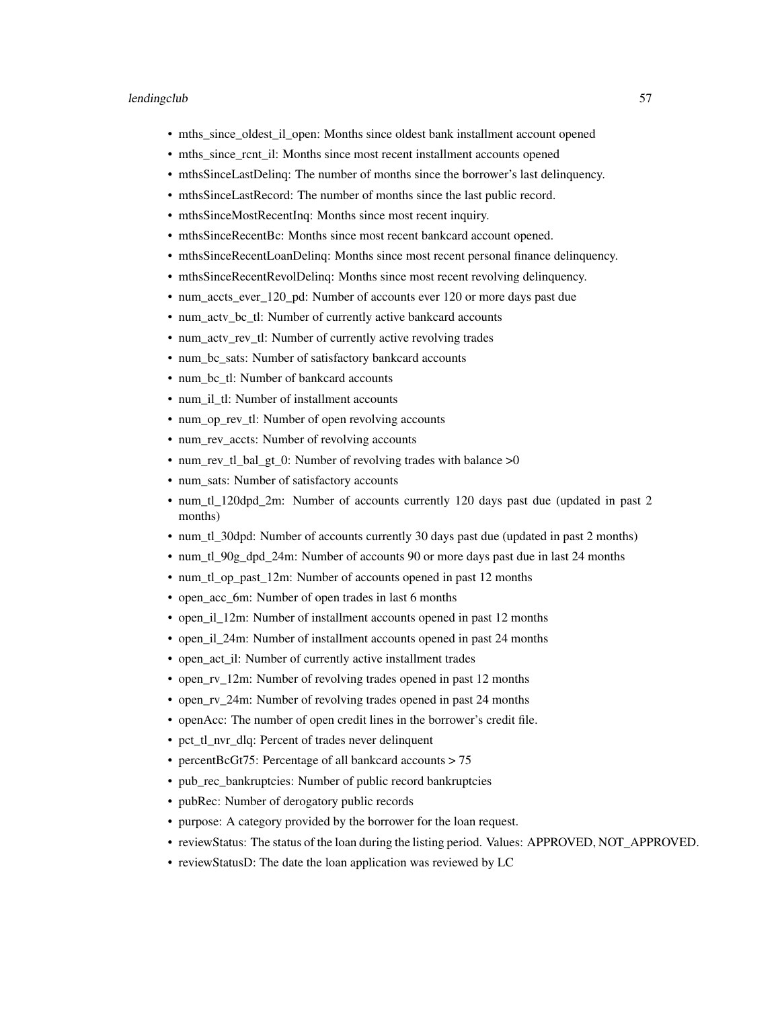- mths\_since\_oldest\_il\_open: Months since oldest bank installment account opened
- mths since rcnt il: Months since most recent installment accounts opened
- mthsSinceLastDelinq: The number of months since the borrower's last delinquency.
- mthsSinceLastRecord: The number of months since the last public record.
- mthsSinceMostRecentInq: Months since most recent inquiry.
- mthsSinceRecentBc: Months since most recent bankcard account opened.
- mthsSinceRecentLoanDelinq: Months since most recent personal finance delinquency.
- mthsSinceRecentRevolDelinq: Months since most recent revolving delinquency.
- num\_accts\_ever 120\_pd: Number of accounts ever 120 or more days past due
- num\_actv\_bc\_tl: Number of currently active bankcard accounts
- num\_actv\_rev\_tl: Number of currently active revolving trades
- num\_bc\_sats: Number of satisfactory bankcard accounts
- num\_bc\_tl: Number of bankcard accounts
- num\_il\_tl: Number of installment accounts
- num\_op\_rev\_tl: Number of open revolving accounts
- num\_rev\_accts: Number of revolving accounts
- num rev tl bal\_gt\_0: Number of revolving trades with balance  $>0$
- num\_sats: Number of satisfactory accounts
- num tl 120dpd 2m: Number of accounts currently 120 days past due (updated in past 2 months)
- num\_tl\_30dpd: Number of accounts currently 30 days past due (updated in past 2 months)
- num\_tl\_90g\_dpd\_24m: Number of accounts 90 or more days past due in last 24 months
- num tl op past 12m: Number of accounts opened in past 12 months
- open\_acc\_6m: Number of open trades in last 6 months
- open il 12m: Number of installment accounts opened in past 12 months
- open\_il\_24m: Number of installment accounts opened in past 24 months
- open\_act\_il: Number of currently active installment trades
- open rv 12m: Number of revolving trades opened in past 12 months
- open\_rv\_24m: Number of revolving trades opened in past 24 months
- openAcc: The number of open credit lines in the borrower's credit file.
- pct\_tl\_nvr\_dlq: Percent of trades never delinquent
- percentBcGt75: Percentage of all bankcard accounts > 75
- pub\_rec\_bankruptcies: Number of public record bankruptcies
- pubRec: Number of derogatory public records
- purpose: A category provided by the borrower for the loan request.
- reviewStatus: The status of the loan during the listing period. Values: APPROVED, NOT\_APPROVED.
- reviewStatusD: The date the loan application was reviewed by LC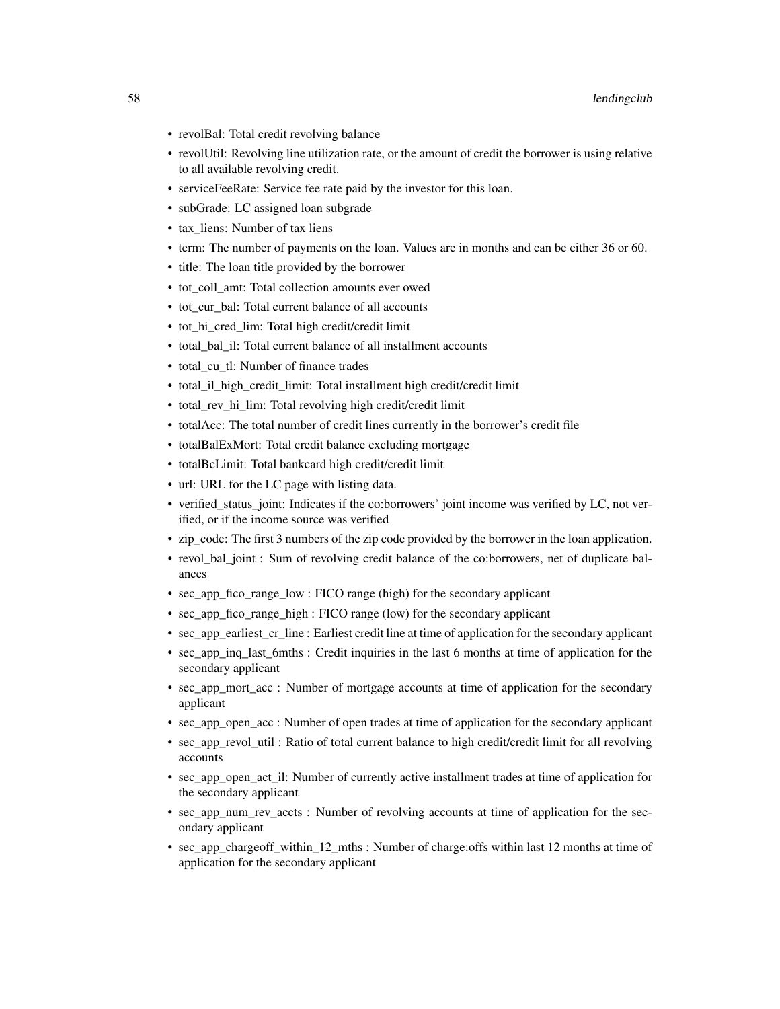- revolBal: Total credit revolving balance
- revolUtil: Revolving line utilization rate, or the amount of credit the borrower is using relative to all available revolving credit.
- serviceFeeRate: Service fee rate paid by the investor for this loan.
- subGrade: LC assigned loan subgrade
- tax liens: Number of tax liens
- term: The number of payments on the loan. Values are in months and can be either 36 or 60.
- title: The loan title provided by the borrower
- tot\_coll\_amt: Total collection amounts ever owed
- tot cur bal: Total current balance of all accounts
- tot\_hi\_cred\_lim: Total high credit/credit limit
- total bal il: Total current balance of all installment accounts
- total\_cu\_tl: Number of finance trades
- total\_il\_high\_credit\_limit: Total installment high credit/credit limit
- total\_rev\_hi\_lim: Total revolving high credit/credit limit
- totalAcc: The total number of credit lines currently in the borrower's credit file
- totalBalExMort: Total credit balance excluding mortgage
- totalBcLimit: Total bankcard high credit/credit limit
- url: URL for the LC page with listing data.
- verified\_status\_joint: Indicates if the co:borrowers' joint income was verified by LC, not verified, or if the income source was verified
- zip\_code: The first 3 numbers of the zip code provided by the borrower in the loan application.
- revol\_bal\_joint : Sum of revolving credit balance of the co:borrowers, net of duplicate balances
- sec\_app\_fico\_range\_low : FICO range (high) for the secondary applicant
- sec\_app\_fico\_range\_high : FICO range (low) for the secondary applicant
- sec\_app\_earliest\_cr\_line : Earliest credit line at time of application for the secondary applicant
- sec\_app\_inq\_last\_6mths : Credit inquiries in the last 6 months at time of application for the secondary applicant
- sec\_app\_mort\_acc : Number of mortgage accounts at time of application for the secondary applicant
- sec app open acc : Number of open trades at time of application for the secondary applicant
- sec\_app\_revol\_util : Ratio of total current balance to high credit/credit limit for all revolving accounts
- sec\_app\_open\_act\_il: Number of currently active installment trades at time of application for the secondary applicant
- sec\_app\_num\_rev\_accts : Number of revolving accounts at time of application for the secondary applicant
- sec\_app\_chargeoff\_within\_12\_mths : Number of charge:offs within last 12 months at time of application for the secondary applicant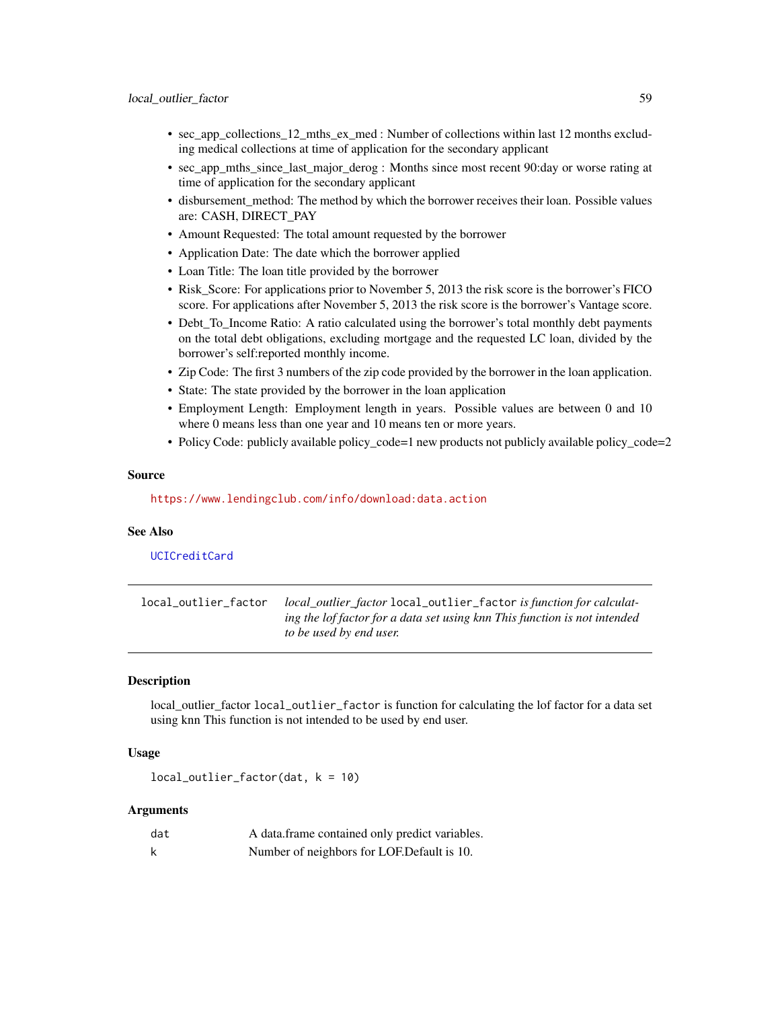- sec\_app\_collections\_12\_mths\_ex\_med : Number of collections within last 12 months excluding medical collections at time of application for the secondary applicant
- sec\_app\_mths\_since\_last\_major\_derog : Months since most recent 90:day or worse rating at time of application for the secondary applicant
- disbursement\_method: The method by which the borrower receives their loan. Possible values are: CASH, DIRECT\_PAY
- Amount Requested: The total amount requested by the borrower
- Application Date: The date which the borrower applied
- Loan Title: The loan title provided by the borrower
- Risk Score: For applications prior to November 5, 2013 the risk score is the borrower's FICO score. For applications after November 5, 2013 the risk score is the borrower's Vantage score.
- Debt\_To\_Income Ratio: A ratio calculated using the borrower's total monthly debt payments on the total debt obligations, excluding mortgage and the requested LC loan, divided by the borrower's self:reported monthly income.
- Zip Code: The first 3 numbers of the zip code provided by the borrower in the loan application.
- State: The state provided by the borrower in the loan application
- Employment Length: Employment length in years. Possible values are between 0 and 10 where 0 means less than one year and 10 means ten or more years.
- Policy Code: publicly available policy\_code=1 new products not publicly available policy\_code=2

### Source

<https://www.lendingclub.com/info/download:data.action>

## See Also

## [UCICreditCard](#page-87-0)

local\_outlier\_factor *local\_outlier\_factor* local\_outlier\_factor *is function for calculating the lof factor for a data set using knn This function is not intended to be used by end user.*

# **Description**

local\_outlier\_factor local\_outlier\_factor is function for calculating the lof factor for a data set using knn This function is not intended to be used by end user.

#### Usage

```
local_outlier_factor(dat, k = 10)
```

| dat | A data frame contained only predict variables. |
|-----|------------------------------------------------|
|     | Number of neighbors for LOF. Default is 10.    |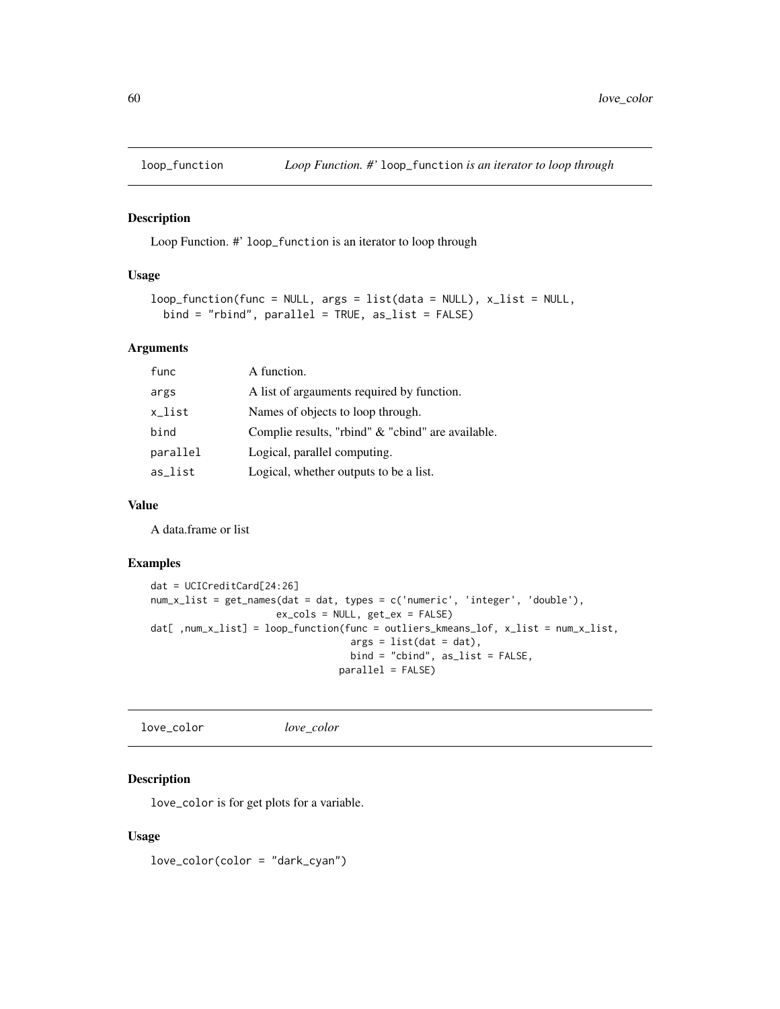Loop Function. #' loop\_function is an iterator to loop through

### Usage

```
loop_function(func = NULL, args = list(data = NULL, x_list = NULL,bind = "rbind", parallel = TRUE, as_list = FALSE)
```
### Arguments

| func     | A function.                                       |
|----------|---------------------------------------------------|
| args     | A list of argainents required by function.        |
| x_list   | Names of objects to loop through.                 |
| bind     | Complie results, "rbind" & "cbind" are available. |
| parallel | Logical, parallel computing.                      |
| as_list  | Logical, whether outputs to be a list.            |

## Value

A data.frame or list

## Examples

```
dat = UCICreditCard[24:26]
num_x_list = get_names(dat = dat, types = c('numeric', 'integer', 'double'),
                      ex_cols = NULL, get_ex = FALSE)
dat[ ,num_x_list] = loop_function(func = outliers_kmeans_lof, x_list = num_x_list,
                                   args = list(data = dat),bind = "cbind", as_list = FALSE,
                                 parallel = FALSE)
```
love\_color *love\_color*

### Description

love\_color is for get plots for a variable.

#### Usage

love\_color(color = "dark\_cyan")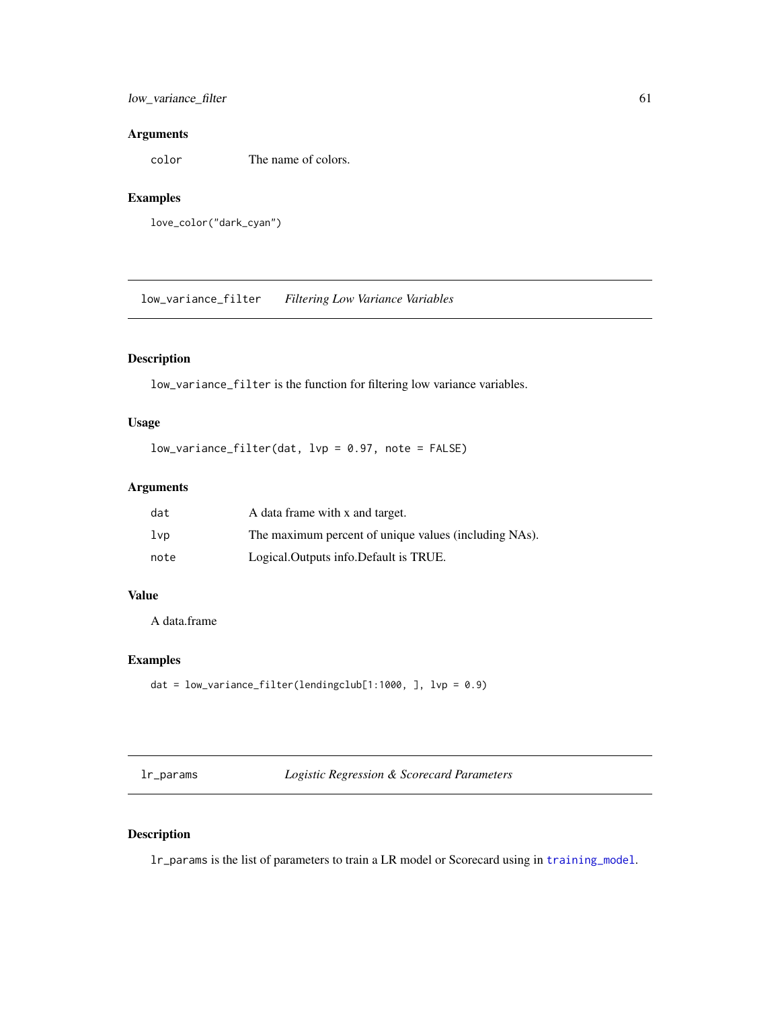# low\_variance\_filter 61

## Arguments

color The name of colors.

# Examples

love\_color("dark\_cyan")

low\_variance\_filter *Filtering Low Variance Variables*

# Description

low\_variance\_filter is the function for filtering low variance variables.

# Usage

low\_variance\_filter(dat, lvp = 0.97, note = FALSE)

# Arguments

| dat    | A data frame with x and target.                       |
|--------|-------------------------------------------------------|
| $1$ vp | The maximum percent of unique values (including NAs). |
| note   | Logical. Outputs info. Default is TRUE.               |

## Value

A data.frame

## Examples

```
dat = low_variance_filter(lendingclub[1:1000, ], lvp = 0.9)
```
lr\_params *Logistic Regression & Scorecard Parameters*

# Description

lr\_params is the list of parameters to train a LR model or Scorecard using in [training\\_model](#page-83-0).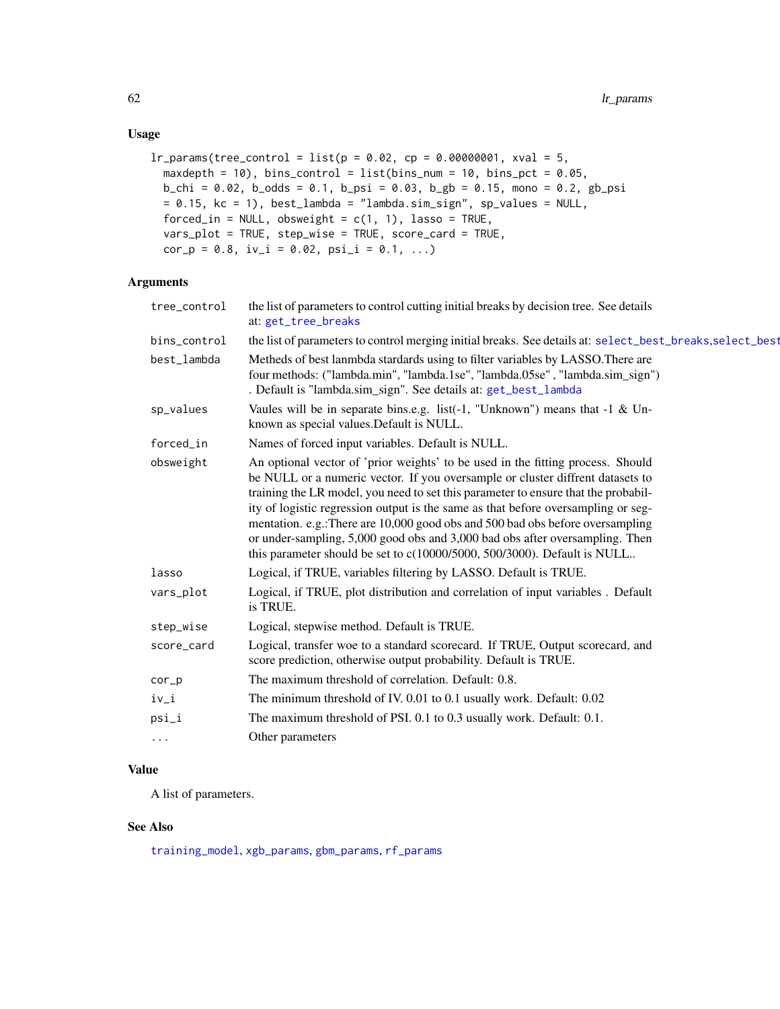# Usage

```
lr\_params(tree\_control = list(p = 0.02, cp = 0.00000001, xval = 5,maxdepth = 10, bins_control = list(bins_num = 10, bins_pct = 0.05,
 b_{\text{c}}chi = 0.02, b_{\text{c}}odds = 0.1, b_{\text{c}}psi = 0.03, b_{\text{c}}gb = 0.15, mono = 0.2, gb_psi
 = 0.15, kc = 1), best_lambda = "lambda.sim_sign", sp_values = NULL,
  forced_in = NULL, obsweight = c(1, 1), lasso = TRUE,
  vars_plot = TRUE, step_wise = TRUE, score_card = TRUE,
  cor_p = 0.8, iv_i = 0.02, psi_i = 0.1, ...)
```
### Arguments

| tree_control | the list of parameters to control cutting initial breaks by decision tree. See details<br>at: get_tree_breaks                                                                                                                                                                                                                                                                                                                                                                                                                                                                              |
|--------------|--------------------------------------------------------------------------------------------------------------------------------------------------------------------------------------------------------------------------------------------------------------------------------------------------------------------------------------------------------------------------------------------------------------------------------------------------------------------------------------------------------------------------------------------------------------------------------------------|
| bins_control | the list of parameters to control merging initial breaks. See details at: select_best_breaks, select_best                                                                                                                                                                                                                                                                                                                                                                                                                                                                                  |
| best_lambda  | Metheds of best lanmbda stardards using to filter variables by LASSO. There are<br>four methods: ("lambda.min", "lambda.1se", "lambda.05se", "lambda.sim_sign")<br>. Default is "lambda.sim_sign". See details at: get_best_lambda                                                                                                                                                                                                                                                                                                                                                         |
| sp_values    | Vaules will be in separate bins.e.g. list(-1, "Unknown") means that $-1 \& Un-$<br>known as special values. Default is NULL.                                                                                                                                                                                                                                                                                                                                                                                                                                                               |
| forced_in    | Names of forced input variables. Default is NULL.                                                                                                                                                                                                                                                                                                                                                                                                                                                                                                                                          |
| obsweight    | An optional vector of 'prior weights' to be used in the fitting process. Should<br>be NULL or a numeric vector. If you oversample or cluster diffrent datasets to<br>training the LR model, you need to set this parameter to ensure that the probabil-<br>ity of logistic regression output is the same as that before oversampling or seg-<br>mentation. e.g.: There are 10,000 good obs and 500 bad obs before oversampling<br>or under-sampling, 5,000 good obs and 3,000 bad obs after oversampling. Then<br>this parameter should be set to c(10000/5000, 500/3000). Default is NULL |
| lasso        | Logical, if TRUE, variables filtering by LASSO. Default is TRUE.                                                                                                                                                                                                                                                                                                                                                                                                                                                                                                                           |
| vars_plot    | Logical, if TRUE, plot distribution and correlation of input variables. Default<br>is TRUE.                                                                                                                                                                                                                                                                                                                                                                                                                                                                                                |
| step_wise    | Logical, stepwise method. Default is TRUE.                                                                                                                                                                                                                                                                                                                                                                                                                                                                                                                                                 |
| score_card   | Logical, transfer woe to a standard scorecard. If TRUE, Output scorecard, and<br>score prediction, otherwise output probability. Default is TRUE.                                                                                                                                                                                                                                                                                                                                                                                                                                          |
| $cor_p$      | The maximum threshold of correlation. Default: 0.8.                                                                                                                                                                                                                                                                                                                                                                                                                                                                                                                                        |
| iv_i         | The minimum threshold of IV. 0.01 to 0.1 usually work. Default: 0.02                                                                                                                                                                                                                                                                                                                                                                                                                                                                                                                       |
| psi_i        | The maximum threshold of PSI. 0.1 to 0.3 usually work. Default: 0.1.                                                                                                                                                                                                                                                                                                                                                                                                                                                                                                                       |
| $\cdots$     | Other parameters                                                                                                                                                                                                                                                                                                                                                                                                                                                                                                                                                                           |
|              |                                                                                                                                                                                                                                                                                                                                                                                                                                                                                                                                                                                            |

# Value

A list of parameters.

# See Also

[training\\_model](#page-83-0), [xgb\\_params](#page-92-0), [gbm\\_params](#page-25-0), [rf\\_params](#page-73-0)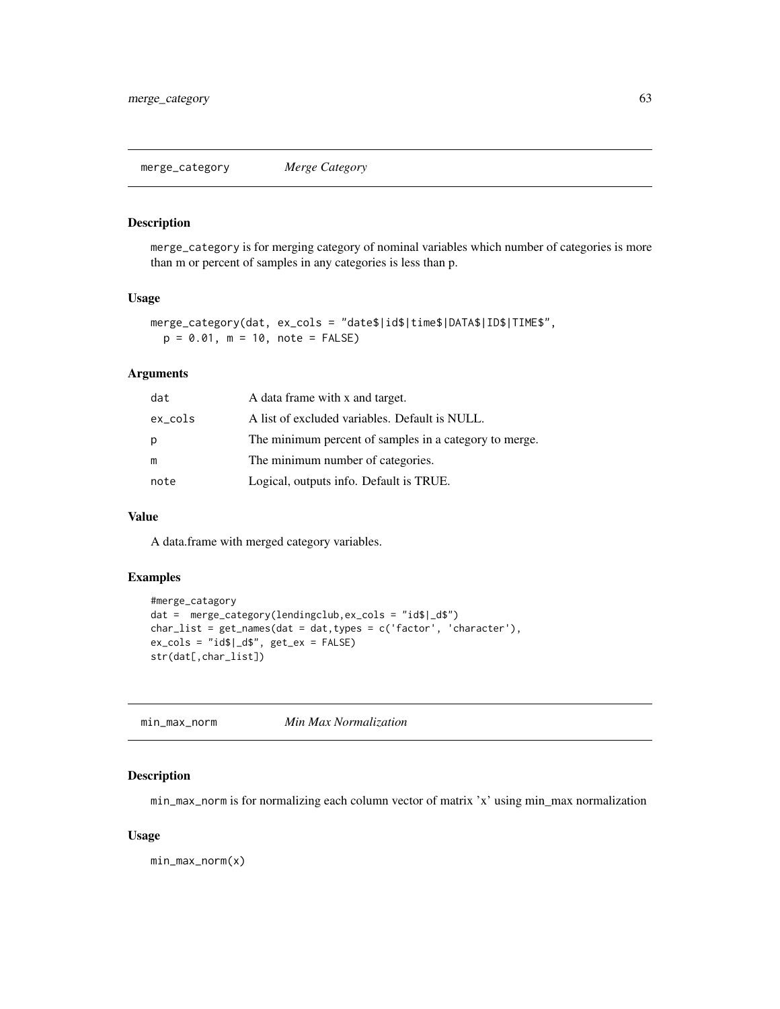merge\_category *Merge Category*

# Description

merge\_category is for merging category of nominal variables which number of categories is more than m or percent of samples in any categories is less than p.

### Usage

```
merge_category(dat, ex_cols = "date$|id$|time$|DATA$|ID$|TIME$",
 p = 0.01, m = 10, note = FALSE)
```
## Arguments

| dat        | A data frame with x and target.                        |
|------------|--------------------------------------------------------|
| $ex\_cols$ | A list of excluded variables. Default is NULL.         |
| p          | The minimum percent of samples in a category to merge. |
| m          | The minimum number of categories.                      |
| note       | Logical, outputs info. Default is TRUE.                |

### Value

A data.frame with merged category variables.

# Examples

```
#merge_catagory
dat = merge_category(lendingclub,ex_cols = "id$|_d$")
char\_list = get\_names(data = dat, types = c('factor', 'character'),ex\_cols = "id$|_d$", get\_ex = FALSE)str(dat[,char_list])
```
min\_max\_norm *Min Max Normalization*

### Description

min\_max\_norm is for normalizing each column vector of matrix 'x' using min\_max normalization

## Usage

min\_max\_norm(x)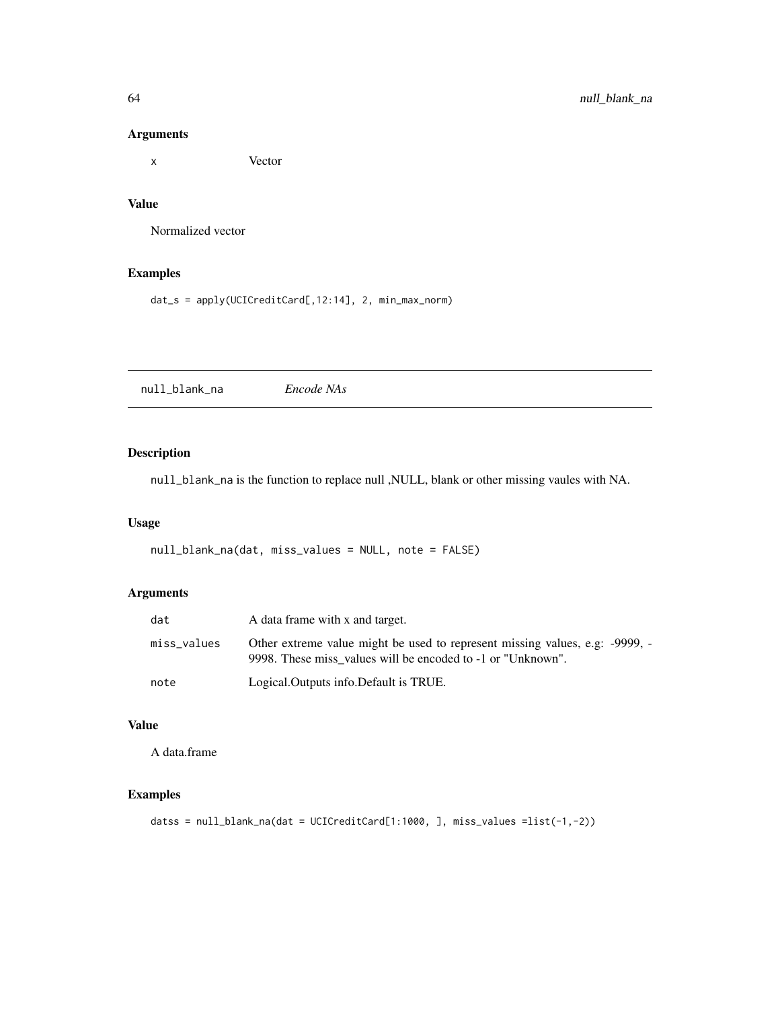# Arguments

x Vector

# Value

Normalized vector

# Examples

dat\_s = apply(UCICreditCard[,12:14], 2, min\_max\_norm)

null\_blank\_na *Encode NAs*

# Description

null\_blank\_na is the function to replace null ,NULL, blank or other missing vaules with NA.

## Usage

null\_blank\_na(dat, miss\_values = NULL, note = FALSE)

# Arguments

| dat         | A data frame with x and target.                                                                                                             |
|-------------|---------------------------------------------------------------------------------------------------------------------------------------------|
| miss_values | Other extreme value might be used to represent missing values, e.g. -9999, -<br>9998. These miss values will be encoded to -1 or "Unknown". |
| note        | Logical. Outputs info. Default is TRUE.                                                                                                     |

# Value

A data.frame

```
datss = null_blank_na(dat = UCICreditCard[1:1000, ], miss_values =list(-1,-2))
```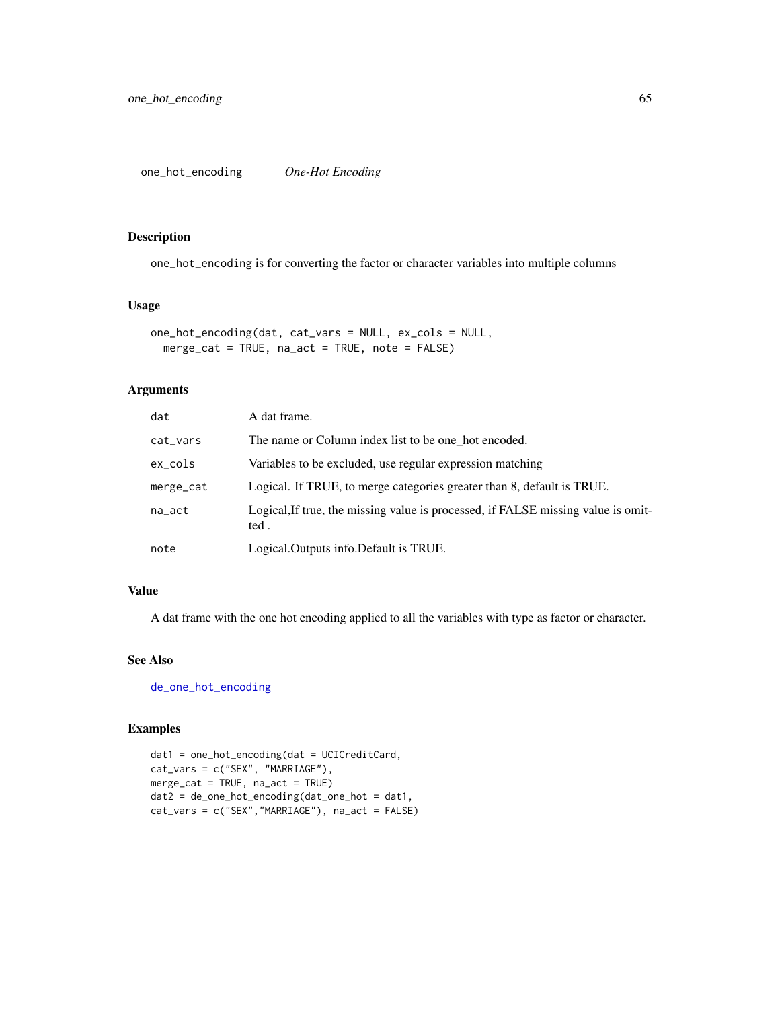one\_hot\_encoding is for converting the factor or character variables into multiple columns

### Usage

```
one_hot_encoding(dat, cat_vars = NULL, ex_cols = NULL,
 merge_cat = TRUE, na_act = TRUE, note = FALSE)
```
## Arguments

| dat        | A dat frame.                                                                              |
|------------|-------------------------------------------------------------------------------------------|
| cat_vars   | The name or Column index list to be one hot encoded.                                      |
| $ex\_cols$ | Variables to be excluded, use regular expression matching                                 |
| merge_cat  | Logical. If TRUE, to merge categories greater than 8, default is TRUE.                    |
| na_act     | Logical, If true, the missing value is processed, if FALSE missing value is omit-<br>ted. |
| note       | Logical.Outputs info.Default is TRUE.                                                     |

## Value

A dat frame with the one hot encoding applied to all the variables with type as factor or character.

## See Also

[de\\_one\\_hot\\_encoding](#page-16-0)

```
dat1 = one_hot_encoding(dat = UCICreditCard,
cat_vars = c("SEX", "MARRIAGE"),
merge_cat = TRUE, na_act = TRUE)
dat2 = de_one_hot_encoding(dat_one_hot = dat1,
cat_vars = c("SEX","MARRIAGE"), na_act = FALSE)
```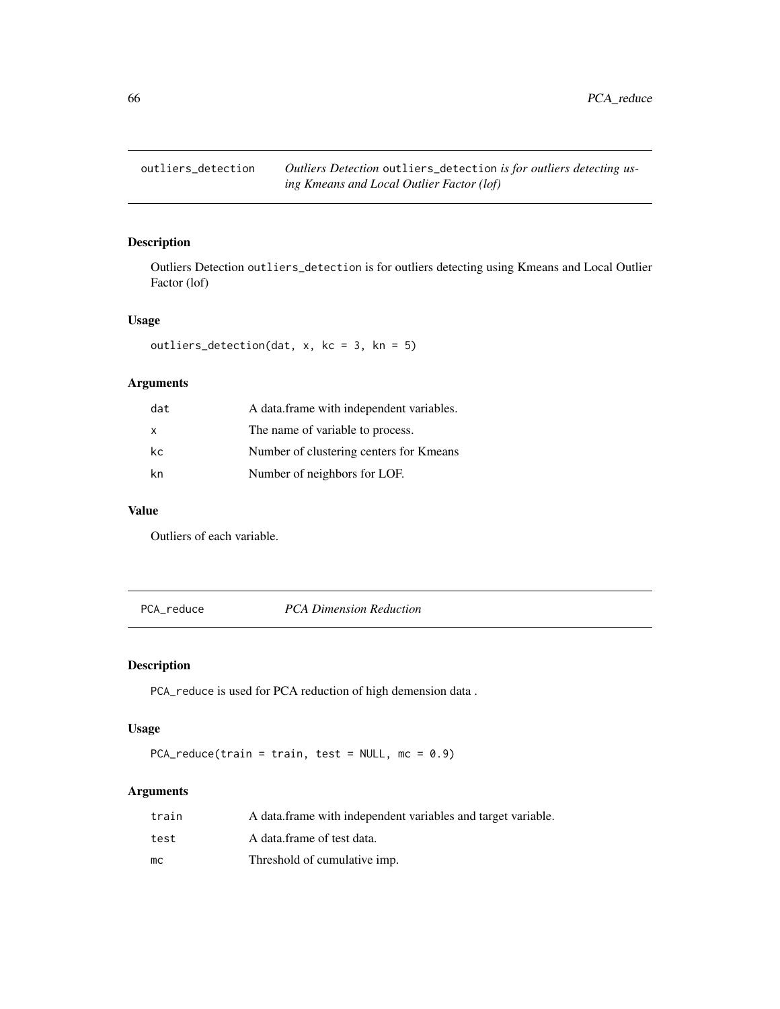Outliers Detection outliers\_detection is for outliers detecting using Kmeans and Local Outlier Factor (lof)

# Usage

```
outliers_detection(dat, x, kc = 3, kn = 5)
```
## Arguments

| dat | A data.frame with independent variables. |
|-----|------------------------------------------|
| X   | The name of variable to process.         |
| kc  | Number of clustering centers for Kmeans  |
| kn  | Number of neighbors for LOF.             |

## Value

Outliers of each variable.

PCA\_reduce *PCA Dimension Reduction*

# Description

PCA\_reduce is used for PCA reduction of high demension data .

# Usage

```
PCA_reduce(train = train, test = NULL, mc = 0.9)
```

| train | A data frame with independent variables and target variable. |
|-------|--------------------------------------------------------------|
| test  | A data.frame of test data.                                   |
| mс    | Threshold of cumulative imp.                                 |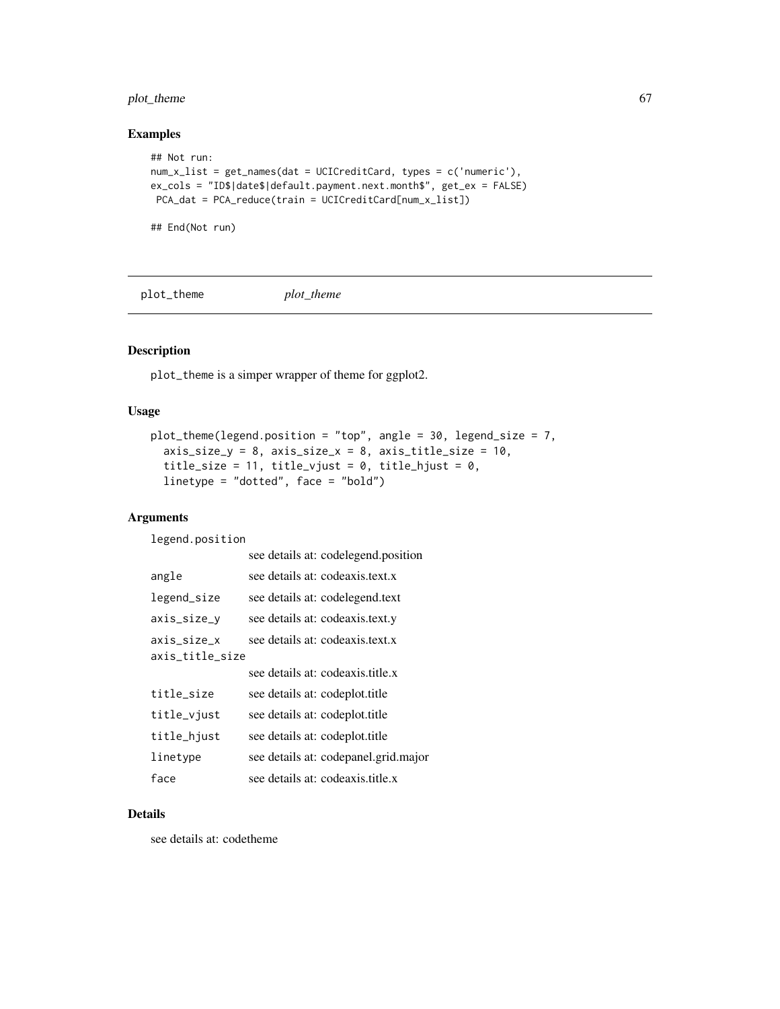# plot\_theme 67

## Examples

```
## Not run:
num_x_list = get_names(dat = UCICreditCard, types = c('numeric'),
ex_cols = "ID$|date$|default.payment.next.month$", get_ex = FALSE)
PCA_dat = PCA_reduce(train = UCICreditCard[num_x_list])
```
## End(Not run)

plot\_theme *plot\_theme*

# Description

plot\_theme is a simper wrapper of theme for ggplot2.

### Usage

```
plot_theme(legend.position = "top", angle = 30, legend_size = 7,
  axis\_size_y = 8, axis\_size_x = 8, axis\_title\_size = 10,
  title_size = 11, title_vjust = 0, title_hjust = 0,
  linetype = "dotted", face = "bold")
```
# Arguments

legend.position

|                                | see details at: codelegend.position  |
|--------------------------------|--------------------------------------|
| angle                          | see details at: codeaxis.text.x      |
| legend_size                    | see details at: codelegend.text      |
| axis_size_y                    | see details at: codeaxis.text.y      |
| axis_size_x<br>axis_title_size | see details at: codeaxis.text.x      |
|                                | see details at: codeaxis.title.x     |
| title_size                     | see details at: codeplot.title       |
| title_vjust                    | see details at: codeplot.title       |
| title_hjust                    | see details at: codeplot.title       |
| linetype                       | see details at: codepanel.grid.major |
| face                           | see details at: codeaxis title x     |

# Details

see details at: codetheme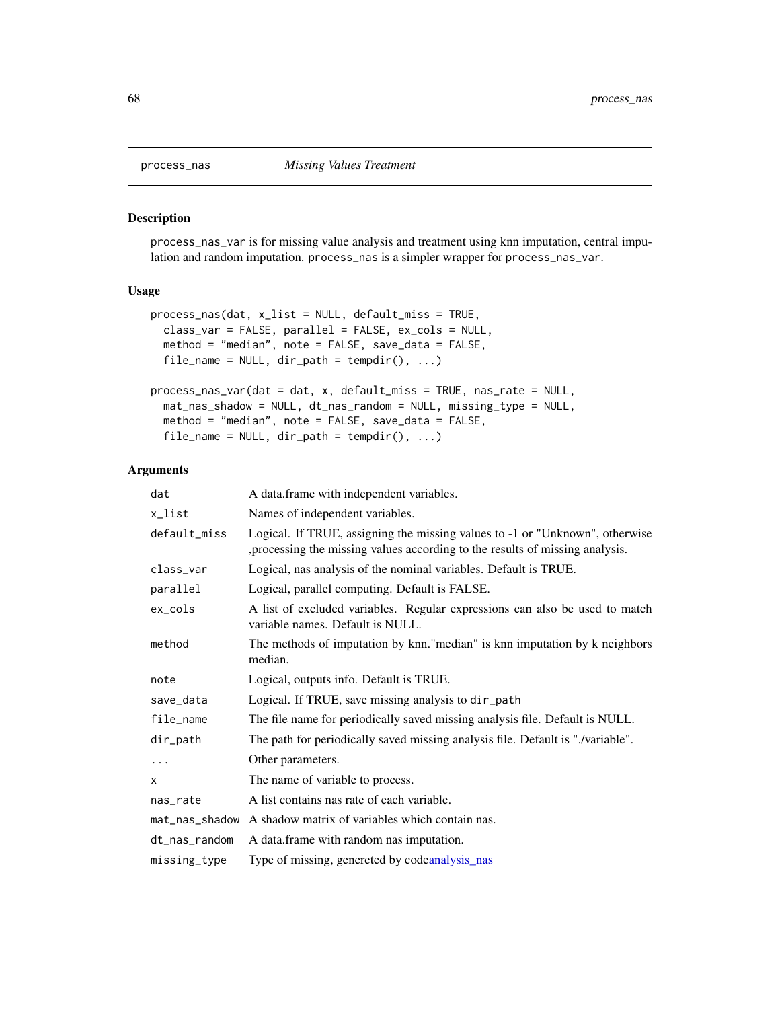process\_nas\_var is for missing value analysis and treatment using knn imputation, central impulation and random imputation. process\_nas is a simpler wrapper for process\_nas\_var.

### Usage

```
process_nas(dat, x_list = NULL, default_miss = TRUE,
 class_var = FALSE, parallel = FALSE, ex_cols = NULL,
 method = "median", note = FALSE, save_data = FALSE,
  file_name = NULL, dir.path = tempdir(), ...)process_nas_var(dat = dat, x, default_miss = TRUE, nas_rate = NULL,
 mat_nas_shadow = NULL, dt_nas_random = NULL, missing_type = NULL,
 method = "median", note = FALSE, save_data = FALSE,
 file_name = NULL, dir\_path = tempdir(), ...)
```

| dat            | A data.frame with independent variables.                                                                                                                      |
|----------------|---------------------------------------------------------------------------------------------------------------------------------------------------------------|
| x_list         | Names of independent variables.                                                                                                                               |
| default_miss   | Logical. If TRUE, assigning the missing values to -1 or "Unknown", otherwise<br>, processing the missing values according to the results of missing analysis. |
| class_var      | Logical, nas analysis of the nominal variables. Default is TRUE.                                                                                              |
| parallel       | Logical, parallel computing. Default is FALSE.                                                                                                                |
| ex_cols        | A list of excluded variables. Regular expressions can also be used to match<br>variable names. Default is NULL.                                               |
| method         | The methods of imputation by knn."median" is knn imputation by k neighbors<br>median.                                                                         |
| note           | Logical, outputs info. Default is TRUE.                                                                                                                       |
| save_data      | Logical. If TRUE, save missing analysis to dir_path                                                                                                           |
| file_name      | The file name for periodically saved missing analysis file. Default is NULL.                                                                                  |
| dir_path       | The path for periodically saved missing analysis file. Default is "./variable".                                                                               |
| $\cdots$       | Other parameters.                                                                                                                                             |
| x              | The name of variable to process.                                                                                                                              |
| nas_rate       | A list contains nas rate of each variable.                                                                                                                    |
| mat_nas_shadow | A shadow matrix of variables which contain nas.                                                                                                               |
| dt_nas_random  | A data.frame with random nas imputation.                                                                                                                      |
| missing_type   | Type of missing, genereted by codeanalysis nas                                                                                                                |
|                |                                                                                                                                                               |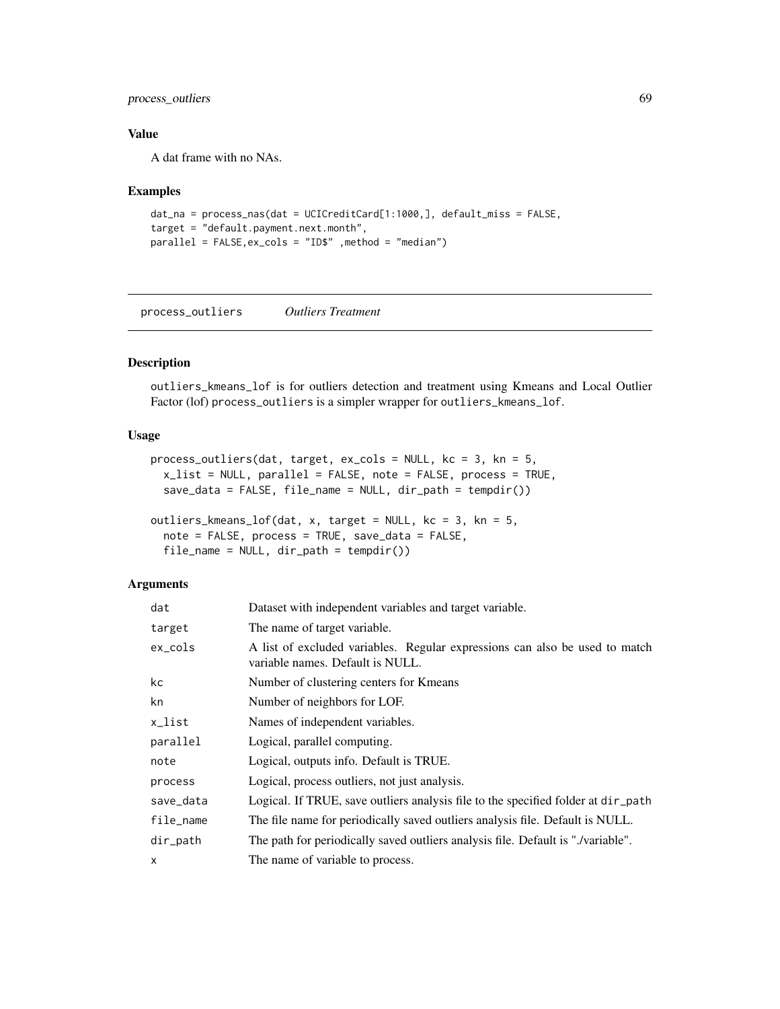# process\_outliers 69

## Value

A dat frame with no NAs.

### Examples

```
dat_na = process_nas(dat = UCICreditCard[1:1000,], default_miss = FALSE,
target = "default.payment.next.month",
parallel = FALSE,ex_cols = "ID$" ,method = "median")
```
process\_outliers *Outliers Treatment*

### Description

outliers\_kmeans\_lof is for outliers detection and treatment using Kmeans and Local Outlier Factor (lof) process\_outliers is a simpler wrapper for outliers\_kmeans\_lof.

## Usage

```
process_outliers(dat, target, ex_cols = NULL, kc = 3, kn = 5,
  x_list = NULL, parallel = FALSE, note = FALSE, process = TRUE,
  save_data = FALSE, file_name = NULL, dir_path = tempdir())
```

```
outliers_kmeans_lof(dat, x, target = NULL, kc = 3, kn = 5,
 note = FALSE, process = TRUE, save_data = FALSE,
 file_name = NULL, dir_path = tempdir())
```

| dat       | Dataset with independent variables and target variable.                                                         |
|-----------|-----------------------------------------------------------------------------------------------------------------|
| target    | The name of target variable.                                                                                    |
| ex_cols   | A list of excluded variables. Regular expressions can also be used to match<br>variable names. Default is NULL. |
| kc        | Number of clustering centers for Kmeans                                                                         |
| kn        | Number of neighbors for LOF.                                                                                    |
| x_list    | Names of independent variables.                                                                                 |
| parallel  | Logical, parallel computing.                                                                                    |
| note      | Logical, outputs info. Default is TRUE.                                                                         |
| process   | Logical, process outliers, not just analysis.                                                                   |
| save_data | Logical. If TRUE, save outliers analysis file to the specified folder at $dir$ -path                            |
| file_name | The file name for periodically saved outliers analysis file. Default is NULL.                                   |
| dir_path  | The path for periodically saved outliers analysis file. Default is "./variable".                                |
| X         | The name of variable to process.                                                                                |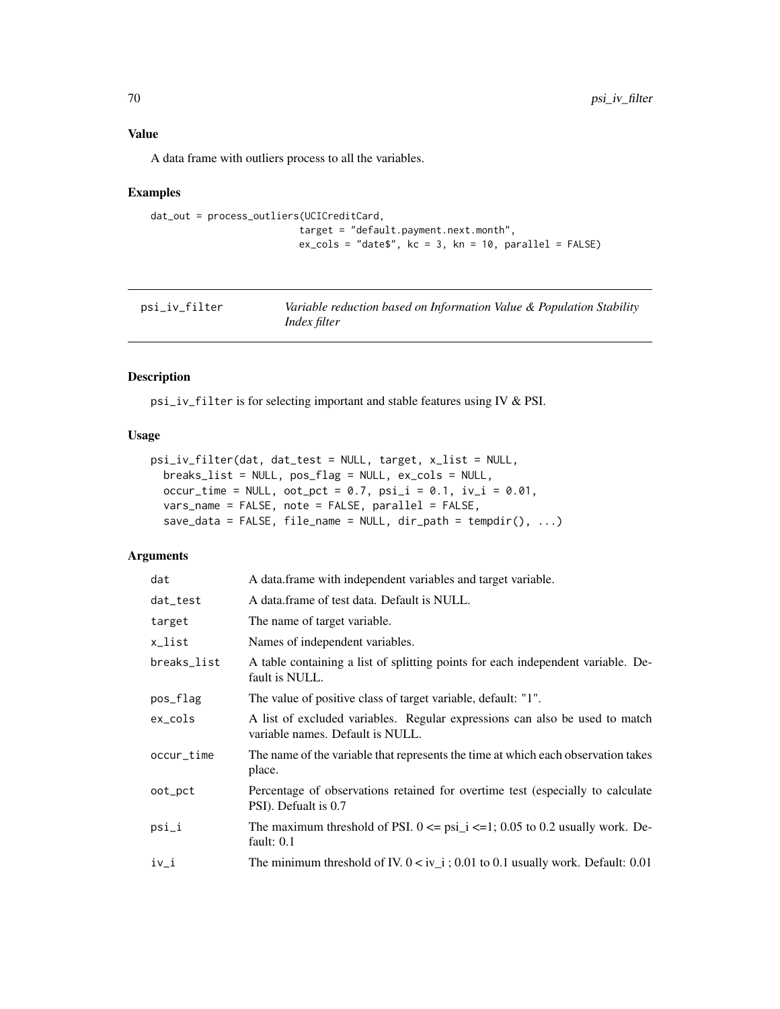A data frame with outliers process to all the variables.

# Examples

```
dat_out = process_outliers(UCICreditCard,
                         target = "default.payment.next.month",
                          ex\_cols = "date$", kc = 3, kn = 10, parallel = FALSE)
```

| psi_iv_filter | Variable reduction based on Information Value & Population Stability |
|---------------|----------------------------------------------------------------------|
|               | <i>Index filter</i>                                                  |

# Description

psi\_iv\_filter is for selecting important and stable features using IV & PSI.

# Usage

```
psi_iv_filter(dat, dat_test = NULL, target, x_list = NULL,
  breaks_list = NULL, pos_flag = NULL, ex_cols = NULL,
  occur_time = NULL, oot_{pct} = 0.7, psi_{i} = 0.1, iv_{i} = 0.01,
  vars_name = FALSE, note = FALSE, parallel = FALSE,
  save_data = FALSE, file_name = NULL, dir_path = tempdir(), ...)
```

| dat         | A data frame with independent variables and target variable.                                                    |
|-------------|-----------------------------------------------------------------------------------------------------------------|
| dat_test    | A data frame of test data. Default is NULL.                                                                     |
| target      | The name of target variable.                                                                                    |
| x_list      | Names of independent variables.                                                                                 |
| breaks_list | A table containing a list of splitting points for each independent variable. De-<br>fault is NULL.              |
| pos_flag    | The value of positive class of target variable, default: "1".                                                   |
| $ex\_cols$  | A list of excluded variables. Regular expressions can also be used to match<br>variable names. Default is NULL. |
| occur_time  | The name of the variable that represents the time at which each observation takes<br>place.                     |
| oot_pct     | Percentage of observations retained for overtime test (especially to calculate<br>PSI). Defualt is 0.7          |
| psi_i       | The maximum threshold of PSI. $0 \leq psi_i \leq -1$ ; 0.05 to 0.2 usually work. De-<br>fault: $0.1$            |
| $iv_i$      | The minimum threshold of IV. $0 < iv$ i; 0.01 to 0.1 usually work. Default: 0.01                                |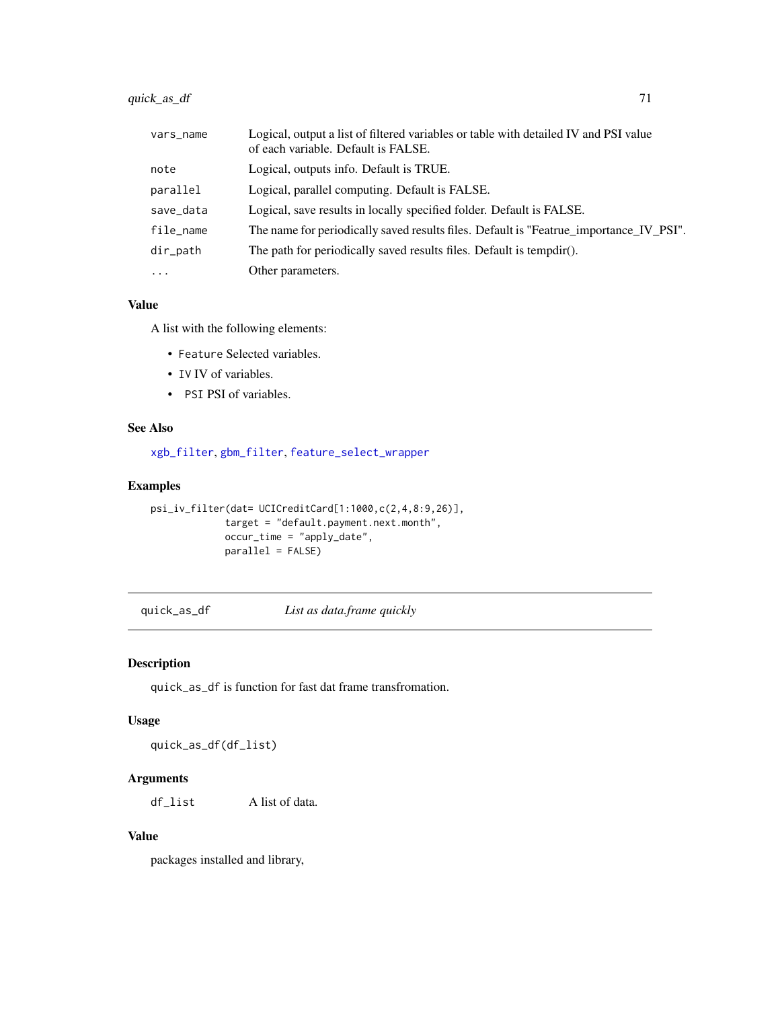| vars_name   | Logical, output a list of filtered variables or table with detailed IV and PSI value<br>of each variable. Default is FALSE. |
|-------------|-----------------------------------------------------------------------------------------------------------------------------|
| note        | Logical, outputs info. Default is TRUE.                                                                                     |
| parallel    | Logical, parallel computing. Default is FALSE.                                                                              |
| save_data   | Logical, save results in locally specified folder. Default is FALSE.                                                        |
| file_name   | The name for periodically saved results files. Default is "Featrue_importance_IV_PSI".                                      |
| $dir$ -path | The path for periodically saved results files. Default is tempdir().                                                        |
| $\cdot$     | Other parameters.                                                                                                           |

# Value

A list with the following elements:

- Feature Selected variables.
- IV IV of variables.
- PSI PSI of variables.

# See Also

[xgb\\_filter](#page-91-0), [gbm\\_filter](#page-23-0), [feature\\_select\\_wrapper](#page-21-0)

# Examples

```
psi_iv_filter(dat= UCICreditCard[1:1000,c(2,4,8:9,26)],
            target = "default.payment.next.month",
            occur_time = "apply_date",
            parallel = FALSE)
```
quick\_as\_df *List as data.frame quickly*

# Description

quick\_as\_df is function for fast dat frame transfromation.

# Usage

quick\_as\_df(df\_list)

# Arguments

df\_list A list of data.

# Value

packages installed and library,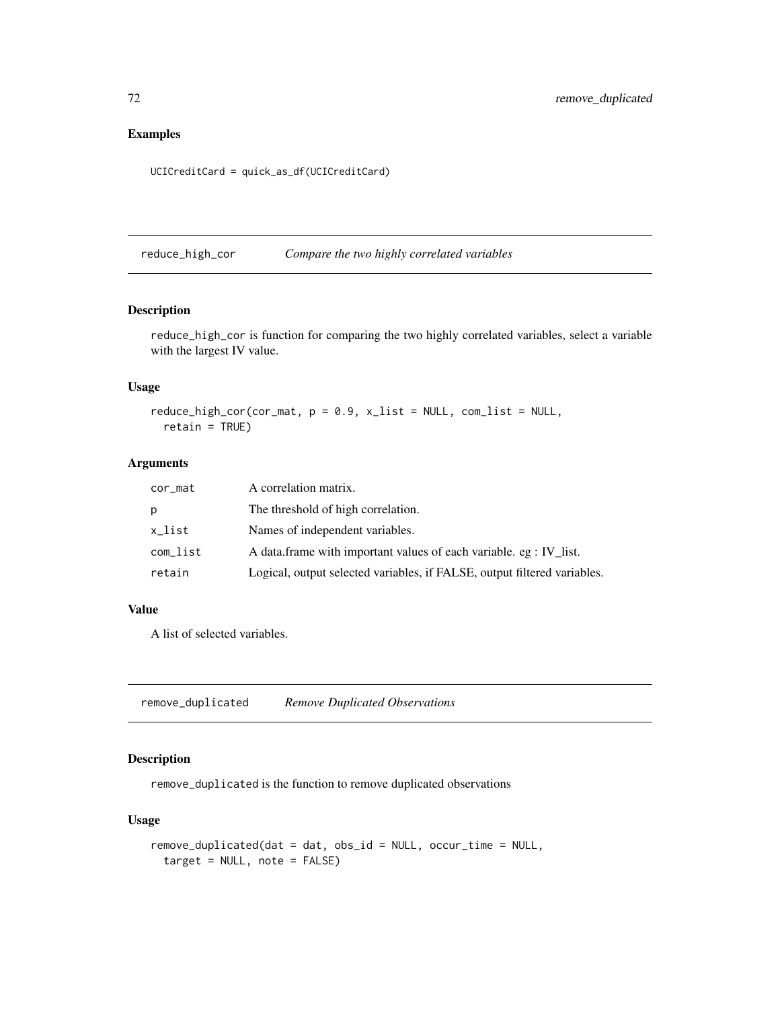# Examples

```
UCICreditCard = quick_as_df(UCICreditCard)
```
reduce\_high\_cor *Compare the two highly correlated variables*

## Description

reduce\_high\_cor is function for comparing the two highly correlated variables, select a variable with the largest IV value.

## Usage

 $reduce\_high\_cor(cor\_mat, p = 0.9, x\_list = NULL, com\_list = NULL,$ retain = TRUE)

# Arguments

| cor_mat  | A correlation matrix.                                                    |
|----------|--------------------------------------------------------------------------|
| p        | The threshold of high correlation.                                       |
| x_list   | Names of independent variables.                                          |
| com_list | A data.frame with important values of each variable. eg : IV list.       |
| retain   | Logical, output selected variables, if FALSE, output filtered variables. |

### Value

A list of selected variables.

remove\_duplicated *Remove Duplicated Observations*

# Description

remove\_duplicated is the function to remove duplicated observations

# Usage

```
remove_duplicated(dat = dat, obs_id = NULL, occur_time = NULL,
 target = NULL, note = FALSE)
```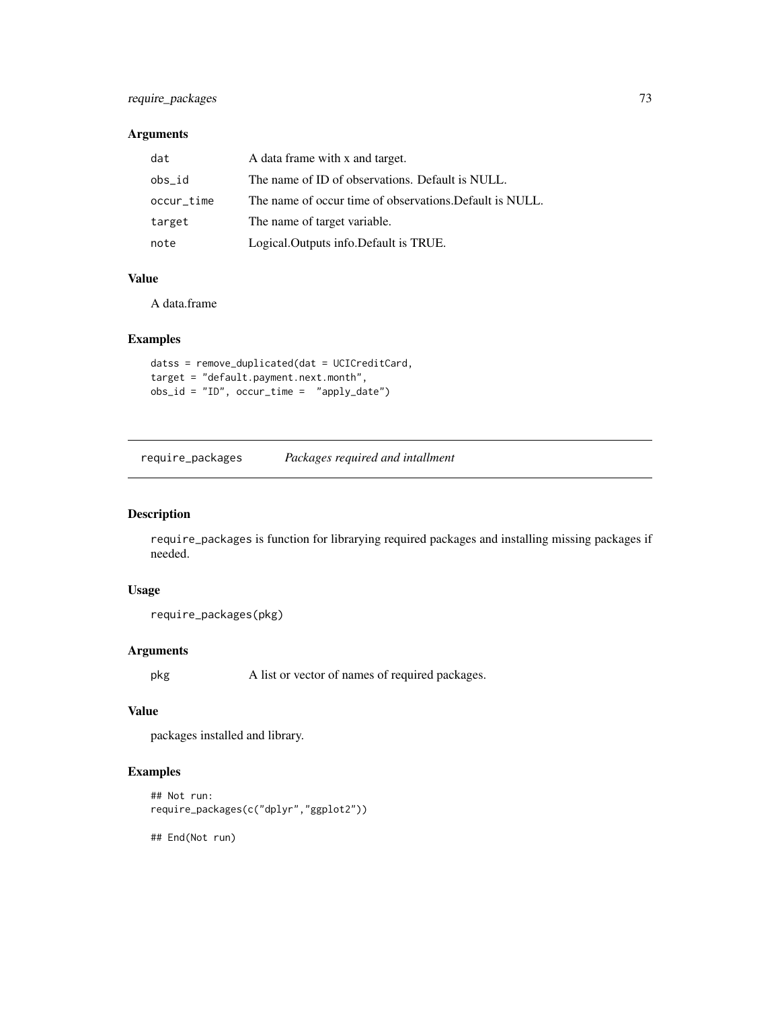# <span id="page-72-0"></span>require\_packages 73

## Arguments

| dat        | A data frame with x and target.                          |
|------------|----------------------------------------------------------|
| obs_id     | The name of ID of observations. Default is NULL.         |
| occur_time | The name of occur time of observations. Default is NULL. |
| target     | The name of target variable.                             |
| note       | Logical. Outputs info. Default is TRUE.                  |

## Value

A data.frame

## Examples

```
datss = remove_duplicated(dat = UCICreditCard,
target = "default.payment.next.month",
obs_id = "ID", occur_time = "apply_date")
```
require\_packages *Packages required and intallment*

## Description

require\_packages is function for librarying required packages and installing missing packages if needed.

# Usage

```
require_packages(pkg)
```
# Arguments

pkg A list or vector of names of required packages.

# Value

packages installed and library.

# Examples

```
## Not run:
require_packages(c("dplyr","ggplot2"))
```
## End(Not run)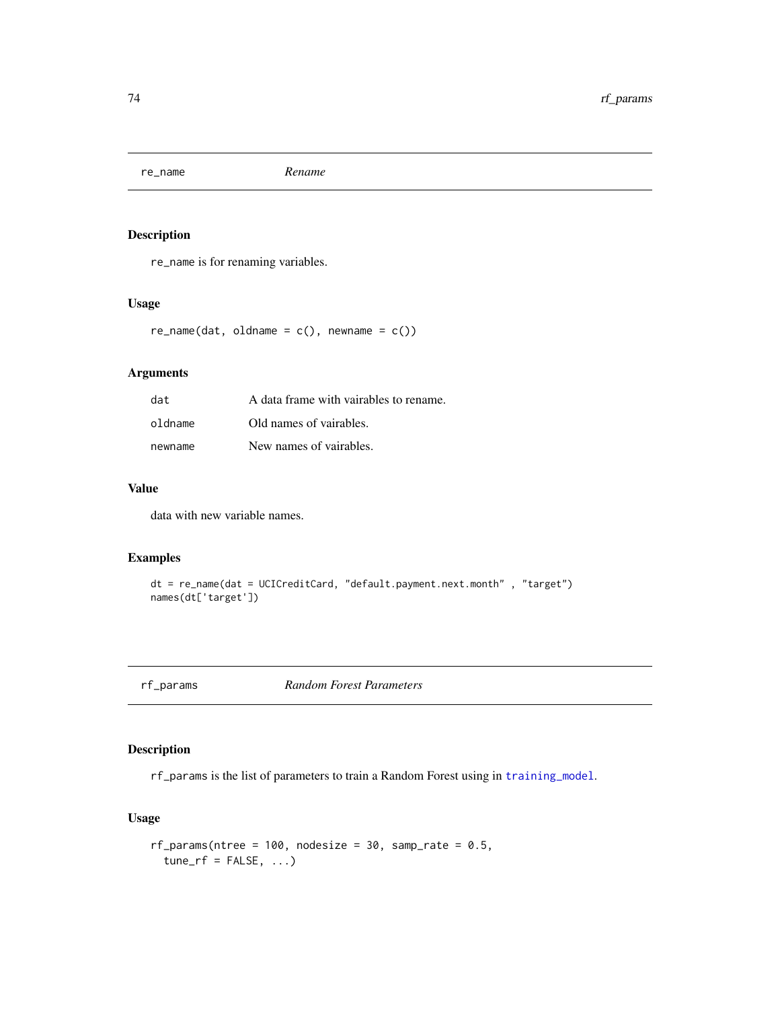<span id="page-73-1"></span>re\_name *Rename*

# Description

re\_name is for renaming variables.

## Usage

 $re\_name(data, oldname = c(), newname = c())$ 

# Arguments

| dat     | A data frame with vairables to rename. |
|---------|----------------------------------------|
| oldname | Old names of vairables.                |
| newname | New names of vairables.                |

# Value

data with new variable names.

## Examples

```
dt = re_name(dat = UCICreditCard, "default.payment.next.month" , "target")
names(dt['target'])
```
<span id="page-73-0"></span>rf\_params *Random Forest Parameters*

# Description

rf\_params is the list of parameters to train a Random Forest using in [training\\_model](#page-83-0).

#### Usage

```
rf_parameters (ntree = 100, nodesize = 30, samp_rate = 0.5,
  tune\_rf = FALSE, ...
```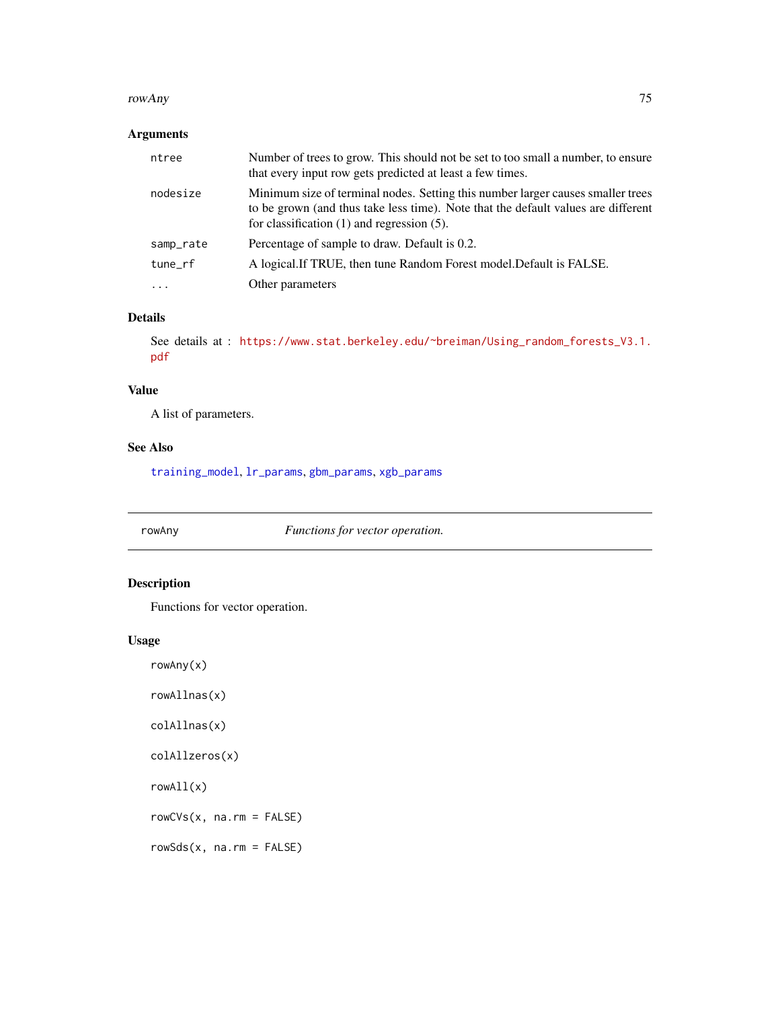#### <span id="page-74-0"></span>rowAny 75

# Arguments

| ntree     | Number of trees to grow. This should not be set to too small a number, to ensure<br>that every input row gets predicted at least a few times.                                                                           |
|-----------|-------------------------------------------------------------------------------------------------------------------------------------------------------------------------------------------------------------------------|
| nodesize  | Minimum size of terminal nodes. Setting this number larger causes smaller trees<br>to be grown (and thus take less time). Note that the default values are different<br>for classification $(1)$ and regression $(5)$ . |
| samp_rate | Percentage of sample to draw. Default is 0.2.                                                                                                                                                                           |
| tune_rf   | A logical. If TRUE, then tune Random Forest model. Default is FALSE.                                                                                                                                                    |
| $\cdot$   | Other parameters                                                                                                                                                                                                        |

# Details

See details at : [https://www.stat.berkeley.edu/~breiman/Using\\_random\\_forests\\_V3.1.](https://www.stat.berkeley.edu/~breiman/Using_random_forests_V3.1.pdf) [pdf](https://www.stat.berkeley.edu/~breiman/Using_random_forests_V3.1.pdf)

## Value

A list of parameters.

# See Also

[training\\_model](#page-83-0), [lr\\_params](#page-60-0), [gbm\\_params](#page-25-0), [xgb\\_params](#page-92-0)

rowAny *Functions for vector operation.*

# Description

Functions for vector operation.

#### Usage

rowAny(x)

rowAllnas(x)

colAllnas(x)

colAllzeros(x)

rowAll(x)

rowCVs(x, na.rm = FALSE)

rowSds(x, na.rm = FALSE)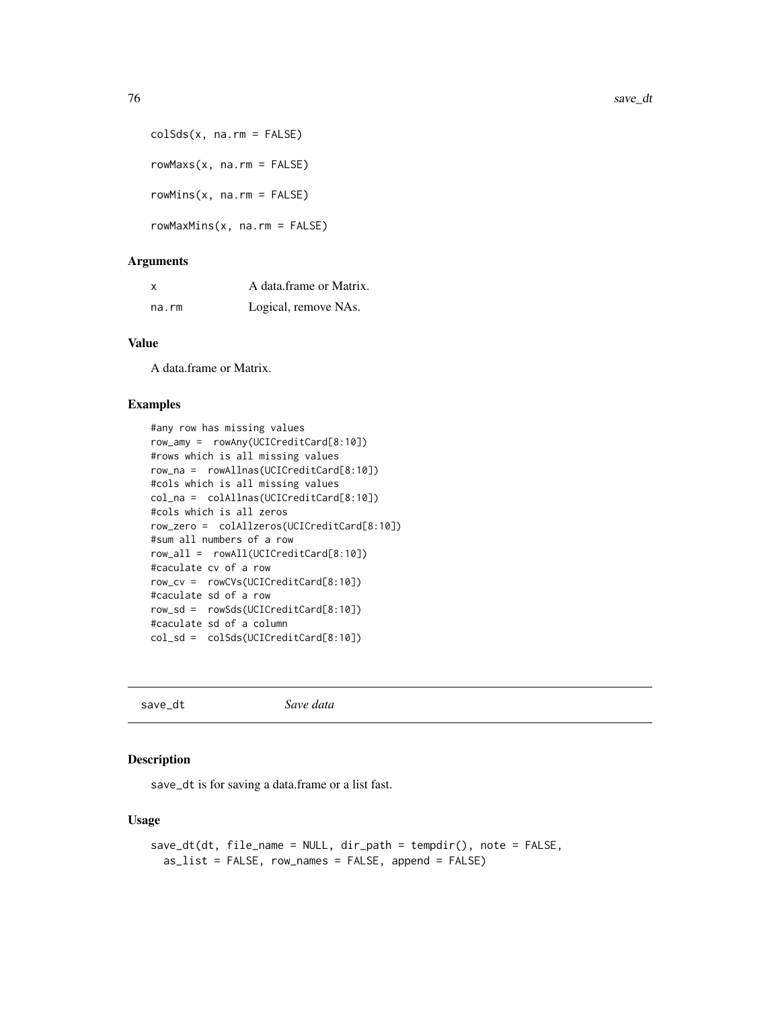```
colSds(x, na.rm = FALSE)rowMaxs(x, na.rm = FALSE)
rowMins(x, na.rm = FALSE)
rowMaxMins(x, na.rm = FALSE)
```
#### Arguments

| X     | A data frame or Matrix. |
|-------|-------------------------|
| na.rm | Logical, remove NAs.    |

# Value

A data.frame or Matrix.

#### Examples

```
#any row has missing values
row_amy = rowAny(UCICreditCard[8:10])
#rows which is all missing values
row_na = rowAllnas(UCICreditCard[8:10])
#cols which is all missing values
col_na = colAllnas(UCICreditCard[8:10])
#cols which is all zeros
row_zero = colAllzeros(UCICreditCard[8:10])
#sum all numbers of a row
row_all = rowAll(UCICreditCard[8:10])
#caculate cv of a row
row_cv = rowCVs(UCICreditCard[8:10])
#caculate sd of a row
row_sd = rowSds(UCICreditCard[8:10])
#caculate sd of a column
col_sd = colSds(UCICreditCard[8:10])
```
save\_dt *Save data*

#### Description

save\_dt is for saving a data.frame or a list fast.

## Usage

```
save_dt(dt, file_name = NULL, dir_path = tempdir(), note = FALSE,
 as_list = FALSE, row_names = FALSE, append = FALSE)
```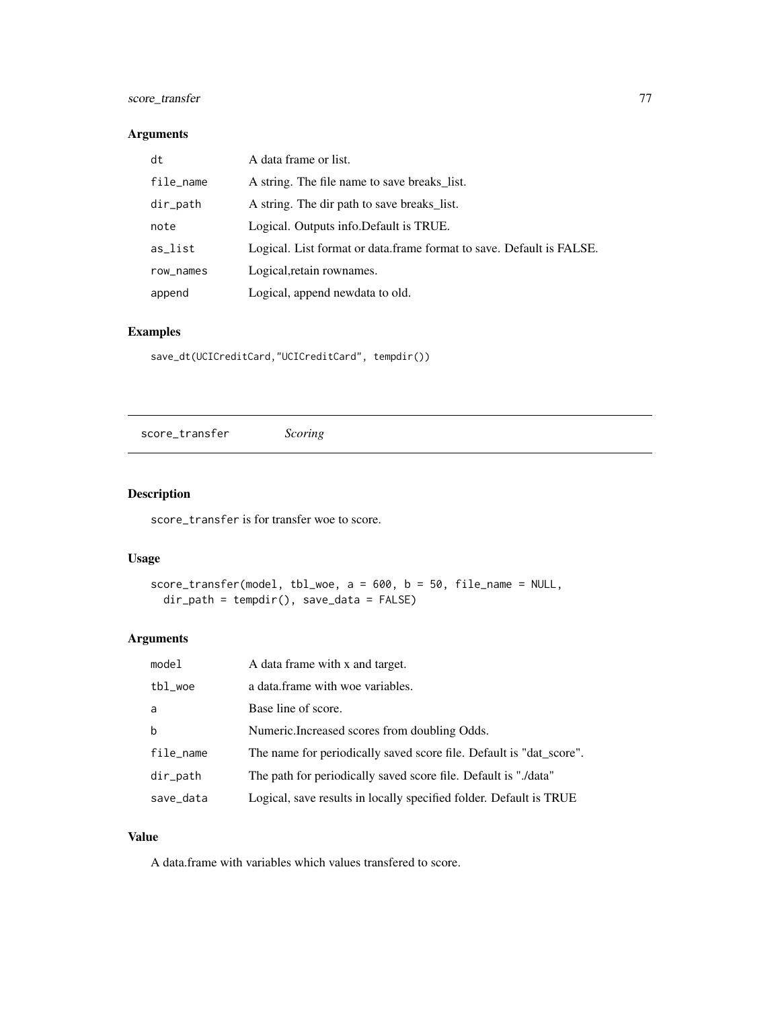# <span id="page-76-1"></span>score\_transfer 77

# Arguments

| dt          | A data frame or list.                                                 |
|-------------|-----------------------------------------------------------------------|
| file_name   | A string. The file name to save breaks list.                          |
| $dir$ -path | A string. The dir path to save breaks list.                           |
| note        | Logical. Outputs info. Default is TRUE.                               |
| as_list     | Logical. List format or data. frame format to save. Default is FALSE. |
| row_names   | Logical, retain rownames.                                             |
| append      | Logical, append newdata to old.                                       |

# Examples

save\_dt(UCICreditCard,"UCICreditCard", tempdir())

<span id="page-76-0"></span>score\_transfer *Scoring*

# Description

score\_transfer is for transfer woe to score.

#### Usage

```
score_transfer(model, tbl_woe, a = 600, b = 50, file_name = NULL,
 dir_path = tempdir(), save_data = FALSE)
```
# Arguments

| model       | A data frame with x and target.                                     |
|-------------|---------------------------------------------------------------------|
| tbl_woe     | a data.frame with woe variables.                                    |
| a           | Base line of score.                                                 |
| b           | Numeric. Increased scores from doubling Odds.                       |
| file_name   | The name for periodically saved score file. Default is "dat_score". |
| $dir$ -path | The path for periodically saved score file. Default is "./data"     |
| save_data   | Logical, save results in locally specified folder. Default is TRUE  |

# Value

A data.frame with variables which values transfered to score.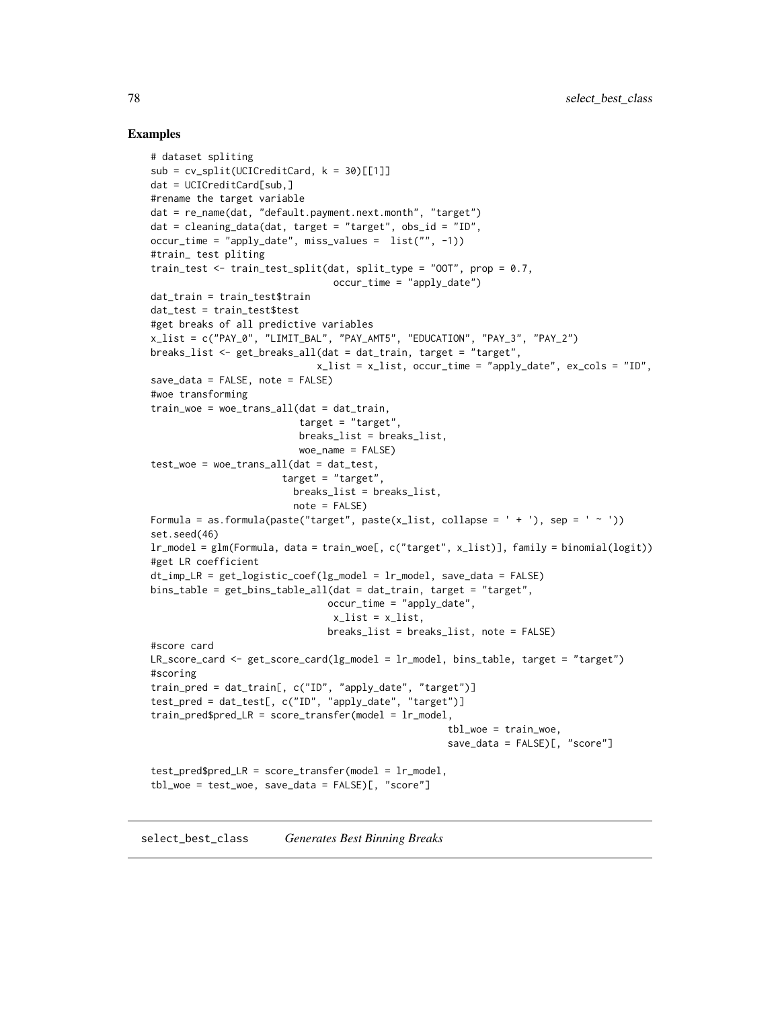#### Examples

```
# dataset spliting
sub = cv_split(UCICredictCard, k = 30)[[1]]dat = UCICreditCard[sub,]
#rename the target variable
dat = re_name(dat, "default.payment.next.month", "target")
dat = cleaning_data(dat, target = "target", obs_id = "ID",
occur_time = "apply_date", miss_values = list("", -1))
#train_ test pliting
train_test <- train_test_split(dat, split_type = "OOT", prop = 0.7,
                                occur_time = "apply_date")
dat_train = train_test$train
dat_test = train_test$test
#get breaks of all predictive variables
x_list = c("PAY_0", "LIMIT_BAL", "PAY_AMT5", "EDUCATION", "PAY_3", "PAY_2")
breaks_list <- get_breaks_all(dat = dat_train, target = "target",
                             x_list = x_list, occur_time = "apply_date", ex\_cols = "ID",save_data = FALSE, note = FALSE)
#woe transforming
train_woe = woe_trans_all(dat = dat_train,
                          target = "target",
                          breaks_list = breaks_list,
                          woe_name = FALSE)
test_woe = woe_trans_all(dat = dat_test,
                       target = "target",
                         breaks_list = breaks_list,
                         note = FALSE)
Formula = as.formula(paste("target", paste(x_list, collapse = ' + '), sep = ' ~ '))
set.seed(46)
lr_model = glm(Formula, data = train_woe[, c("target", x_list)], family = binomial(logit))
#get LR coefficient
dt\_imp_LR = get\_logistic\_coeff(lg\_model = lr\_model, save\_data = FALSE)bins_table = get_bins_table_all(dat = dat_train, target = "target",
                               occur_time = "apply_date",
                                x_list = x_list,breaks_list = breaks_list, note = FALSE)
#score card
LR_score_card <- get_score_card(lg_model = lr_model, bins_table, target = "target")
#scoring
train_pred = dat_train[, c("ID", "apply_date", "target")]
test_pred = dat_test[, c("ID", "apply_date", "target")]
train_pred\red LR = score_transfer(model = lr_model,tbl_woe = train_woe,
                                                    save_data = FALSE)[, "score"]
test_pred$pred_LR = score_transfer(model = lr_model,
tbl_woe = test_woe, save_data = FALSE)[, "score"]
```
<span id="page-77-1"></span><span id="page-77-0"></span>select\_best\_class *Generates Best Binning Breaks*

<span id="page-77-2"></span>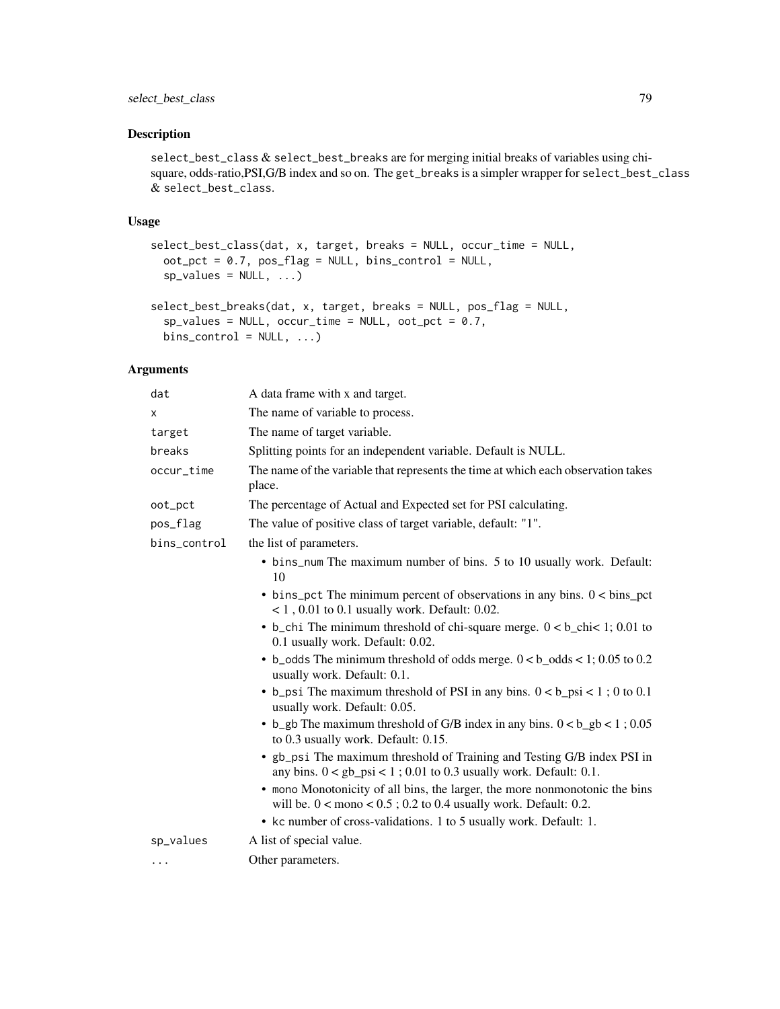# select\_best\_class 79

## Description

select\_best\_class & select\_best\_breaks are for merging initial breaks of variables using chisquare, odds-ratio,PSI,G/B index and so on. The get\_breaks is a simpler wrapper for select\_best\_class & select\_best\_class.

#### Usage

```
select_best_class(dat, x, target, breaks = NULL, occur_time = NULL,
 oot\_pot = 0.7, pos\_flag = NULL, bins\_control = NULL,
 sp_values = NULL, ...)select_best_breaks(dat, x, target, breaks = NULL, pos_flag = NULL,
  sp_values = NULL, occur_time = NULL, oot_pct = 0.7,bins\_control = NULL, ...)
```
#### Arguments

| dat          | A data frame with x and target.                                                                                                                     |
|--------------|-----------------------------------------------------------------------------------------------------------------------------------------------------|
| X            | The name of variable to process.                                                                                                                    |
| target       | The name of target variable.                                                                                                                        |
| breaks       | Splitting points for an independent variable. Default is NULL.                                                                                      |
| occur_time   | The name of the variable that represents the time at which each observation takes<br>place.                                                         |
| oot_pct      | The percentage of Actual and Expected set for PSI calculating.                                                                                      |
| pos_flag     | The value of positive class of target variable, default: "1".                                                                                       |
| bins_control | the list of parameters.                                                                                                                             |
|              | • bins_num The maximum number of bins. 5 to 10 usually work. Default:<br>10                                                                         |
|              | $\bullet$ bins_pct The minimum percent of observations in any bins. $0 < \text{bins\_pot}$<br>$<$ 1, 0.01 to 0.1 usually work. Default: 0.02.       |
|              | • b_chi The minimum threshold of chi-square merge. $0 < b$ _chi< 1; 0.01 to<br>0.1 usually work. Default: 0.02.                                     |
|              | $\bullet$ b_odds The minimum threshold of odds merge. $0 < b$ _odds < 1; 0.05 to 0.2<br>usually work. Default: 0.1.                                 |
|              | • b_psi The maximum threshold of PSI in any bins. $0 < b$ _psi < 1; 0 to 0.1<br>usually work. Default: 0.05.                                        |
|              | • b_gb The maximum threshold of G/B index in any bins. $0 < b$ _gb < 1; 0.05<br>to 0.3 usually work. Default: 0.15.                                 |
|              | • gb_psi The maximum threshold of Training and Testing G/B index PSI in<br>any bins. $0 < gb_{psi} < 1$ ; 0.01 to 0.3 usually work. Default: 0.1.   |
|              | • mono Monotonicity of all bins, the larger, the more nonmonotonic the bins<br>will be. $0 <$ mono $< 0.5$ ; 0.2 to 0.4 usually work. Default: 0.2. |
|              | • kc number of cross-validations. 1 to 5 usually work. Default: 1.                                                                                  |
| sp_values    | A list of special value.                                                                                                                            |
| $\cdots$     | Other parameters.                                                                                                                                   |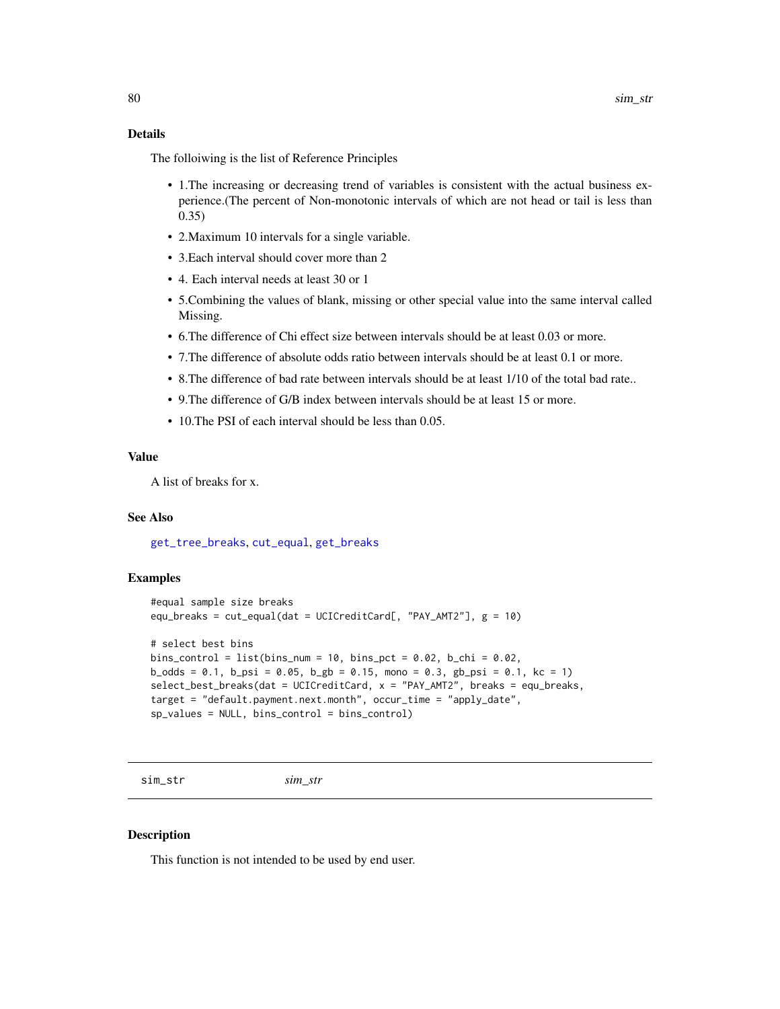# <span id="page-79-0"></span>Details

The folloiwing is the list of Reference Principles

- 1.The increasing or decreasing trend of variables is consistent with the actual business experience.(The percent of Non-monotonic intervals of which are not head or tail is less than 0.35)
- 2.Maximum 10 intervals for a single variable.
- 3.Each interval should cover more than 2
- 4. Each interval needs at least 30 or 1
- 5.Combining the values of blank, missing or other special value into the same interval called Missing.
- 6.The difference of Chi effect size between intervals should be at least 0.03 or more.
- 7.The difference of absolute odds ratio between intervals should be at least 0.1 or more.
- 8.The difference of bad rate between intervals should be at least 1/10 of the total bad rate..
- 9.The difference of G/B index between intervals should be at least 15 or more.
- 10. The PSI of each interval should be less than 0.05.

#### Value

A list of breaks for x.

#### See Also

[get\\_tree\\_breaks](#page-42-0), [cut\\_equal](#page-12-0), [get\\_breaks](#page-28-0)

#### Examples

```
#equal sample size breaks
equ_breaks = cut_equal(dat = UCICreditCard[, "PAY_AMT2"], g = 10)
# select best bins
bins_control = list(bins_number = 10, bins_pct = 0.02, b_chi = 0.02,b\_odds = 0.1, b\_psi = 0.05, b\_gb = 0.15, mono = 0.3, gb\_psi = 0.1, kc = 1)
select\_best\_breaks(dat = UCICreditCard, x = "PAY_AMT2", breaks = equ_breaks,
target = "default.payment.next.month", occur_time = "apply_date",
sp_values = NULL, bins_control = bins_control)
```

```
sim_str sim_str
```
#### Description

This function is not intended to be used by end user.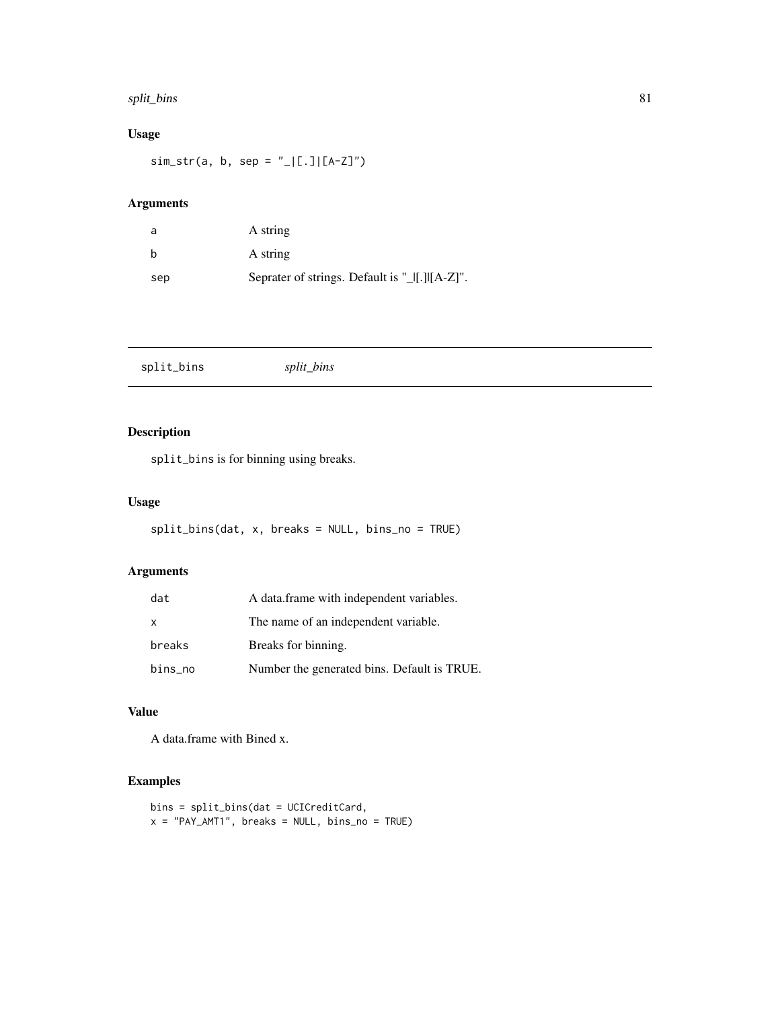#### <span id="page-80-0"></span>split\_bins 81

# Usage

 $sim\_str(a, b, sep = "_{\_}|[.]][A-Z]")$ 

# Arguments

| a   | A string                                       |
|-----|------------------------------------------------|
| b   | A string                                       |
| sep | Seprater of strings. Default is "_[[.][[A-Z]". |

split\_bins *split\_bins*

# Description

split\_bins is for binning using breaks.

# Usage

split\_bins(dat, x, breaks = NULL, bins\_no = TRUE)

# Arguments

| dat     | A data.frame with independent variables.    |
|---------|---------------------------------------------|
| X       | The name of an independent variable.        |
| breaks  | Breaks for binning.                         |
| bins_no | Number the generated bins. Default is TRUE. |

# Value

A data.frame with Bined x.

# Examples

```
bins = split_bins(dat = UCICreditCard,
x = "PAY_AMT1", breaks = NULL, bins\_no = TRUE)
```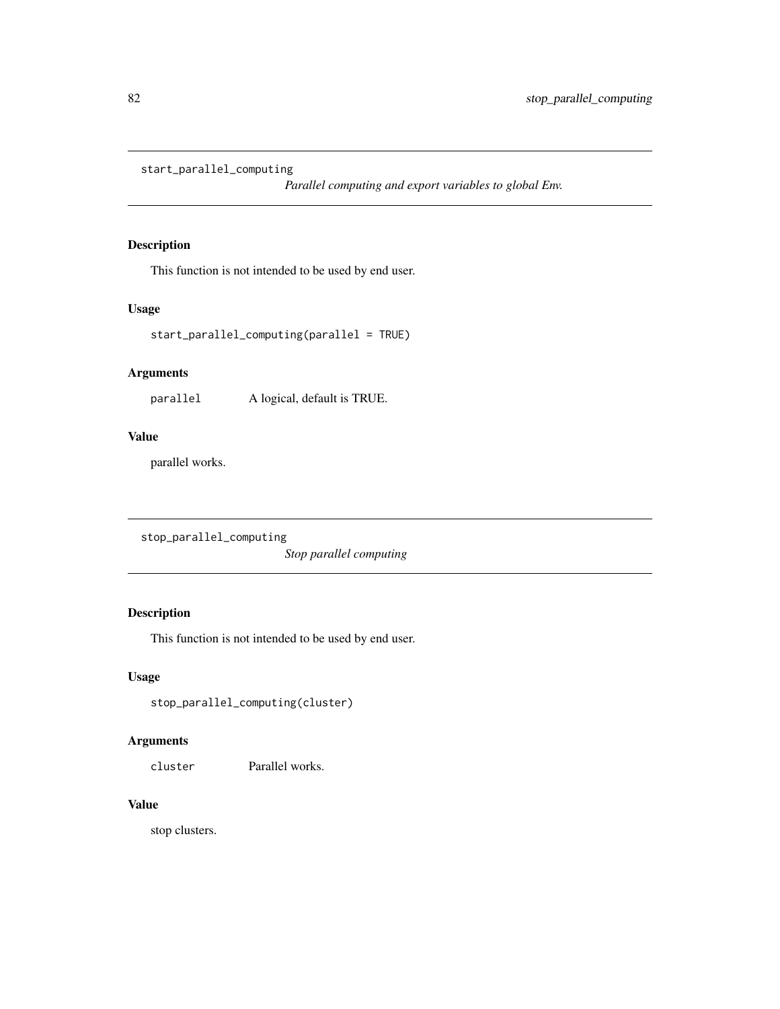<span id="page-81-0"></span>start\_parallel\_computing

*Parallel computing and export variables to global Env.*

# Description

This function is not intended to be used by end user.

# Usage

```
start_parallel_computing(parallel = TRUE)
```
# Arguments

parallel A logical, default is TRUE.

# Value

parallel works.

```
stop_parallel_computing
```
*Stop parallel computing*

# Description

This function is not intended to be used by end user.

# Usage

```
stop_parallel_computing(cluster)
```
# Arguments

cluster Parallel works.

## Value

stop clusters.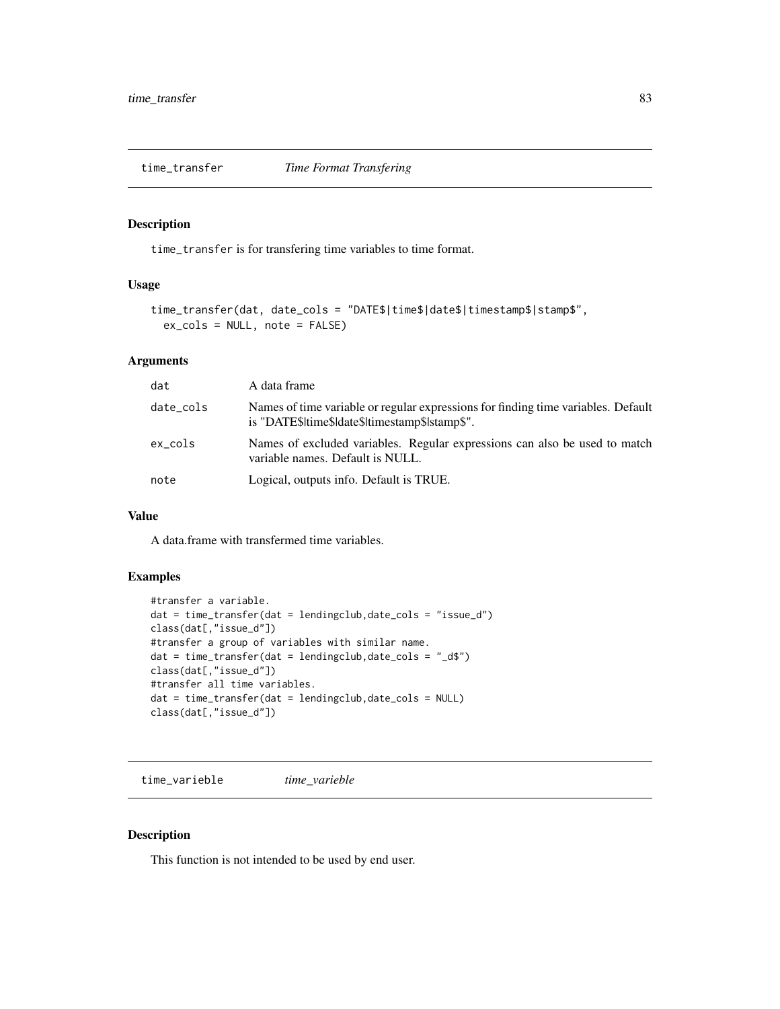<span id="page-82-0"></span>time\_transfer *Time Format Transfering*

# Description

time\_transfer is for transfering time variables to time format.

#### Usage

```
time_transfer(dat, date_cols = "DATE$|time$|date$|timestamp$|stamp$",
 ex_cols = NULL, note = FALSE)
```
## Arguments

| dat       | A data frame                                                                                                                        |
|-----------|-------------------------------------------------------------------------------------------------------------------------------------|
| date_cols | Names of time variable or regular expressions for finding time variables. Default<br>is "DATE\$ time\$ date\$ timestamp\$ stamp\$". |
| ex cols   | Names of excluded variables. Regular expressions can also be used to match<br>variable names. Default is NULL.                      |
| note      | Logical, outputs info. Default is TRUE.                                                                                             |

#### Value

A data.frame with transfermed time variables.

# Examples

```
#transfer a variable.
dat = time_transfer(dat = lendingclub,date_cols = "issue_d")
class(dat[,"issue_d"])
#transfer a group of variables with similar name.
dat = time_transfer(dat = lendingclub,date_cols = "_d$")
class(dat[,"issue_d"])
#transfer all time variables.
dat = time_transfer(dat = lendingclub,date_cols = NULL)
class(dat[,"issue_d"])
```
time\_varieble *time\_varieble*

## Description

This function is not intended to be used by end user.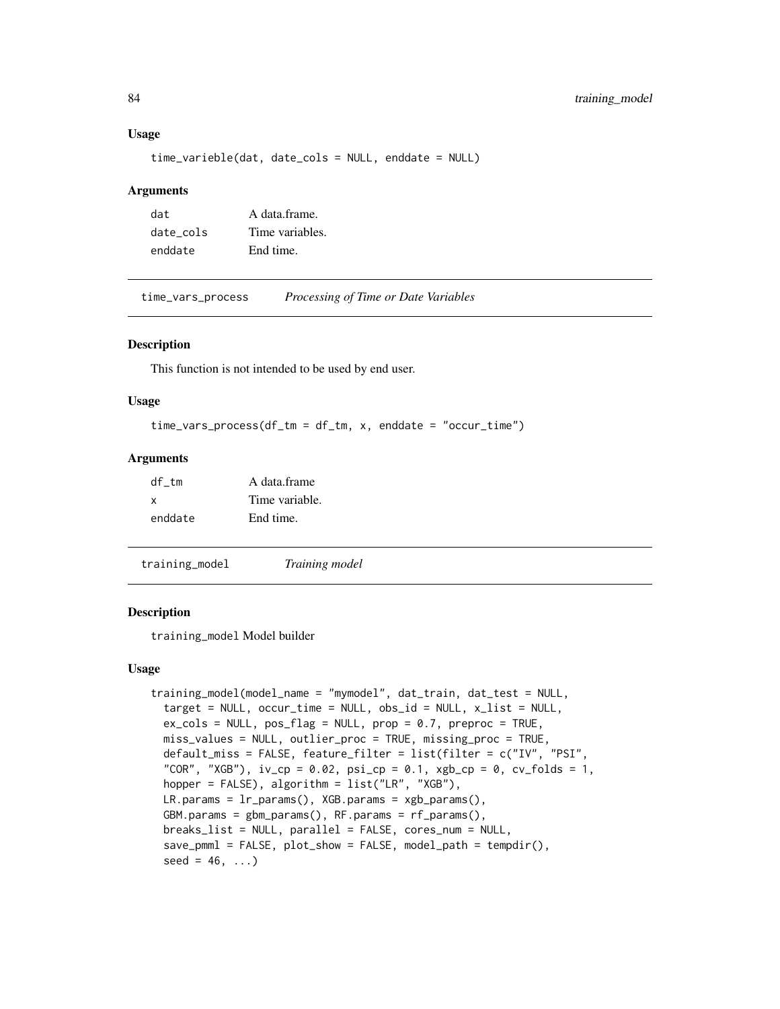#### Usage

```
time_varieble(dat, date_cols = NULL, enddate = NULL)
```
#### Arguments

| dat       | A data frame.   |
|-----------|-----------------|
| date cols | Time variables. |
| enddate   | End time.       |

time\_vars\_process *Processing of Time or Date Variables*

#### **Description**

This function is not intended to be used by end user.

#### Usage

```
time\_vars\_process(df\_tm = df\_tm, x, enddate = "occur\_time")
```
#### Arguments

| df tm   | A data frame   |
|---------|----------------|
| x       | Time variable. |
| enddate | End time.      |

<span id="page-83-0"></span>training\_model *Training model*

#### **Description**

training\_model Model builder

#### Usage

```
training_model(model_name = "mymodel", dat_train, dat_test = NULL,
  target = NULL, occur_time = NULL, obs_id = NULL, x_list = NULL,
  ex\_cols = NULL, pos\_flag = NULL, prop = 0.7, preproc = TRUE,
 miss_values = NULL, outlier_proc = TRUE, missing_proc = TRUE,
  default_miss = FALSE, feature_filter = list(filter = c("IV", "PSI",
  "COR", "XGB"), iv\_cp = 0.02, psi\_cp = 0.1, xgb\_cp = 0, cv\_folds = 1,
  hopper = FALSE), algorithm = list("LR", "XGB"),
 LR.params = lr-params(), XGB.params = xgb-params(),GBM.params = gbm_params(), RF.params = rf_params(),
 breaks_list = NULL, parallel = FALSE, cores_num = NULL,
  save_pmml = FALSE, plot_show = FALSE, model_path = tempdir(),
  seed = 46, ...
```
<span id="page-83-1"></span>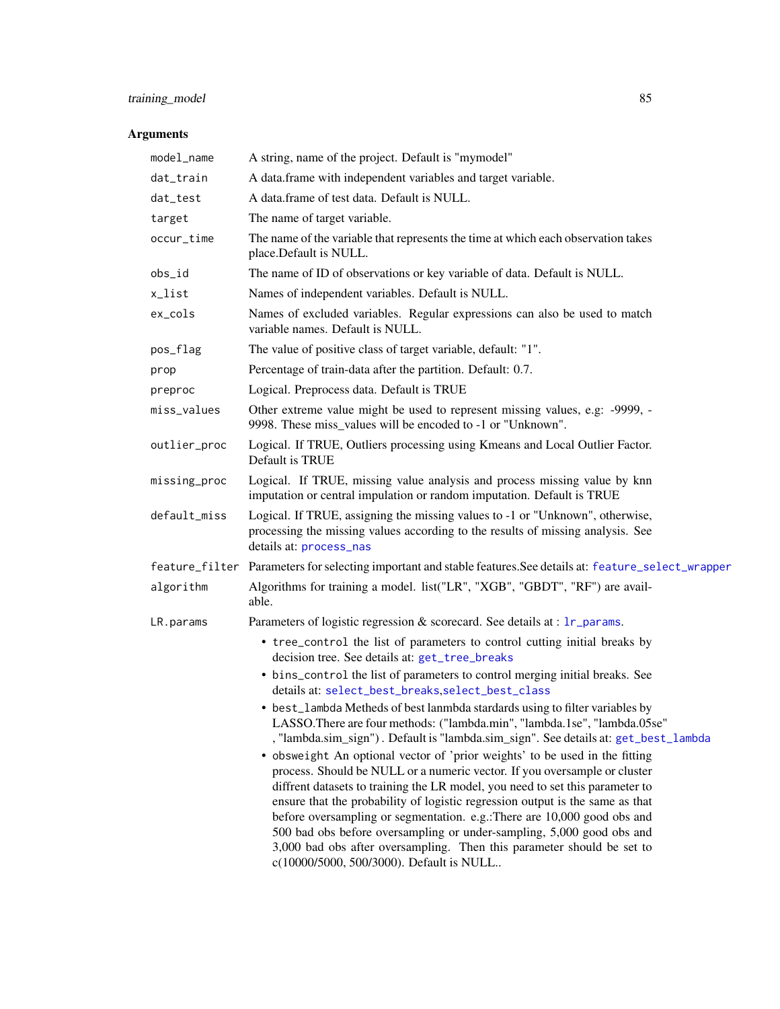# <span id="page-84-0"></span>training\_model 85

# Arguments

| model_name   | A string, name of the project. Default is "mymodel"                                                                                                                                                                                                                                                                                                                                                                                                                                                                                                                                                                                                                                                                                                                                                         |  |
|--------------|-------------------------------------------------------------------------------------------------------------------------------------------------------------------------------------------------------------------------------------------------------------------------------------------------------------------------------------------------------------------------------------------------------------------------------------------------------------------------------------------------------------------------------------------------------------------------------------------------------------------------------------------------------------------------------------------------------------------------------------------------------------------------------------------------------------|--|
| dat_train    | A data.frame with independent variables and target variable.                                                                                                                                                                                                                                                                                                                                                                                                                                                                                                                                                                                                                                                                                                                                                |  |
| dat_test     | A data.frame of test data. Default is NULL.                                                                                                                                                                                                                                                                                                                                                                                                                                                                                                                                                                                                                                                                                                                                                                 |  |
| target       | The name of target variable.                                                                                                                                                                                                                                                                                                                                                                                                                                                                                                                                                                                                                                                                                                                                                                                |  |
| occur_time   | The name of the variable that represents the time at which each observation takes<br>place.Default is NULL.                                                                                                                                                                                                                                                                                                                                                                                                                                                                                                                                                                                                                                                                                                 |  |
| obs_id       | The name of ID of observations or key variable of data. Default is NULL.                                                                                                                                                                                                                                                                                                                                                                                                                                                                                                                                                                                                                                                                                                                                    |  |
| x_list       | Names of independent variables. Default is NULL.                                                                                                                                                                                                                                                                                                                                                                                                                                                                                                                                                                                                                                                                                                                                                            |  |
| ex_cols      | Names of excluded variables. Regular expressions can also be used to match<br>variable names. Default is NULL.                                                                                                                                                                                                                                                                                                                                                                                                                                                                                                                                                                                                                                                                                              |  |
| pos_flag     | The value of positive class of target variable, default: "1".                                                                                                                                                                                                                                                                                                                                                                                                                                                                                                                                                                                                                                                                                                                                               |  |
| prop         | Percentage of train-data after the partition. Default: 0.7.                                                                                                                                                                                                                                                                                                                                                                                                                                                                                                                                                                                                                                                                                                                                                 |  |
| preproc      | Logical. Preprocess data. Default is TRUE                                                                                                                                                                                                                                                                                                                                                                                                                                                                                                                                                                                                                                                                                                                                                                   |  |
| miss_values  | Other extreme value might be used to represent missing values, e.g: -9999, -<br>9998. These miss_values will be encoded to -1 or "Unknown".                                                                                                                                                                                                                                                                                                                                                                                                                                                                                                                                                                                                                                                                 |  |
| outlier_proc | Logical. If TRUE, Outliers processing using Kmeans and Local Outlier Factor.<br>Default is TRUE                                                                                                                                                                                                                                                                                                                                                                                                                                                                                                                                                                                                                                                                                                             |  |
| missing_proc | Logical. If TRUE, missing value analysis and process missing value by knn<br>imputation or central impulation or random imputation. Default is TRUE                                                                                                                                                                                                                                                                                                                                                                                                                                                                                                                                                                                                                                                         |  |
| default_miss | Logical. If TRUE, assigning the missing values to -1 or "Unknown", otherwise,<br>processing the missing values according to the results of missing analysis. See<br>details at: process_nas                                                                                                                                                                                                                                                                                                                                                                                                                                                                                                                                                                                                                 |  |
|              | feature_filter Parameters for selecting important and stable features. See details at: feature_select_wrapper                                                                                                                                                                                                                                                                                                                                                                                                                                                                                                                                                                                                                                                                                               |  |
| algorithm    | Algorithms for training a model. list("LR", "XGB", "GBDT", "RF") are avail-<br>able.                                                                                                                                                                                                                                                                                                                                                                                                                                                                                                                                                                                                                                                                                                                        |  |
| LR.params    | Parameters of logistic regression & scorecard. See details at : 1r_params.                                                                                                                                                                                                                                                                                                                                                                                                                                                                                                                                                                                                                                                                                                                                  |  |
|              | • tree_control the list of parameters to control cutting initial breaks by<br>decision tree. See details at: get_tree_breaks                                                                                                                                                                                                                                                                                                                                                                                                                                                                                                                                                                                                                                                                                |  |
|              | • bins_control the list of parameters to control merging initial breaks. See<br>details at: select_best_breaks, select_best_class                                                                                                                                                                                                                                                                                                                                                                                                                                                                                                                                                                                                                                                                           |  |
|              | • best_lambda Metheds of best lanmbda stardards using to filter variables by<br>LASSO.There are four methods: ("lambda.min", "lambda.1se", "lambda.05se"<br>, "lambda.sim_sign"). Default is "lambda.sim_sign". See details at: get_best_lambda<br>• obsweight An optional vector of 'prior weights' to be used in the fitting<br>process. Should be NULL or a numeric vector. If you oversample or cluster<br>diffrent datasets to training the LR model, you need to set this parameter to<br>ensure that the probability of logistic regression output is the same as that<br>before oversampling or segmentation. e.g.:There are 10,000 good obs and<br>500 bad obs before oversampling or under-sampling, 5,000 good obs and<br>3,000 bad obs after oversampling. Then this parameter should be set to |  |
|              | c(10000/5000, 500/3000). Default is NULL                                                                                                                                                                                                                                                                                                                                                                                                                                                                                                                                                                                                                                                                                                                                                                    |  |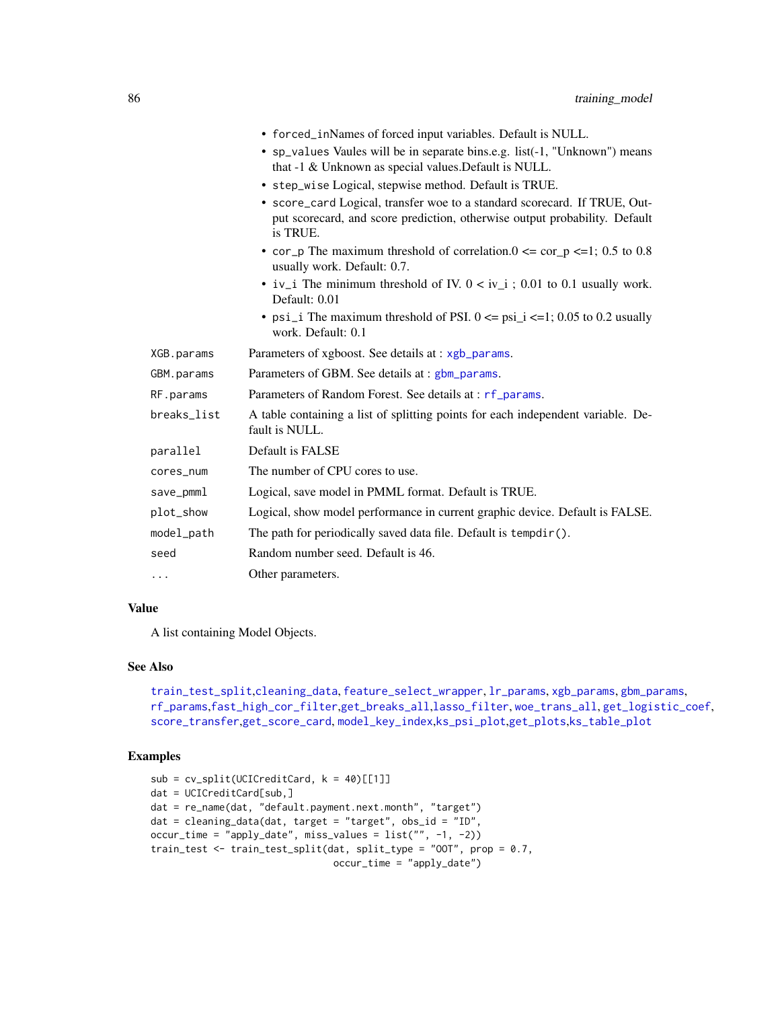<span id="page-85-0"></span>

|             | • forced_inNames of forced input variables. Default is NULL.                                                                                                        |
|-------------|---------------------------------------------------------------------------------------------------------------------------------------------------------------------|
|             | • sp_values Vaules will be in separate bins.e.g. list(-1, "Unknown") means<br>that -1 & Unknown as special values. Default is NULL.                                 |
|             | • step_wise Logical, stepwise method. Default is TRUE.                                                                                                              |
|             | • score_card Logical, transfer woe to a standard scorecard. If TRUE, Out-<br>put scorecard, and score prediction, otherwise output probability. Default<br>is TRUE. |
|             | • cor_p The maximum threshold of correlation.0 $\leq$ cor_p $\leq$ =1; 0.5 to 0.8<br>usually work. Default: 0.7.                                                    |
|             | • iv_i The minimum threshold of IV. $0 < iv_i$ ; 0.01 to 0.1 usually work.<br>Default: 0.01                                                                         |
|             | • psi_i The maximum threshold of PSI. $0 \le psi$ _i $\le 1$ ; 0.05 to 0.2 usually<br>work. Default: 0.1                                                            |
| XGB.params  | Parameters of xgboost. See details at : xgb_params.                                                                                                                 |
| GBM.params  | Parameters of GBM. See details at : gbm_params.                                                                                                                     |
| RF.params   | Parameters of Random Forest. See details at : rf_params.                                                                                                            |
| breaks_list | A table containing a list of splitting points for each independent variable. De-<br>fault is NULL.                                                                  |
| parallel    | Default is FALSE                                                                                                                                                    |
| cores_num   | The number of CPU cores to use.                                                                                                                                     |
| save_pmml   | Logical, save model in PMML format. Default is TRUE.                                                                                                                |
| plot_show   | Logical, show model performance in current graphic device. Default is FALSE.                                                                                        |
| model_path  | The path for periodically saved data file. Default is tempdir().                                                                                                    |
| seed        | Random number seed. Default is 46.                                                                                                                                  |
| $\cdots$    | Other parameters.                                                                                                                                                   |

## Value

A list containing Model Objects.

## See Also

```
train_test_split,cleaning_data, feature_select_wrapper, lr_params, xgb_params, gbm_params,
rf_params,fast_high_cor_filter,get_breaks_all,lasso_filter, woe_trans_all, get_logistic_coef,
score_transfer,get_score_card, model_key_index,ks_psi_plot,get_plots,ks_table_plot
```
# Examples

```
sub = cv_split(UCICreditCard, k = 40)[[1]]dat = UCICreditCard[sub,]
dat = re_name(dat, "default.payment.next.month", "target")
dat = cleaning_data(dat, target = "target", obs_id = "ID",
occur_time = "apply_date", miss_values = list("", -1, -2))
train_test <- train_test_split(dat, split_type = "OOT", prop = 0.7,
                               occur_time = "apply_date")
```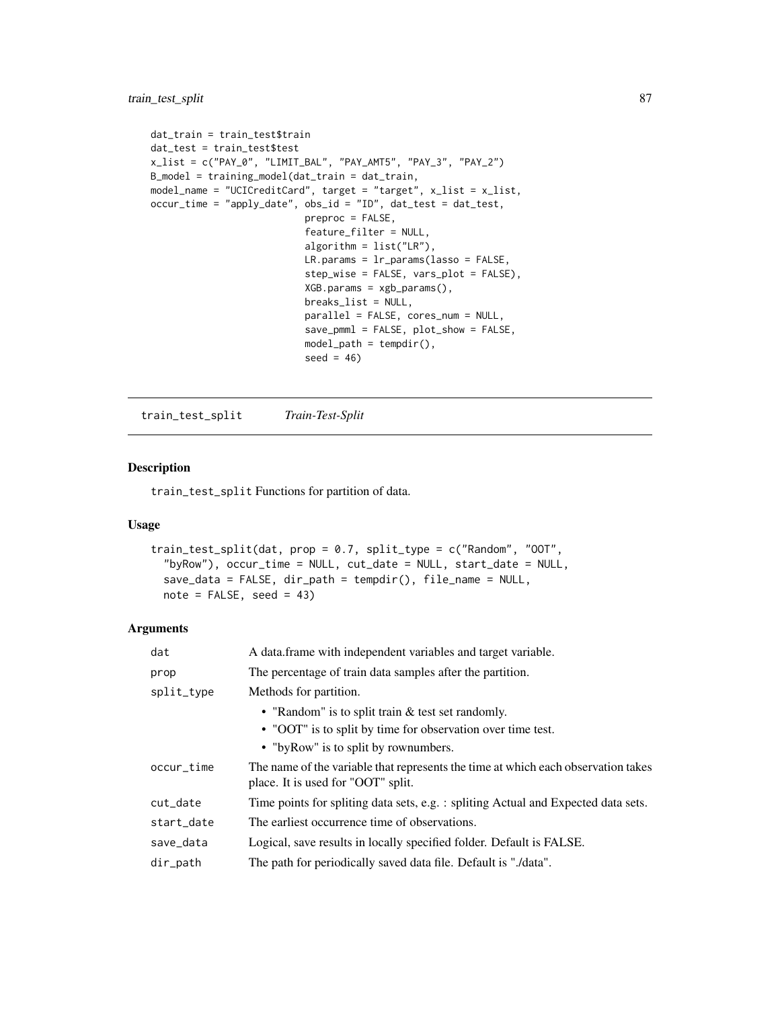```
dat_train = train_test$train
dat_test = train_test$test
x_list = c("PAY_0", "LIMIT_BAL", "PAY_AMT5", "PAY_3", "PAY_2")
B_model = training_model(dat_train = dat_train,
model_name = "UCICreditCard", target = "target", x_list = x_list,
occur_time = "apply_date", obs_id = "ID", dat_test = dat_test,
                           preproc = FALSE,
                           feature_filter = NULL,
                           algorithm = list("LR"),
                           LR.params = lr_params(lasso = FALSE,
                           step_wise = FALSE, vars_plot = FALSE),
                           XGB.params = xgb_params(),
                           breaks_list = NULL,
                           parallel = FALSE, cores_num = NULL,
                           save_pmml = FALSE, plot_show = FALSE,
                           model_path = tempdir(),
                           seed = 46)
```
<span id="page-86-0"></span>train\_test\_split *Train-Test-Split*

#### Description

train\_test\_split Functions for partition of data.

# Usage

```
train_test_split(dat, prop = 0.7, split_type = c("Random", "OOT",
  "byRow"), occur_time = NULL, cut_date = NULL, start_date = NULL,
  save_data = FALSE, dir_path = tempdir(), file_name = NULL,
 note = FALSE, seed = 43)
```
#### Arguments

| dat                                                                         | A data frame with independent variables and target variable.                                                            |  |
|-----------------------------------------------------------------------------|-------------------------------------------------------------------------------------------------------------------------|--|
| prop                                                                        | The percentage of train data samples after the partition.                                                               |  |
| split_type                                                                  | Methods for partition.                                                                                                  |  |
|                                                                             | • "Random" is to split train $&$ test set randomly.                                                                     |  |
|                                                                             | • "OOT" is to split by time for observation over time test.                                                             |  |
|                                                                             | • "by Row" is to split by rownumbers.                                                                                   |  |
| occur_time                                                                  | The name of the variable that represents the time at which each observation takes<br>place. It is used for "OOT" split. |  |
| cut_date                                                                    | Time points for spliting data sets, e.g. : spliting Actual and Expected data sets.                                      |  |
| The earliest occurrence time of observations.<br>start_date                 |                                                                                                                         |  |
| save_data                                                                   | Logical, save results in locally specified folder. Default is FALSE.                                                    |  |
| The path for periodically saved data file. Default is "./data".<br>dir_path |                                                                                                                         |  |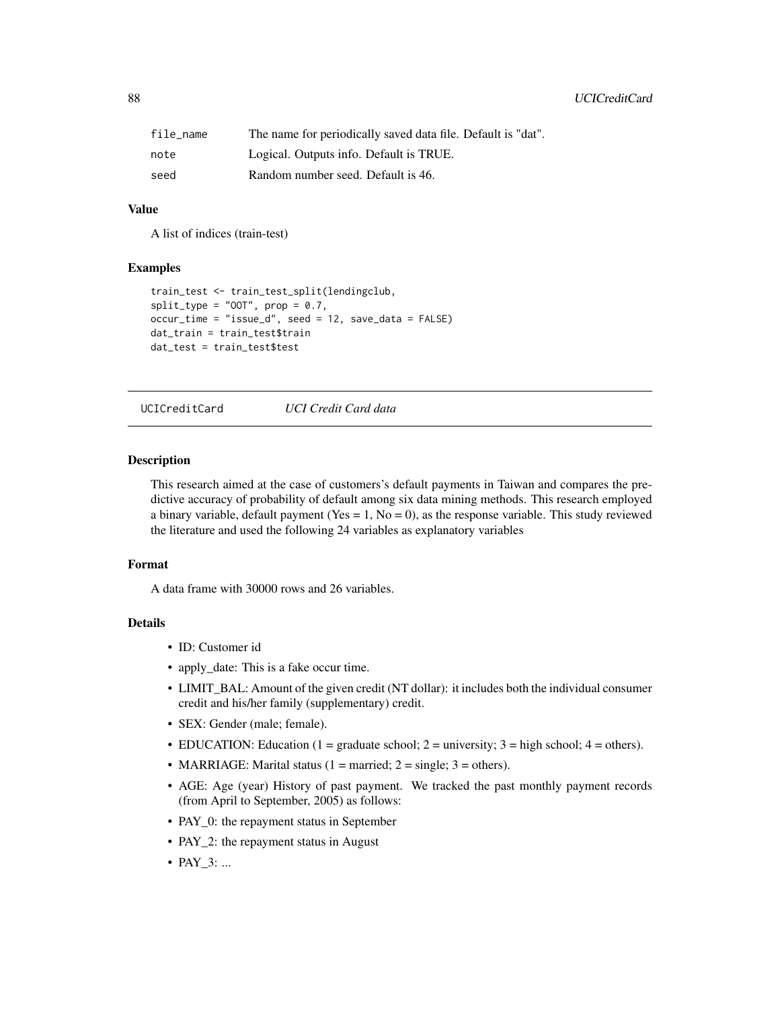<span id="page-87-0"></span>

| file name | The name for periodically saved data file. Default is "dat". |
|-----------|--------------------------------------------------------------|
| note      | Logical. Outputs info. Default is TRUE.                      |
| seed      | Random number seed. Default is 46.                           |

# Value

A list of indices (train-test)

#### Examples

```
train_test <- train_test_split(lendingclub,
split_type = "00T", prop = 0.7,occur_time = "issue_d", seed = 12, save_data = FALSE)
dat_train = train_test$train
dat_test = train_test$test
```
UCICreditCard *UCI Credit Card data*

#### Description

This research aimed at the case of customers's default payments in Taiwan and compares the predictive accuracy of probability of default among six data mining methods. This research employed a binary variable, default payment (Yes  $= 1$ , No  $= 0$ ), as the response variable. This study reviewed the literature and used the following 24 variables as explanatory variables

#### Format

A data frame with 30000 rows and 26 variables.

## Details

- ID: Customer id
- apply\_date: This is a fake occur time.
- LIMIT\_BAL: Amount of the given credit (NT dollar): it includes both the individual consumer credit and his/her family (supplementary) credit.
- SEX: Gender (male; female).
- EDUCATION: Education (1 = graduate school; 2 = university; 3 = high school; 4 = others).
- MARRIAGE: Marital status (1 = married; 2 = single; 3 = others).
- AGE: Age (year) History of past payment. We tracked the past monthly payment records (from April to September, 2005) as follows:
- PAY\_0: the repayment status in September
- PAY\_2: the repayment status in August
- PAY\_3: ...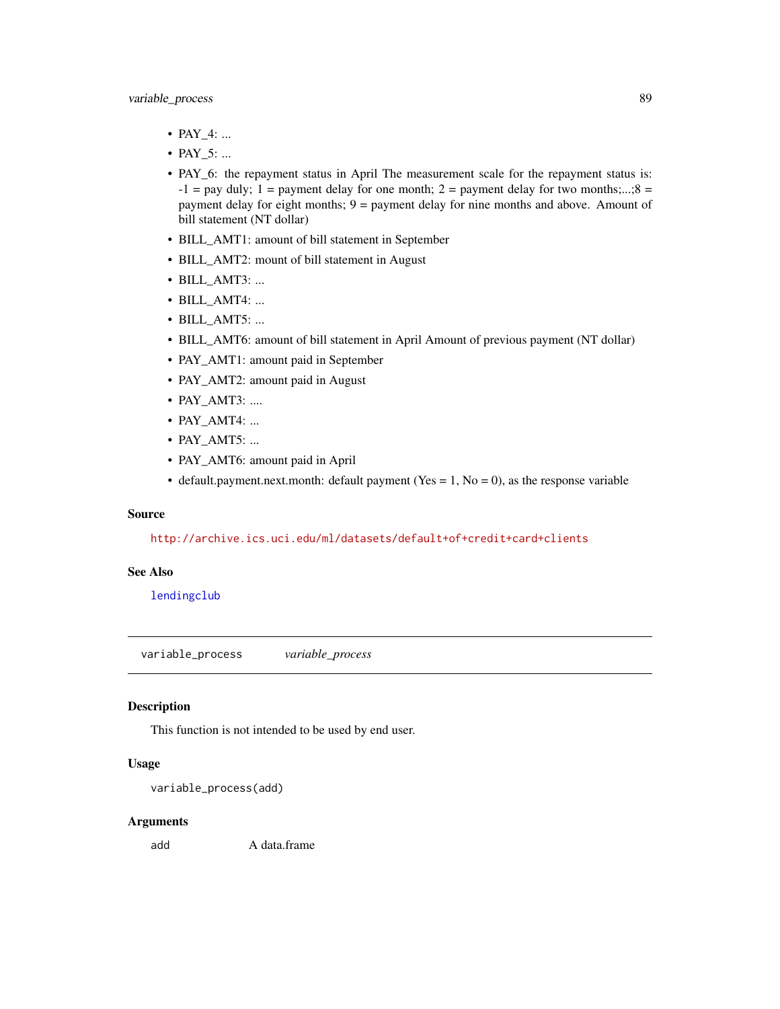- <span id="page-88-0"></span>• PAY\_4: ...
- PAY\_5: ...
- PAY\_6: the repayment status in April The measurement scale for the repayment status is:  $-1$  = pay duly; 1 = payment delay for one month; 2 = payment delay for two months;...;8 = payment delay for eight months; 9 = payment delay for nine months and above. Amount of bill statement (NT dollar)
- BILL\_AMT1: amount of bill statement in September
- BILL\_AMT2: mount of bill statement in August
- BILL\_AMT3: ...
- BILL\_AMT4: ...
- BILL AMT5: ...
- BILL\_AMT6: amount of bill statement in April Amount of previous payment (NT dollar)
- PAY\_AMT1: amount paid in September
- PAY\_AMT2: amount paid in August
- PAY AMT3: ....
- PAY AMT4: ...
- PAY AMT5: ...
- PAY\_AMT6: amount paid in April
- default.payment.next.month: default payment (Yes = 1, No = 0), as the response variable

#### Source

<http://archive.ics.uci.edu/ml/datasets/default+of+credit+card+clients>

#### See Also

[lendingclub](#page-49-0)

variable\_process *variable\_process*

## Description

This function is not intended to be used by end user.

# Usage

```
variable_process(add)
```
#### Arguments

add A data.frame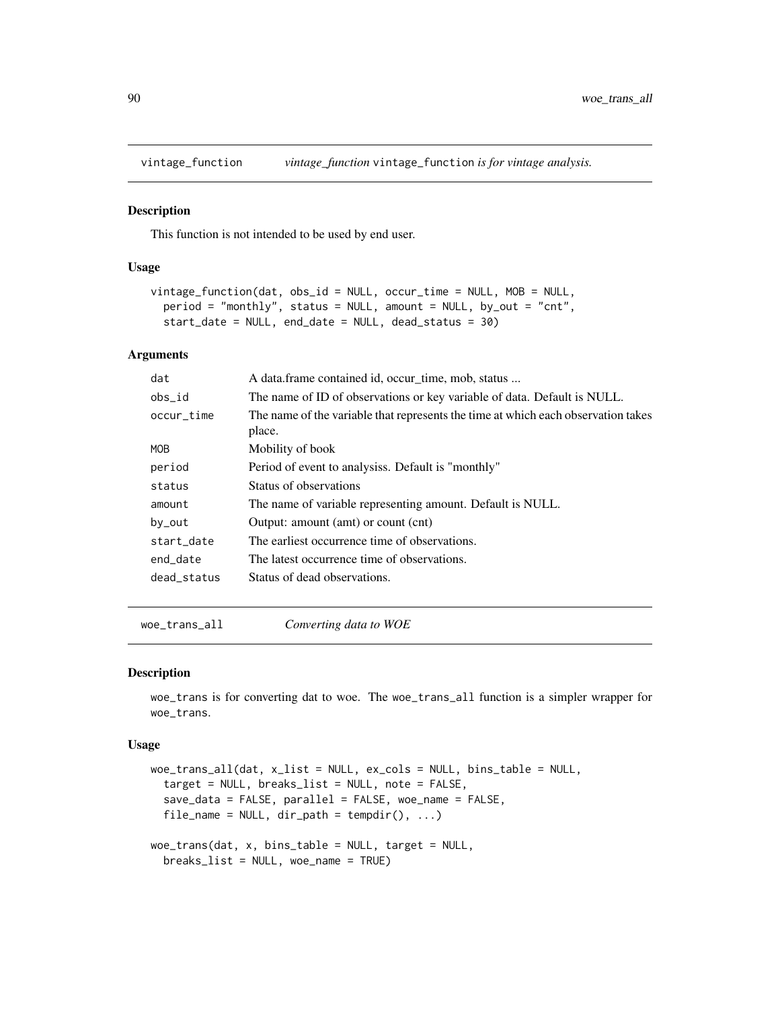<span id="page-89-1"></span>

#### Description

This function is not intended to be used by end user.

## Usage

```
vintage_function(dat, obs_id = NULL, occur_time = NULL, MOB = NULL,
 period = "monthly", status = NULL, amount = NULL, by_out = "cnt",
  start_date = NULL, end_date = NULL, dead_status = 30)
```
#### Arguments

| dat         | A data frame contained id, occur_time, mob, status                                          |  |
|-------------|---------------------------------------------------------------------------------------------|--|
| obs_id      | The name of ID of observations or key variable of data. Default is NULL.                    |  |
| occur_time  | The name of the variable that represents the time at which each observation takes<br>place. |  |
| <b>MOB</b>  | Mobility of book                                                                            |  |
| period      | Period of event to analysis a. Default is "monthly"                                         |  |
| status      | Status of observations                                                                      |  |
| amount      | The name of variable representing amount. Default is NULL.                                  |  |
| by_out      | Output: amount (amt) or count (cnt)                                                         |  |
| start_date  | The earliest occurrence time of observations.                                               |  |
| end_date    | The latest occurrence time of observations.                                                 |  |
| dead status | Status of dead observations.                                                                |  |

<span id="page-89-0"></span>woe\_trans\_all *Converting data to WOE*

## Description

woe\_trans is for converting dat to woe. The woe\_trans\_all function is a simpler wrapper for woe\_trans.

#### Usage

```
woe_trans_all(dat, x_list = NULL, ex_cols = NULL, bins_table = NULL,
  target = NULL, breaks_list = NULL, note = FALSE,
  save_data = FALSE, parallel = FALSE, woe_name = FALSE,
  file_name = NULL, dir.path = tempdir(), ...)woe_trans(dat, x, bins_table = NULL, target = NULL,
 breaks_list = NULL, woe_name = TRUE)
```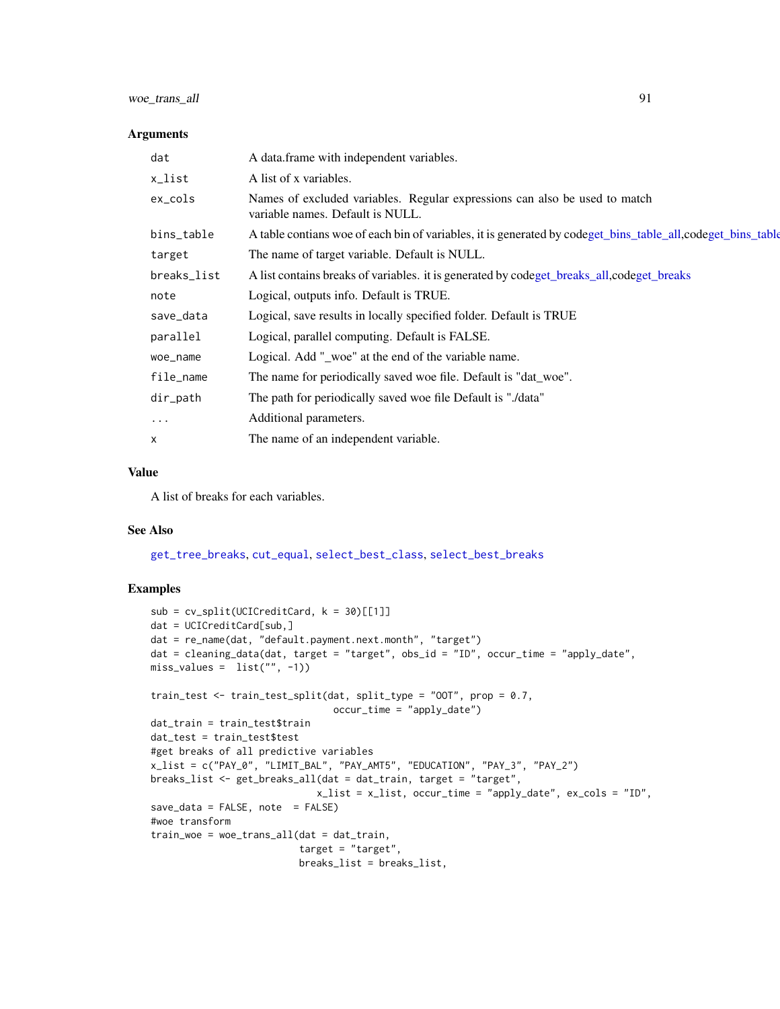# <span id="page-90-0"></span>woe\_trans\_all 91

#### Arguments

| dat         | A data frame with independent variables.                                                                       |  |
|-------------|----------------------------------------------------------------------------------------------------------------|--|
| x_list      | A list of x variables.                                                                                         |  |
| ex_cols     | Names of excluded variables. Regular expressions can also be used to match<br>variable names. Default is NULL. |  |
| bins_table  | A table contians woe of each bin of variables, it is generated by codeget_bins_table_all,codeget_bins_table    |  |
| target      | The name of target variable. Default is NULL.                                                                  |  |
| breaks_list | A list contains breaks of variables. it is generated by codeget_breaks_all,codeget_breaks                      |  |
| note        | Logical, outputs info. Default is TRUE.                                                                        |  |
| save_data   | Logical, save results in locally specified folder. Default is TRUE                                             |  |
| parallel    | Logical, parallel computing. Default is FALSE.                                                                 |  |
| woe_name    | Logical. Add "_woe" at the end of the variable name.                                                           |  |
| file_name   | The name for periodically saved woe file. Default is "dat_woe".                                                |  |
| dir_path    | The path for periodically saved woe file Default is "./data"                                                   |  |
| $\cdots$    | Additional parameters.                                                                                         |  |
| X           | The name of an independent variable.                                                                           |  |

## Value

A list of breaks for each variables.

#### See Also

[get\\_tree\\_breaks](#page-42-0), [cut\\_equal](#page-12-0), [select\\_best\\_class](#page-77-1), [select\\_best\\_breaks](#page-77-0)

#### Examples

```
sub = cv\_split(UCICredictCard, k = 30)[[1]]dat = UCICreditCard[sub,]
dat = re_name(dat, "default.payment.next.month", "target")
dat = cleaning_data(dat, target = "target", obs_id = "ID", occur_time = "apply_date",
miss\_values = list("", -1))train_test <- train_test_split(dat, split_type = "OOT", prop = 0.7,
                                occur_time = "apply_date")
dat_train = train_test$train
dat_test = train_test$test
#get breaks of all predictive variables
x_list = c("PAY_0", "LIMIT_BAL", "PAY_AMT5", "EDUCATION", "PAY_3", "PAY_2")
breaks_list <- get_breaks_all(dat = dat_train, target = "target",
                             x_list = x_list, occur_time = "apply_date", ex_cols = "ID",
save_data = FALSE, note = FALSE)
#woe transform
train_woe = woe_trans_all(dat = dat_train,
                         target = "target",
                          breaks_list = breaks_list,
```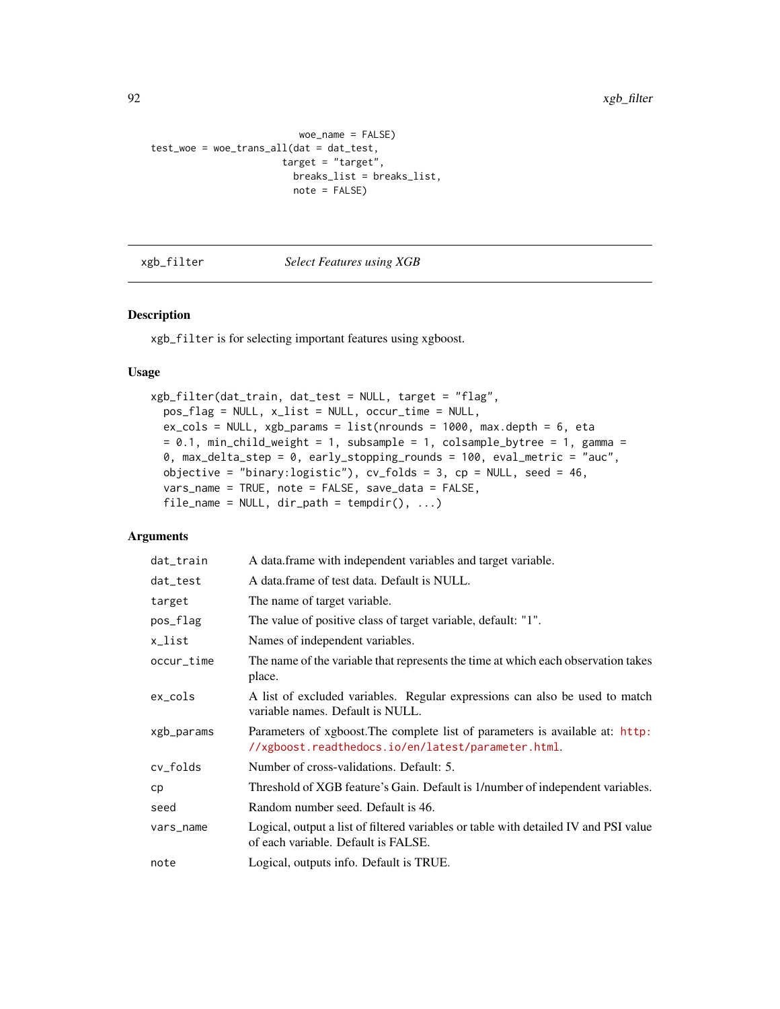```
woe_name = FALSE)
test_woe = woe_trans_all(dat = dat_test,
                       target = "target",
                         breaks_list = breaks_list,
                         note = FALSE)
```
#### xgb\_filter *Select Features using XGB*

## Description

xgb\_filter is for selecting important features using xgboost.

#### Usage

```
xgb_filter(dat_train, dat_test = NULL, target = "flag",
 pos_flag = NULL, x_list = NULL, occur_time = NULL,
 ex\_cols = NULL, xgb_params = list(nrounds = 1000, max.depth = 6, eta
 = 0.1, min_child_weight = 1, subsample = 1, colsample_bytree = 1, gamma =
 0, max_delta_step = 0, early_stopping_rounds = 100, eval_metric = "auc",
 objective = "binary:logistic"), cv_folds = 3, cp = NULL, seed = 46,
  vars_name = TRUE, note = FALSE, save_data = FALSE,
  file_name = NULL, dir-path = tempdir(), ...)
```
## Arguments

| dat_train  | A data.frame with independent variables and target variable.                                                                        |  |
|------------|-------------------------------------------------------------------------------------------------------------------------------------|--|
| dat_test   | A data.frame of test data. Default is NULL.                                                                                         |  |
| target     | The name of target variable.                                                                                                        |  |
| pos_flag   | The value of positive class of target variable, default: "1".                                                                       |  |
| x_list     | Names of independent variables.                                                                                                     |  |
| occur_time | The name of the variable that represents the time at which each observation takes<br>place.                                         |  |
| $ex\_cols$ | A list of excluded variables. Regular expressions can also be used to match<br>variable names. Default is NULL.                     |  |
| xgb_params | Parameters of xgboost. The complete list of parameters is available at: http:<br>//xgboost.readthedocs.io/en/latest/parameter.html. |  |
| cv_folds   | Number of cross-validations. Default: 5.                                                                                            |  |
| cp         | Threshold of XGB feature's Gain. Default is 1/number of independent variables.                                                      |  |
| seed       | Random number seed. Default is 46.                                                                                                  |  |
| vars_name  | Logical, output a list of filtered variables or table with detailed IV and PSI value<br>of each variable. Default is FALSE.         |  |
| note       | Logical, outputs info. Default is TRUE.                                                                                             |  |

<span id="page-91-0"></span>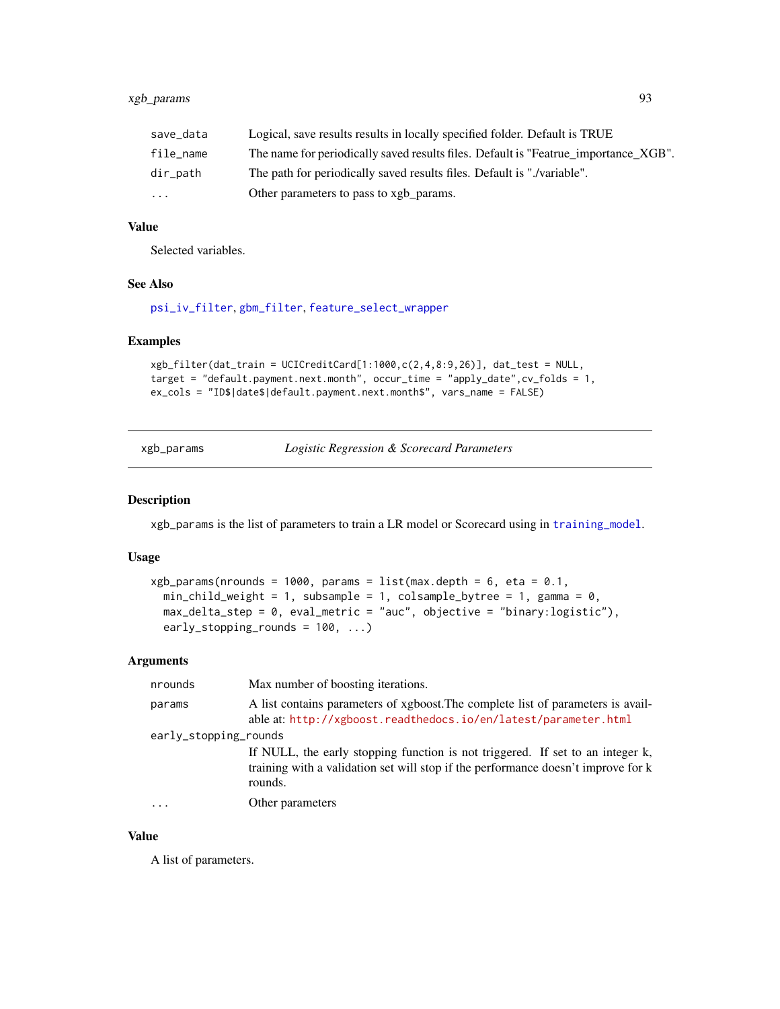<span id="page-92-1"></span>

| save_data | Logical, save results results in locally specified folder. Default is TRUE          |
|-----------|-------------------------------------------------------------------------------------|
| file_name | The name for periodically saved results files. Default is "Featrue_importance_XGB". |
| dir_path  | The path for periodically saved results files. Default is "./variable".             |
| $\cdot$   | Other parameters to pass to xgb_params.                                             |

## Value

Selected variables.

## See Also

[psi\\_iv\\_filter](#page-69-0), [gbm\\_filter](#page-23-0), [feature\\_select\\_wrapper](#page-21-0)

#### Examples

```
xgb_filter(dat_train = UCICreditCard[1:1000,c(2,4,8:9,26)], dat_test = NULL,
target = "default.payment.next.month", occur_time = "apply_date",cv_folds = 1,
ex_cols = "ID$|date$|default.payment.next.month$", vars_name = FALSE)
```
<span id="page-92-0"></span>

| xgb_params |
|------------|
|            |

*Logistic Regression & Scorecard Parameters* 

#### Description

xgb\_params is the list of parameters to train a LR model or Scorecard using in [training\\_model](#page-83-0).

#### Usage

```
xgb_params(nrounds = 1000, params = list(max.depth = 6, eta = 0.1,min_{\text{child\_weight}} = 1, subsample = 1, colsample_bytree = 1, gamma = 0,
  max_delta_step = 0, eval_metric = "auc", objective = "binary:logistic"),
  early_stopping_rounds = 100, ...)
```
## Arguments

| nrounds               | Max number of boosting iterations.                                                                                                                                             |
|-----------------------|--------------------------------------------------------------------------------------------------------------------------------------------------------------------------------|
| params                | A list contains parameters of xgboost. The complete list of parameters is avail-<br>able at: http://xgboost.readthedocs.io/en/latest/parameter.html                            |
| early_stopping_rounds |                                                                                                                                                                                |
|                       | If NULL, the early stopping function is not triggered. If set to an integer k,<br>training with a validation set will stop if the performance doesn't improve for k<br>rounds. |
| $\ddots$ .            | Other parameters                                                                                                                                                               |

## Value

A list of parameters.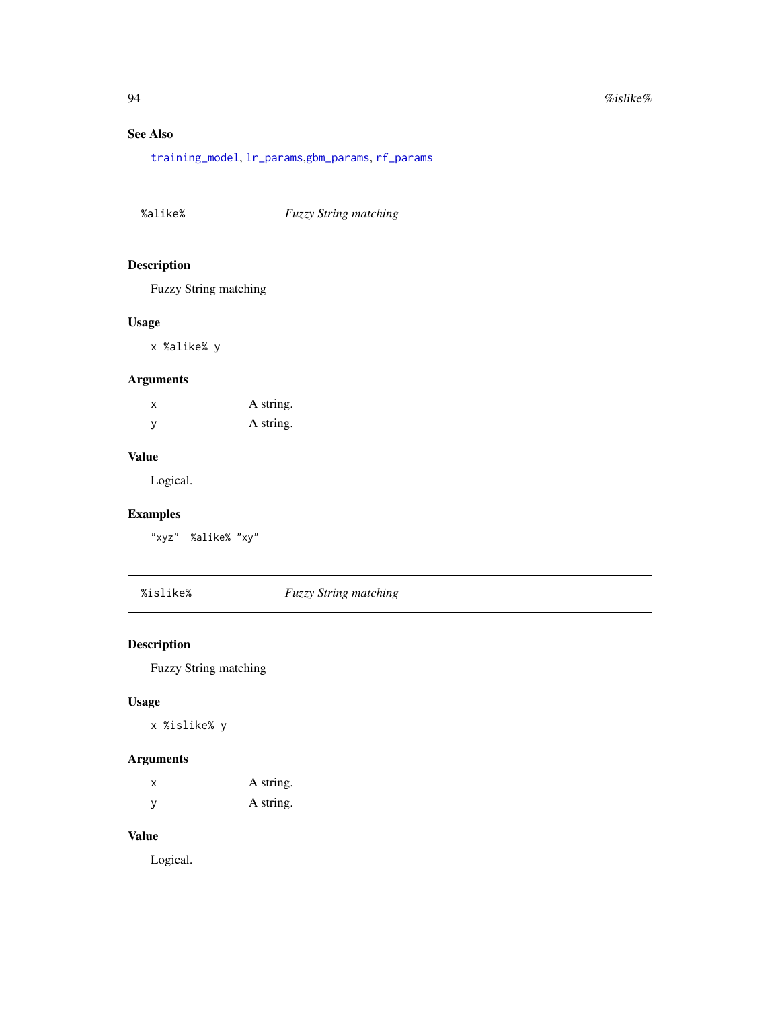# See Also

[training\\_model](#page-83-0), [lr\\_params](#page-60-0),[gbm\\_params](#page-25-0), [rf\\_params](#page-73-0)

| %alike%<br><b>Fuzzy String matching</b> |
|-----------------------------------------|
|-----------------------------------------|

# Description

Fuzzy String matching

## Usage

x %alike% y

# Arguments

x A string. y A string.

## Value

Logical.

# Examples

"xyz" %alike% "xy"

%islike% *Fuzzy String matching*

# Description

Fuzzy String matching

# Usage

x %islike% y

# Arguments

| x   | A string. |
|-----|-----------|
| - V | A string. |

# Value

Logical.

<span id="page-93-0"></span>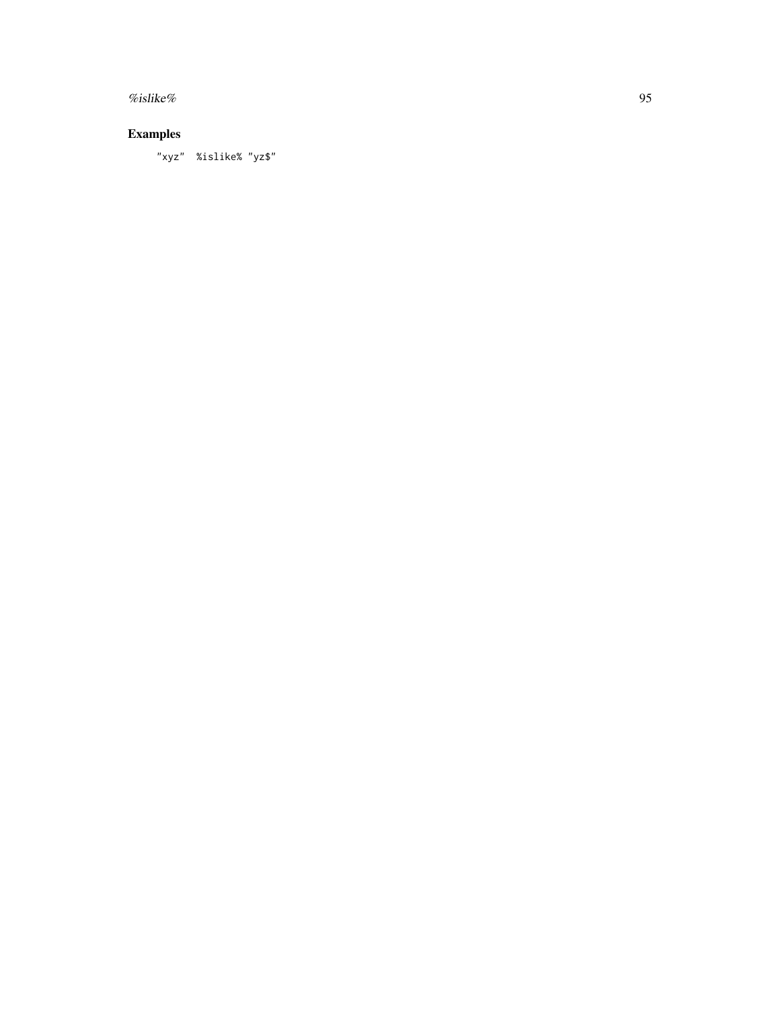$\%$ islike% 95

# Examples

"xyz" %islike% "yz\$"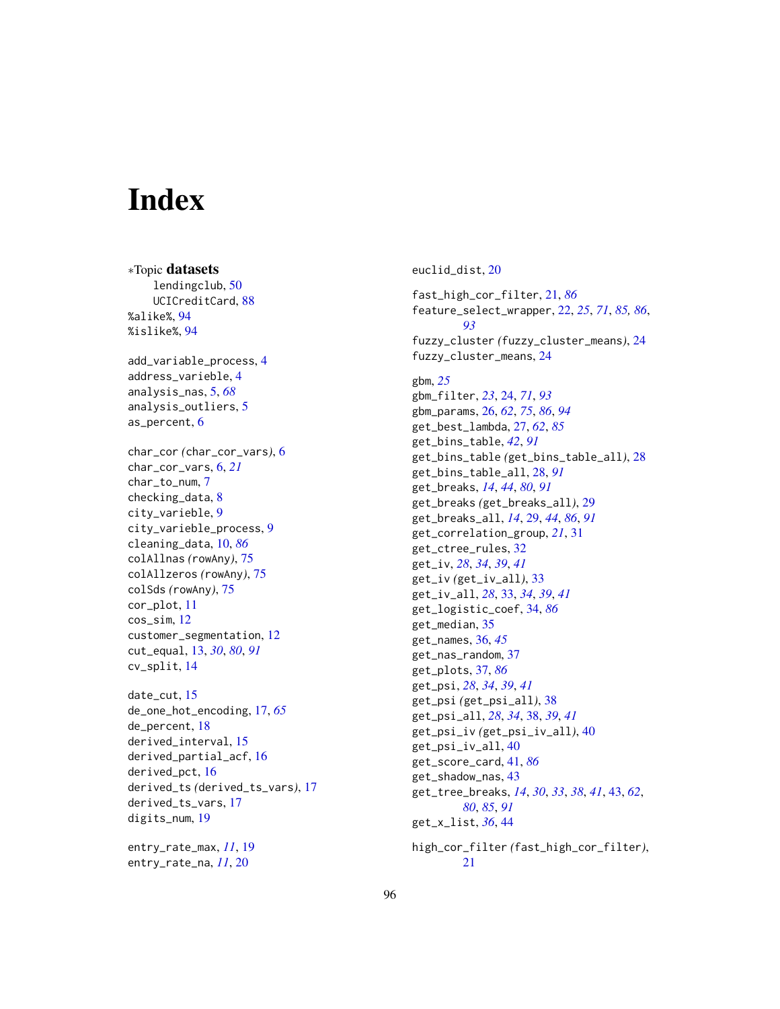# **Index**

∗Topic datasets lendingclub, [50](#page-49-1) UCICreditCard, [88](#page-87-0) %alike%, [94](#page-93-0) %islike%, [94](#page-93-0) add\_variable\_process, [4](#page-3-0) address\_varieble, [4](#page-3-0) analysis\_nas, [5,](#page-4-0) *[68](#page-67-1)* analysis\_outliers, [5](#page-4-0) as\_percent, [6](#page-5-0) char\_cor *(*char\_cor\_vars*)*, [6](#page-5-0) char\_cor\_vars, [6,](#page-5-0) *[21](#page-20-1)* char\_to\_num, [7](#page-6-0) checking\_data, [8](#page-7-0) city\_varieble, [9](#page-8-0) city\_varieble\_process, [9](#page-8-0) cleaning\_data, [10,](#page-9-1) *[86](#page-85-0)* colAllnas *(*rowAny*)*, [75](#page-74-0) colAllzeros *(*rowAny*)*, [75](#page-74-0) colSds *(*rowAny*)*, [75](#page-74-0) cor\_plot, [11](#page-10-0) cos\_sim, [12](#page-11-0) customer\_segmentation, [12](#page-11-0) cut\_equal, [13,](#page-12-1) *[30](#page-29-0)*, *[80](#page-79-0)*, *[91](#page-90-0)* cv\_split, [14](#page-13-0) date\_cut, [15](#page-14-0) de\_one\_hot\_encoding, [17,](#page-16-0) *[65](#page-64-0)* de\_percent, [18](#page-17-0) derived\_interval, [15](#page-14-0) derived\_partial\_acf, [16](#page-15-0) derived\_pct, [16](#page-15-0) derived\_ts *(*derived\_ts\_vars*)*, [17](#page-16-0) derived\_ts\_vars, [17](#page-16-0) digits\_num, [19](#page-18-0)

entry\_rate\_max, *[11](#page-10-0)*, [19](#page-18-0) entry\_rate\_na, *[11](#page-10-0)*, [20](#page-19-0)

euclid\_dist, [20](#page-19-0) fast\_high\_cor\_filter, [21,](#page-20-1) *[86](#page-85-0)* feature\_select\_wrapper, [22,](#page-21-1) *[25](#page-24-0)*, *[71](#page-70-0)*, *[85,](#page-84-0) [86](#page-85-0)*, *[93](#page-92-1)* fuzzy\_cluster *(*fuzzy\_cluster\_means*)*, [24](#page-23-1) fuzzy\_cluster\_means, [24](#page-23-1) gbm, *[25](#page-24-0)* gbm\_filter, *[23](#page-22-0)*, [24,](#page-23-1) *[71](#page-70-0)*, *[93](#page-92-1)* gbm\_params, [26,](#page-25-1) *[62](#page-61-0)*, *[75](#page-74-0)*, *[86](#page-85-0)*, *[94](#page-93-0)* get\_best\_lambda, [27,](#page-26-1) *[62](#page-61-0)*, *[85](#page-84-0)* get\_bins\_table, *[42](#page-41-0)*, *[91](#page-90-0)* get\_bins\_table *(*get\_bins\_table\_all*)*, [28](#page-27-2) get\_bins\_table\_all, [28,](#page-27-2) *[91](#page-90-0)* get\_breaks, *[14](#page-13-0)*, *[44](#page-43-0)*, *[80](#page-79-0)*, *[91](#page-90-0)* get\_breaks *(*get\_breaks\_all*)*, [29](#page-28-2) get\_breaks\_all, *[14](#page-13-0)*, [29,](#page-28-2) *[44](#page-43-0)*, *[86](#page-85-0)*, *[91](#page-90-0)* get\_correlation\_group, *[21](#page-20-1)*, [31](#page-30-0) get\_ctree\_rules, [32](#page-31-0) get\_iv, *[28](#page-27-2)*, *[34](#page-33-1)*, *[39](#page-38-0)*, *[41](#page-40-1)* get\_iv *(*get\_iv\_all*)*, [33](#page-32-0) get\_iv\_all, *[28](#page-27-2)*, [33,](#page-32-0) *[34](#page-33-1)*, *[39](#page-38-0)*, *[41](#page-40-1)* get\_logistic\_coef, [34,](#page-33-1) *[86](#page-85-0)* get\_median, [35](#page-34-0) get\_names, [36,](#page-35-0) *[45](#page-44-0)* get\_nas\_random, [37](#page-36-1) get\_plots, [37,](#page-36-1) *[86](#page-85-0)* get\_psi, *[28](#page-27-2)*, *[34](#page-33-1)*, *[39](#page-38-0)*, *[41](#page-40-1)* get\_psi *(*get\_psi\_all*)*, [38](#page-37-0) get\_psi\_all, *[28](#page-27-2)*, *[34](#page-33-1)*, [38,](#page-37-0) *[39](#page-38-0)*, *[41](#page-40-1)* get\_psi\_iv *(*get\_psi\_iv\_all*)*, [40](#page-39-0) get\_psi\_iv\_all, [40](#page-39-0) get\_score\_card, [41,](#page-40-1) *[86](#page-85-0)* get\_shadow\_nas, [43](#page-42-1) get\_tree\_breaks, *[14](#page-13-0)*, *[30](#page-29-0)*, *[33](#page-32-0)*, *[38](#page-37-0)*, *[41](#page-40-1)*, [43,](#page-42-1) *[62](#page-61-0)*, *[80](#page-79-0)*, *[85](#page-84-0)*, *[91](#page-90-0)* get\_x\_list, *[36](#page-35-0)*, [44](#page-43-0) high\_cor\_filter *(*fast\_high\_cor\_filter*)*, [21](#page-20-1)